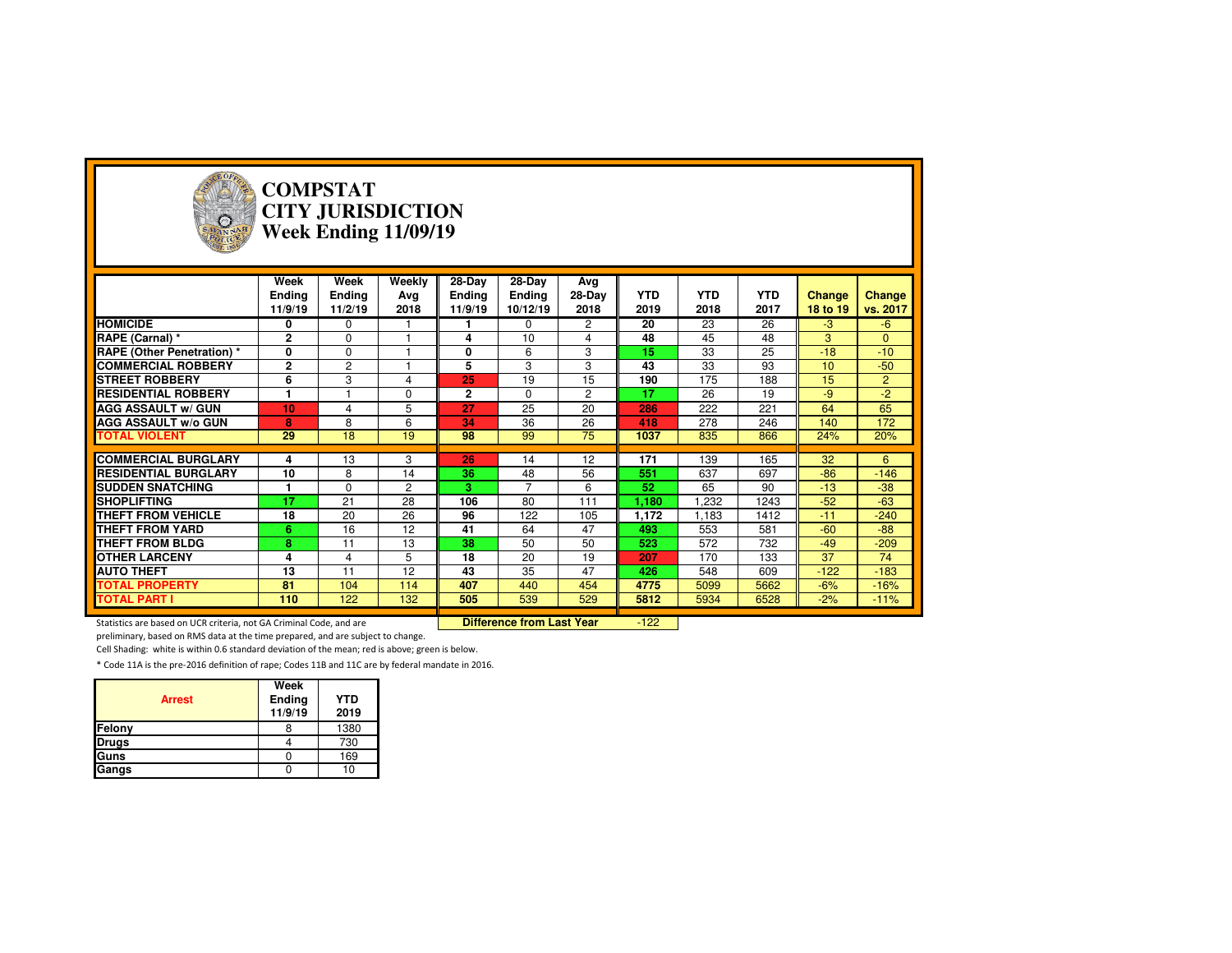

#### **COMPSTAT CITY JURISDICTIONWeek Ending 11/09/19**

|                                   | Week<br><b>Ending</b><br>11/9/19 | Week<br><b>Ending</b><br>11/2/19 | Weekly<br>Ava<br>2018 | 28-Day<br>Ending<br>11/9/19 | 28-Day<br>Ending<br>10/12/19 | Avg<br>28-Day<br>2018 | <b>YTD</b><br>2019 | <b>YTD</b><br>2018 | <b>YTD</b><br>2017 | <b>Change</b><br>18 to 19 | Change<br>vs. 2017 |
|-----------------------------------|----------------------------------|----------------------------------|-----------------------|-----------------------------|------------------------------|-----------------------|--------------------|--------------------|--------------------|---------------------------|--------------------|
| <b>HOMICIDE</b>                   | 0                                | $\Omega$                         |                       |                             | $\Omega$                     | 2                     | 20                 | 23                 | 26                 | $-3$                      | $-6$               |
| RAPE (Carnal) *                   | $\mathbf 2$                      | $\mathbf 0$                      |                       | 4                           | 10                           | 4                     | 48                 | 45                 | 48                 | 3                         | $\mathbf{0}$       |
| <b>RAPE (Other Penetration) *</b> | 0                                | $\Omega$                         |                       | 0                           | 6                            | 3                     | 15                 | 33                 | 25                 | $-18$                     | $-10$              |
| <b>COMMERCIAL ROBBERY</b>         | $\mathbf 2$                      | 2                                |                       | 5                           | 3                            | 3                     | 43                 | 33                 | 93                 | 10                        | $-50$              |
| <b>STREET ROBBERY</b>             | 6                                | 3                                | 4                     | 25                          | 19                           | 15                    | 190                | 175                | 188                | 15                        | $\overline{2}$     |
| <b>RESIDENTIAL ROBBERY</b>        |                                  |                                  | $\Omega$              | $\mathbf{2}$                | $\Omega$                     | $\overline{c}$        | 17                 | 26                 | 19                 | $-9$                      | $-2$               |
| <b>AGG ASSAULT w/ GUN</b>         | 10                               | 4                                | 5                     | 27                          | 25                           | 20                    | 286                | 222                | 221                | 64                        | 65                 |
| <b>AGG ASSAULT w/o GUN</b>        | 8                                | 8                                | 6                     | 34                          | 36                           | 26                    | 418                | 278                | 246                | 140                       | 172                |
| <b>TOTAL VIOLENT</b>              | 29                               | 18                               | 19                    | 98                          | 99                           | 75                    | 1037               | 835                | 866                | 24%                       | 20%                |
|                                   |                                  |                                  |                       |                             |                              |                       |                    |                    |                    |                           |                    |
| <b>COMMERCIAL BURGLARY</b>        | 4                                | 13                               | 3                     | 26                          | 14                           | 12                    | 171                | 139                | 165                | 32                        | 6                  |
| <b>RESIDENTIAL BURGLARY</b>       | 10                               | 8                                | 14                    | 36                          | 48                           | 56                    | 551                | 637                | 697                | $-86$                     | $-146$             |
| <b>SUDDEN SNATCHING</b>           |                                  | $\Omega$                         | 2                     | з                           | $\overline{7}$               | 6                     | 52                 | 65                 | 90                 | $-13$                     | $-38$              |
| <b>SHOPLIFTING</b>                | 17                               | 21                               | 28                    | 106                         | 80                           | 111                   | 1,180              | ,232               | 1243               | $-52$                     | $-63$              |
| THEFT FROM VEHICLE                | 18                               | 20                               | 26                    | 96                          | 122                          | 105                   | 1,172              | 1.183              | 1412               | $-11$                     | $-240$             |
| <b>THEFT FROM YARD</b>            | 6                                | 16                               | 12                    | 41                          | 64                           | 47                    | 493                | 553                | 581                | $-60$                     | $-88$              |
| <b>THEFT FROM BLDG</b>            | 8                                | 11                               | 13                    | 38                          | 50                           | 50                    | 523                | 572                | 732                | $-49$                     | $-209$             |
| <b>OTHER LARCENY</b>              | 4                                | 4                                | 5                     | 18                          | 20                           | 19                    | 207                | 170                | 133                | 37                        | 74                 |
| <b>AUTO THEFT</b>                 | 13                               | 11                               | 12                    | 43                          | 35                           | 47                    | 426                | 548                | 609                | $-122$                    | $-183$             |
| <b>TOTAL PROPERTY</b>             | 81                               | 104                              | 114                   | 407                         | 440                          | 454                   | 4775               | 5099               | 5662               | $-6%$                     | $-16%$             |
| <b>TOTAL PART I</b>               | 110                              | 122                              | 132                   | 505                         | 539                          | 529                   | 5812               | 5934               | 6528               | $-2%$                     | $-11%$             |

Statistics are based on UCR criteria, not GA Criminal Code, and are **Difference from Last Year** 

 $-122$ 

preliminary, based on RMS data at the time prepared, and are subject to change.

Cell Shading: white is within 0.6 standard deviation of the mean; red is above; green is below.

| <b>Arrest</b> | Week<br>Ending<br>11/9/19 | <b>YTD</b><br>2019 |
|---------------|---------------------------|--------------------|
| Felony        |                           | 1380               |
| <b>Drugs</b>  |                           | 730                |
| Guns          |                           | 169                |
| Gangs         |                           | 10                 |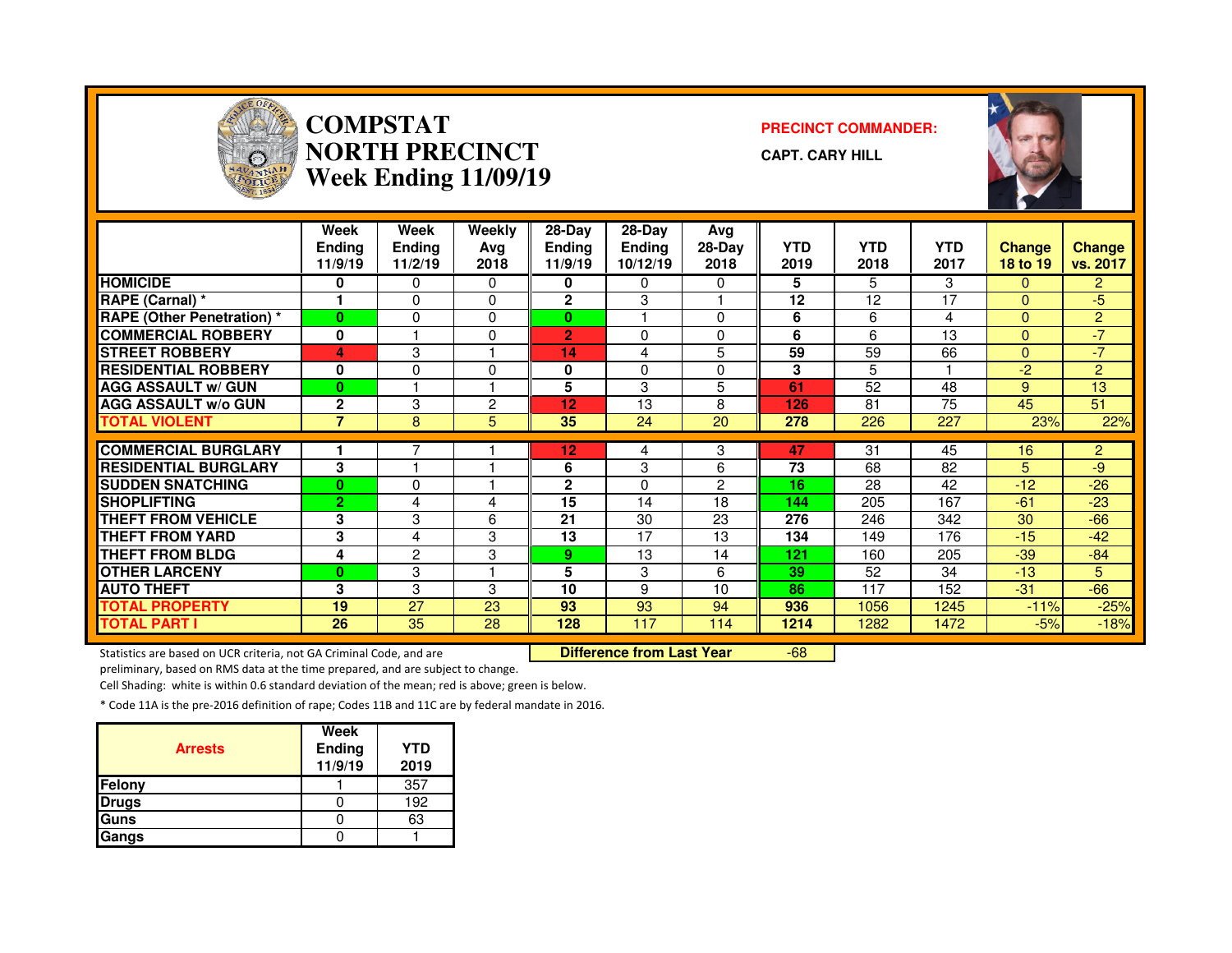

#### **COMPSTAT PRECINCT COMMANDER: NORTH PRECINCTWeek Ending 11/09/19**

**CAPT. CARY HILL**



|                                   | Week<br><b>Ending</b><br>11/9/19 | Week<br><b>Endina</b><br>11/2/19 | Weekly<br>Ava<br>2018 | 28-Day<br>Endina<br>11/9/19 | 28-Dav<br><b>Ending</b><br>10/12/19 | Ava<br>28-Day<br>2018 | <b>YTD</b><br>2019 | <b>YTD</b><br>2018 | <b>YTD</b><br>2017 | <b>Change</b><br>18 to 19 | <b>Change</b><br>vs. 2017 |
|-----------------------------------|----------------------------------|----------------------------------|-----------------------|-----------------------------|-------------------------------------|-----------------------|--------------------|--------------------|--------------------|---------------------------|---------------------------|
| <b>HOMICIDE</b>                   | 0                                | 0                                | 0                     | 0                           | 0                                   | 0                     | 5                  | 5                  | 3                  | $\mathbf{0}$              | $\overline{2}$            |
| RAPE (Carnal) *                   | 1                                | 0                                | $\Omega$              | $\mathbf{2}$                | 3                                   |                       | 12                 | 12                 | 17                 | $\Omega$                  | -5                        |
| <b>RAPE (Other Penetration) *</b> | $\bf{0}$                         | 0                                | $\Omega$              | $\bf{0}$                    |                                     | 0                     | 6                  | 6                  | 4                  | $\Omega$                  | $\overline{2}$            |
| <b>COMMERCIAL ROBBERY</b>         | $\mathbf{0}$                     |                                  | 0                     | $\overline{2}$              | $\Omega$                            | 0                     | 6                  | 6                  | 13                 | $\Omega$                  | $-7$                      |
| <b>STREET ROBBERY</b>             | 4                                | 3                                |                       | 14                          | 4                                   | 5                     | 59                 | 59                 | 66                 | $\mathbf{0}$              | $-7$                      |
| <b>RESIDENTIAL ROBBERY</b>        | 0                                | 0                                | $\Omega$              | 0                           | $\Omega$                            | 0                     | 3                  | 5                  |                    | $-2$                      | $\overline{2}$            |
| <b>AGG ASSAULT w/ GUN</b>         | $\bf{0}$                         |                                  |                       | 5                           | 3                                   | 5                     | 61                 | 52                 | 48                 | 9                         | 13                        |
| <b>AGG ASSAULT w/o GUN</b>        | $\mathbf{2}$                     | 3                                | $\overline{2}$        | 12                          | 13                                  | 8                     | 126                | 81                 | 75                 | 45                        | 51                        |
| <b>TOTAL VIOLENT</b>              | $\overline{7}$                   | 8                                | 5                     | 35                          | 24                                  | 20                    | 278                | 226                | 227                | 23%                       | 22%                       |
|                                   |                                  |                                  |                       |                             |                                     |                       |                    |                    |                    |                           |                           |
| <b>COMMERCIAL BURGLARY</b>        |                                  |                                  |                       | 12                          | 4                                   | 3                     | 47                 | 31                 | 45                 | 16                        | $\overline{2}$            |
| <b>RESIDENTIAL BURGLARY</b>       | 3                                |                                  |                       | 6                           | 3                                   | 6                     | 73                 | 68                 | 82                 | 5                         | -9                        |
| <b>SUDDEN SNATCHING</b>           | $\bf{0}$                         | 0                                |                       | $\mathbf{2}$                | $\Omega$                            | 2                     | 16                 | 28                 | 42                 | $-12$                     | $-26$                     |
| <b>SHOPLIFTING</b>                | 2                                | 4                                | 4                     | 15                          | 14                                  | 18                    | 144                | 205                | 167                | $-61$                     | $-23$                     |
| <b>THEFT FROM VEHICLE</b>         | 3                                | 3                                | 6                     | 21                          | 30                                  | 23                    | 276                | 246                | 342                | 30                        | $-66$                     |
| <b>THEFT FROM YARD</b>            | 3                                | 4                                | 3                     | 13                          | 17                                  | 13                    | 134                | 149                | 176                | $-15$                     | $-42$                     |
| <b>THEFT FROM BLDG</b>            | 4                                | $\overline{2}$                   | 3                     | 9                           | 13                                  | 14                    | 121                | 160                | 205                | $-39$                     | $-84$                     |
| <b>OTHER LARCENY</b>              | $\bf{0}$                         | 3                                |                       | 5                           | 3                                   | 6                     | 39                 | 52                 | 34                 | $-13$                     | 5                         |
| <b>AUTO THEFT</b>                 | 3                                | 3                                | 3                     | 10                          | 9                                   | 10                    | 86                 | 117                | 152                | $-31$                     | $-66$                     |
| <b>TOTAL PROPERTY</b>             | 19                               | 27                               | 23                    | 93                          | 93                                  | 94                    | 936                | 1056               | 1245               | $-11%$                    | $-25%$                    |
| <b>TOTAL PART I</b>               | 26                               | 35                               | 28                    | 128                         | 117                                 | 114                   | 1214               | 1282               | 1472               | $-5%$                     | $-18%$                    |

Statistics are based on UCR criteria, not GA Criminal Code, and are **Difference from Last Year** 

-68

preliminary, based on RMS data at the time prepared, and are subject to change.

Cell Shading: white is within 0.6 standard deviation of the mean; red is above; green is below.

| <b>Arrests</b> | <b>Week</b><br>Ending<br>11/9/19 | <b>YTD</b><br>2019 |
|----------------|----------------------------------|--------------------|
| Felony         |                                  | 357                |
| <b>Drugs</b>   |                                  | 192                |
| <b>Guns</b>    |                                  | 63                 |
| Gangs          |                                  |                    |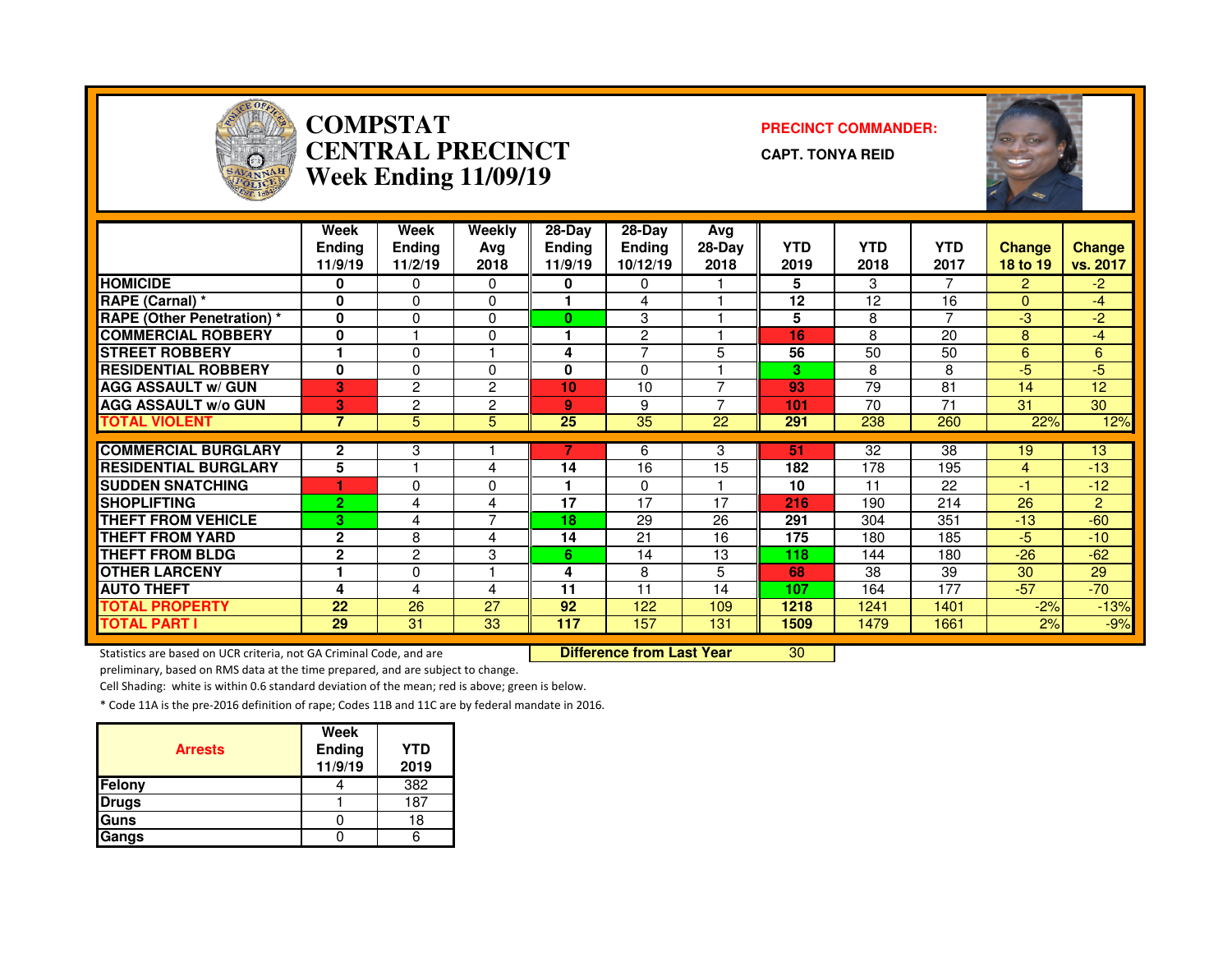

#### **COMPSTAT PRECINCT COMMANDER: CENTRAL PRECINCTWeek Ending 11/09/19**

**CAPT. TONYA REID**



|                                   | Week<br><b>Ending</b><br>11/9/19 | Week<br><b>Endina</b><br>11/2/19 | <b>Weekly</b><br>Ava<br>2018 | $28-Day$<br><b>Ending</b><br>11/9/19 | 28-Dav<br><b>Ending</b><br>10/12/19 | Avg<br>$28-Day$<br>2018 | <b>YTD</b><br>2019 | <b>YTD</b><br>2018 | <b>YTD</b><br>2017 | <b>Change</b><br>18 to 19 | <b>Change</b><br>vs. 2017 |
|-----------------------------------|----------------------------------|----------------------------------|------------------------------|--------------------------------------|-------------------------------------|-------------------------|--------------------|--------------------|--------------------|---------------------------|---------------------------|
| <b>HOMICIDE</b>                   | 0                                | 0                                | 0                            | 0                                    | 0                                   |                         | 5                  | 3                  | 7                  | $\mathbf{2}$              | $-2$                      |
| RAPE (Carnal) *                   | O                                | $\Omega$                         | $\Omega$                     |                                      | 4                                   |                         | 12                 | 12                 | 16                 | $\Omega$                  | -4                        |
| <b>RAPE (Other Penetration) *</b> | $\mathbf 0$                      | 0                                | $\Omega$                     | 0                                    | 3                                   |                         | 5                  | 8                  | $\overline{ }$     | -3                        | $-2$                      |
| <b>COMMERCIAL ROBBERY</b>         | 0                                |                                  | 0                            |                                      | $\overline{2}$                      |                         | 16                 | 8                  | 20                 | 8                         | $-4$                      |
| <b>STREET ROBBERY</b>             |                                  | $\Omega$                         |                              | 4                                    | $\overline{ }$                      | 5                       | 56                 | 50                 | 50                 | 6                         | 6                         |
| <b>RESIDENTIAL ROBBERY</b>        | $\bf{0}$                         | 0                                | 0                            | 0                                    | $\Omega$                            |                         | 3                  | 8                  | 8                  | -5                        | -5.                       |
| <b>AGG ASSAULT w/ GUN</b>         | 3                                | 2                                | 2                            | 10                                   | 10                                  | ⇁                       | 93                 | 79                 | 81                 | 14                        | 12                        |
| <b>AGG ASSAULT w/o GUN</b>        | 3                                | 2                                | 2                            | 9                                    | 9                                   |                         | 101                | 70                 | 71                 | 31                        | 30                        |
| <b>TOTAL VIOLENT</b>              | 7                                | 5                                | 5                            | 25                                   | 35                                  | 22                      | 291                | 238                | 260                | 22%                       | 12%                       |
| <b>COMMERCIAL BURGLARY</b>        | $\mathbf{2}$                     | 3                                |                              |                                      | 6                                   | 3                       | 51                 | 32                 | 38                 | 19                        | 13                        |
| <b>RESIDENTIAL BURGLARY</b>       |                                  |                                  |                              |                                      |                                     |                         |                    |                    |                    |                           |                           |
|                                   | 5                                |                                  | 4                            | 14                                   | 16                                  | 15                      | 182                | 178                | 195                | 4                         | $-13$                     |
| <b>ISUDDEN SNATCHING</b>          |                                  | 0                                | 0                            |                                      | 0                                   |                         | 10                 | 11                 | 22                 | -1                        | $-12$                     |
| <b>SHOPLIFTING</b>                | $\overline{2}$                   | 4                                | 4                            | 17                                   | 17                                  | 17                      | 216                | 190                | 214                | 26                        | $\overline{2}$            |
| <b>THEFT FROM VEHICLE</b>         | 3                                | 4                                | $\overline{7}$               | 18                                   | 29                                  | 26                      | 291                | 304                | 351                | $-13$                     | $-60$                     |
| <b>THEFT FROM YARD</b>            | $\mathbf{2}$                     | 8                                | 4                            | 14                                   | 21                                  | 16                      | 175                | 180                | 185                | -5.                       | $-10$                     |
| <b>THEFT FROM BLDG</b>            | $\mathbf{2}$                     | 2                                | 3                            | 6.                                   | 14                                  | 13                      | 118                | 144                | 180                | $-26$                     | $-62$                     |
| <b>OTHER LARCENY</b>              |                                  | 0                                |                              | 4                                    | 8                                   | 5                       | 68                 | 38                 | 39                 | 30                        | 29                        |
| <b>AUTO THEFT</b>                 | 4                                | 4                                | 4                            | 11                                   | 11                                  | 14                      | 107                | 164                | 177                | $-57$                     | $-70$                     |
| <b>TOTAL PROPERTY</b>             | 22                               | 26                               | 27                           | 92                                   | 122                                 | 109                     | 1218               | 1241               | 1401               | $-2%$                     | $-13%$                    |
| <b>TOTAL PART I</b>               | 29                               | 31                               | 33                           | 117                                  | 157                                 | 131                     | 1509               | 1479               | 1661               | 2%                        | $-9%$                     |

Statistics are based on UCR criteria, not GA Criminal Code, and are **Difference from Last Year** 

<sup>30</sup>

preliminary, based on RMS data at the time prepared, and are subject to change.

Cell Shading: white is within 0.6 standard deviation of the mean; red is above; green is below.

| <b>Arrests</b> | Week<br>Ending<br>11/9/19 | <b>YTD</b><br>2019 |
|----------------|---------------------------|--------------------|
| Felony         |                           | 382                |
| <b>Drugs</b>   |                           | 187                |
| Guns           |                           | 18                 |
| Gangs          |                           |                    |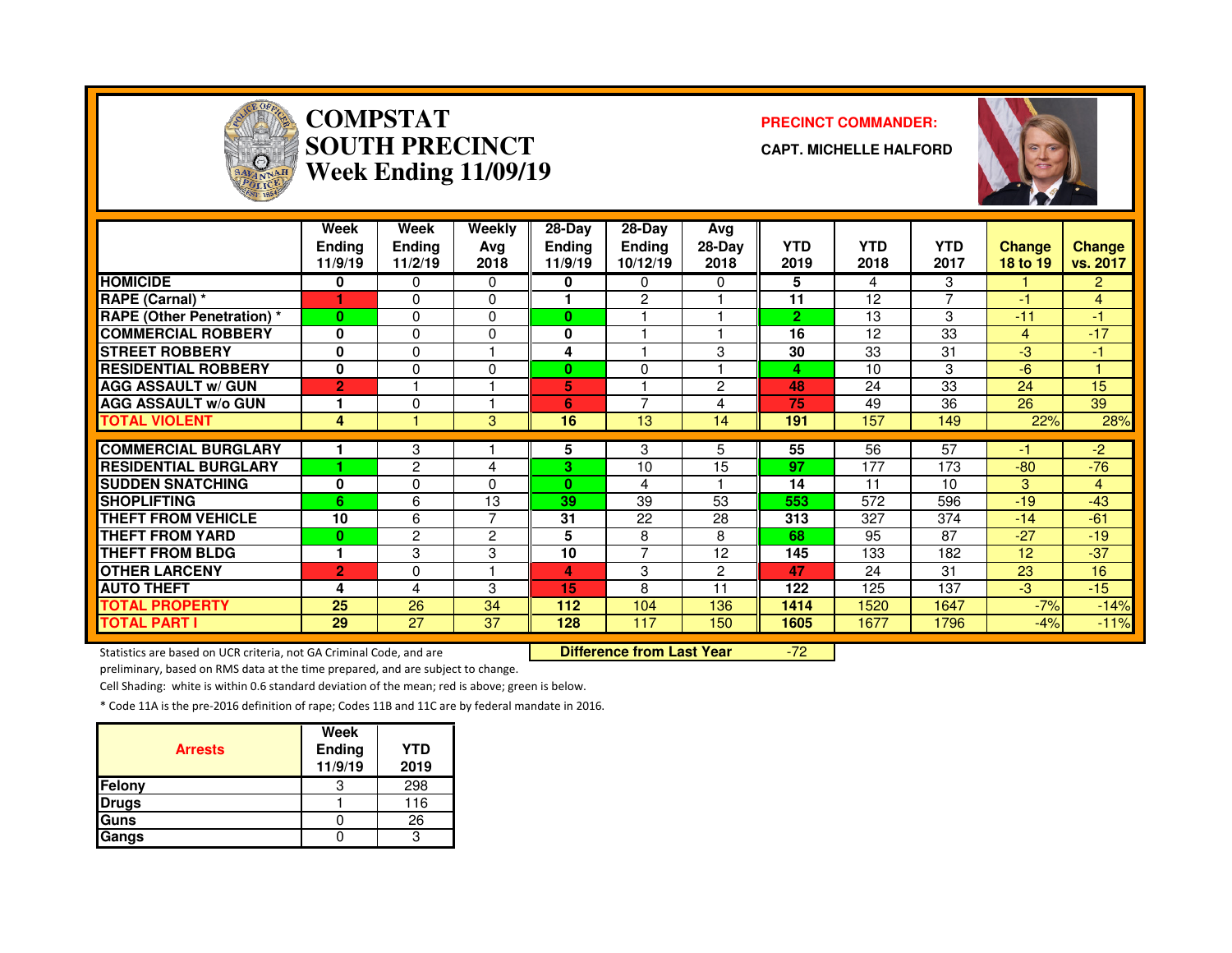

# **COMPSTAT PRECINCT COMMANDER: SOUTH PRECINCTWeek Ending 11/09/19**

**CAPT. MICHELLE HALFORD**



|                                   | Week<br><b>Ending</b><br>11/9/19 | Week<br><b>Ending</b><br>11/2/19 | Weekly<br>Avg<br>2018 | 28-Day<br><b>Ending</b><br>11/9/19 | $28-Dav$<br><b>Ending</b><br>10/12/19 | Avg<br>$28-Day$<br>2018 | <b>YTD</b><br>2019 | <b>YTD</b><br>2018 | <b>YTD</b><br>2017 | <b>Change</b><br>18 to 19 | <b>Change</b><br>vs. 2017 |
|-----------------------------------|----------------------------------|----------------------------------|-----------------------|------------------------------------|---------------------------------------|-------------------------|--------------------|--------------------|--------------------|---------------------------|---------------------------|
| <b>HOMICIDE</b>                   | 0                                | 0                                | $\Omega$              | 0                                  | 0                                     | 0                       | 5                  | 4                  | 3                  |                           | $\overline{2}$            |
| RAPE (Carnal) *                   |                                  | $\Omega$                         | $\Omega$              |                                    | $\overline{2}$                        |                         | 11                 | 12                 | $\overline{7}$     | -1                        | 4                         |
| <b>RAPE (Other Penetration)</b> * | $\bf{0}$                         | $\Omega$                         | 0                     | 0                                  |                                       |                         | $\overline{2}$     | 13                 | 3                  | $-11$                     | -1                        |
| <b>COMMERCIAL ROBBERY</b>         | 0                                | $\Omega$                         | $\Omega$              | 0                                  |                                       |                         | 16                 | 12                 | 33                 | 4                         | $-17$                     |
| <b>STREET ROBBERY</b>             | 0                                | $\Omega$                         |                       | 4                                  |                                       | 3                       | 30                 | 33                 | 31                 | $-3$                      | -1                        |
| <b>RESIDENTIAL ROBBERY</b>        | 0                                | $\Omega$                         | $\mathbf{0}$          | 0                                  | 0                                     |                         | 4                  | 10                 | 3                  | $-6$                      |                           |
| <b>AGG ASSAULT w/ GUN</b>         | $\overline{2}$                   |                                  |                       | 5                                  |                                       | 2                       | 48                 | 24                 | 33                 | 24                        | 15                        |
| <b>AGG ASSAULT w/o GUN</b>        |                                  | $\Omega$                         |                       | 6                                  | $\overline{7}$                        | 4                       | 75                 | 49                 | 36                 | 26                        | 39                        |
| <b>TOTAL VIOLENT</b>              | 4                                |                                  | 3                     | 16                                 | 13                                    | 14                      | 191                | 157                | 149                | 22%                       | 28%                       |
| <b>COMMERCIAL BURGLARY</b>        |                                  | 3                                |                       | 5                                  | 3                                     | 5                       | 55                 | 56                 | 57                 | -1                        | $-2$                      |
| <b>RESIDENTIAL BURGLARY</b>       |                                  | $\overline{c}$                   | 4                     | 3                                  | 10                                    | 15                      | 97                 | 177                | 173                | $-80$                     | $-76$                     |
| <b>SUDDEN SNATCHING</b>           | 0                                | $\Omega$                         | $\Omega$              | $\bf{0}$                           | 4                                     |                         | 14                 | 11                 | 10                 | 3                         | 4                         |
| <b>SHOPLIFTING</b>                | 6                                | 6                                | 13                    | 39                                 | 39                                    | 53                      | 553                | 572                | 596                | $-19$                     | $-43$                     |
| <b>THEFT FROM VEHICLE</b>         | 10                               | 6                                | $\overline{7}$        | 31                                 | 22                                    | 28                      | 313                | 327                | 374                | $-14$                     | $-61$                     |
| <b>THEFT FROM YARD</b>            | $\bf{0}$                         | $\overline{2}$                   | 2                     | 5                                  | 8                                     | 8                       | 68                 | 95                 | 87                 | $-27$                     | $-19$                     |
| <b>THEFT FROM BLDG</b>            |                                  | 3                                | 3                     | 10                                 | $\overline{ }$                        | 12                      | 145                | 133                | 182                | 12                        | $-37$                     |
| <b>OTHER LARCENY</b>              | $\overline{2}$                   | $\Omega$                         |                       | 4                                  | 3                                     | $\overline{2}$          | 47                 | 24                 | 31                 | 23                        | 16                        |
| <b>AUTO THEFT</b>                 | 4                                | 4                                | 3                     | 15                                 | 8                                     | 11                      | 122                | 125                | 137                | $-3$                      | $-15$                     |
| <b>TOTAL PROPERTY</b>             | 25                               | 26                               | 34                    | 112                                | 104                                   | 136                     | 1414               | 1520               | 1647               | $-7%$                     | $-14%$                    |
| <b>TOTAL PART I</b>               | 29                               | 27                               | 37                    | 128                                | 117                                   | 150                     | 1605               | 1677               | 1796               | $-4%$                     | $-11%$                    |

Statistics are based on UCR criteria, not GA Criminal Code, and are **Difference from Last Year** 

-72

preliminary, based on RMS data at the time prepared, and are subject to change.

Cell Shading: white is within 0.6 standard deviation of the mean; red is above; green is below.

| <b>Arrests</b> | Week<br>Ending<br>11/9/19 | YTD<br>2019 |
|----------------|---------------------------|-------------|
| Felony         |                           | 298         |
| Drugs          |                           | 116         |
| Guns           |                           | 26          |
| Gangs          |                           |             |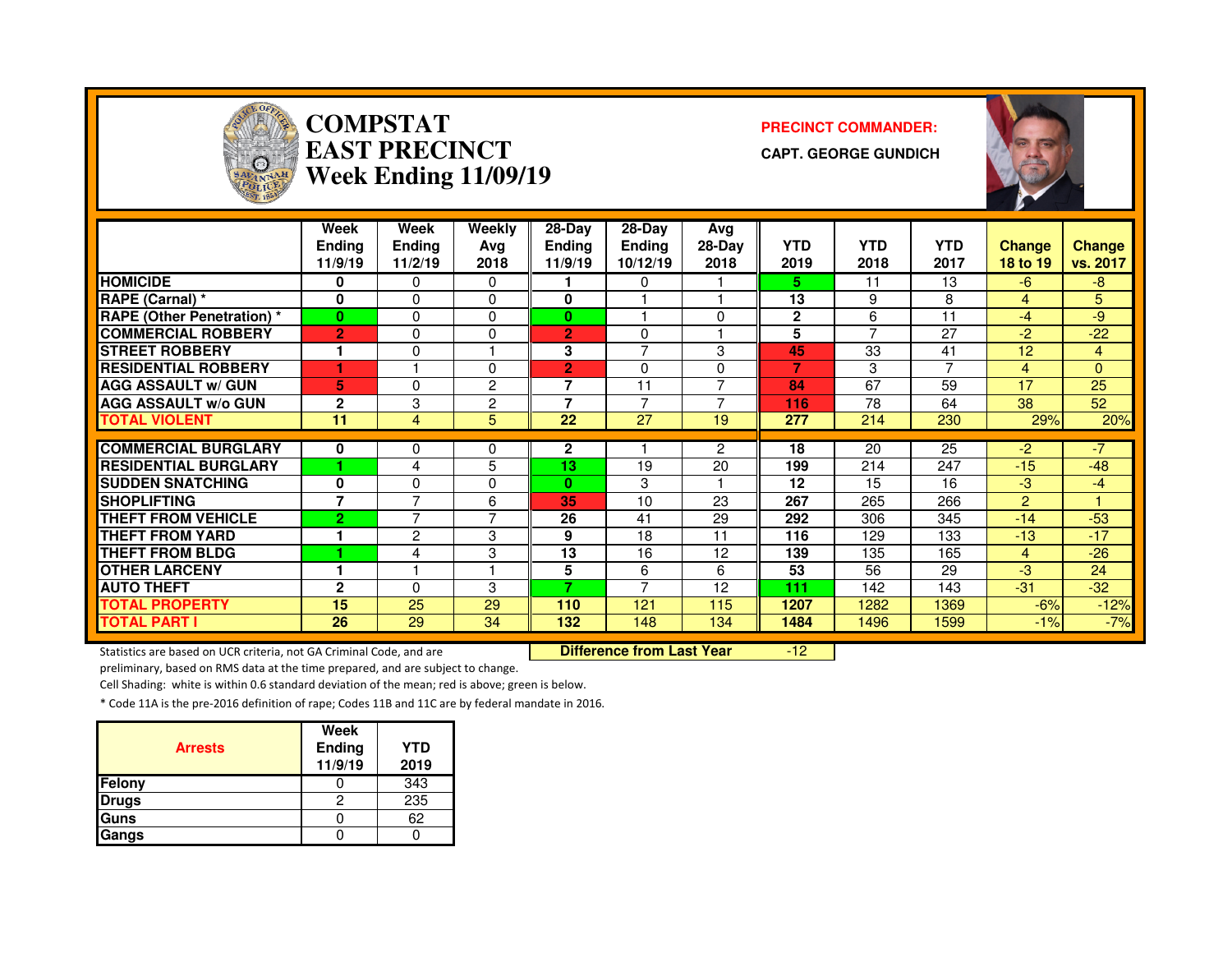

# **COMPSTAT PRECINCT COMMANDER: EAST PRECINCTWeek Ending 11/09/19**

**CAPT. GEORGE GUNDICH**



|                                   | Week<br><b>Ending</b><br>11/9/19 | Week<br><b>Endina</b><br>11/2/19 | Weekly<br>Ava<br>2018 | $28-Dav$<br><b>Ending</b><br>11/9/19 | $28-Dav$<br><b>Endina</b><br>10/12/19 | Avg<br>$28-Day$<br>2018 | <b>YTD</b><br>2019 | <b>YTD</b><br>2018 | <b>YTD</b><br>2017 | <b>Change</b><br>18 to 19 | <b>Change</b><br>vs. 2017 |
|-----------------------------------|----------------------------------|----------------------------------|-----------------------|--------------------------------------|---------------------------------------|-------------------------|--------------------|--------------------|--------------------|---------------------------|---------------------------|
| <b>HOMICIDE</b>                   | 0                                | 0                                | $\Omega$              |                                      | 0                                     |                         | 5.                 | 11                 | 13                 | $-6$                      | $-8$                      |
| RAPE (Carnal) *                   | $\bf{0}$                         | $\Omega$                         | $\Omega$              | 0                                    |                                       |                         | 13                 | 9                  | 8                  | 4                         | 5                         |
| <b>RAPE (Other Penetration) *</b> | $\bf{0}$                         | 0                                | 0                     | 0                                    |                                       | 0                       | $\mathbf{2}$       | 6                  | 11                 | $-4$                      | $-9$                      |
| <b>COMMERCIAL ROBBERY</b>         | $\overline{2}$                   | 0                                | 0                     | $\overline{2}$                       | $\Omega$                              |                         | 5                  | $\overline{ }$     | 27                 | $-2$                      | $-22$                     |
| <b>STREET ROBBERY</b>             | 1                                | 0                                | ٠                     | 3                                    | $\overline{7}$                        | 3                       | 45                 | 33                 | 41                 | 12                        | 4                         |
| <b>RESIDENTIAL ROBBERY</b>        |                                  |                                  | 0                     | 2                                    | 0                                     | 0                       |                    | 3                  | 7                  | 4                         | 0                         |
| <b>AGG ASSAULT w/ GUN</b>         | 5                                | 0                                | 2                     | 7                                    | 11                                    | $\overline{ }$          | 84                 | 67                 | 59                 | 17                        | 25                        |
| <b>AGG ASSAULT w/o GUN</b>        | $\overline{2}$                   | 3                                | $\overline{2}$        | 7                                    | 7                                     |                         | 116                | 78                 | 64                 | 38                        | 52                        |
| <b>TOTAL VIOLENT</b>              | 11                               | 4                                | 5                     | 22                                   | 27                                    | 19                      | 277                | 214                | 230                | 29%                       | 20%                       |
|                                   |                                  |                                  |                       |                                      |                                       |                         |                    |                    |                    |                           |                           |
| <b>COMMERCIAL BURGLARY</b>        | 0                                | 0                                | 0                     | 2                                    |                                       | 2                       | 18                 | 20                 | 25                 | $-2$                      | $-7$                      |
| <b>RESIDENTIAL BURGLARY</b>       |                                  | 4                                | 5                     | 13                                   | 19                                    | 20                      | 199                | 214                | 247                | $-15$                     | $-48$                     |
| <b>SUDDEN SNATCHING</b>           | $\Omega$                         | 0                                | 0                     | $\bf{0}$                             | 3                                     |                         | 12                 | 15                 | 16                 | -3                        | -4                        |
| <b>SHOPLIFTING</b>                | 7                                | 7                                | 6                     | 35                                   | 10                                    | 23                      | 267                | 265                | 266                | $\overline{2}$            |                           |
| <b>THEFT FROM VEHICLE</b>         | $\overline{2}$                   | $\overline{ }$                   | $\overline{7}$        | 26                                   | 41                                    | 29                      | 292                | 306                | 345                | $-14$                     | $-53$                     |
| <b>THEFT FROM YARD</b>            | 1                                | 2                                | 3                     | 9                                    | 18                                    | 11                      | 116                | 129                | 133                | $-13$                     | $-17$                     |
| <b>THEFT FROM BLDG</b>            |                                  | 4                                | 3                     | 13                                   | 16                                    | 12                      | 139                | 135                | 165                | 4                         | $-26$                     |
| <b>OTHER LARCENY</b>              | 1                                |                                  | 1                     | 5                                    | 6                                     | 6                       | 53                 | 56                 | 29                 | -3                        | 24                        |
| <b>AUTO THEFT</b>                 | 2                                | 0                                | 3                     | 7                                    | $\overline{ }$                        | 12                      | 111                | 142                | 143                | $-31$                     | $-32$                     |
| <b>TOTAL PROPERTY</b>             | 15                               | 25                               | 29                    | 110                                  | 121                                   | 115                     | 1207               | 1282               | 1369               | $-6%$                     | $-12%$                    |
| <b>TOTAL PART I</b>               | 26                               | 29                               | 34                    | 132                                  | 148                                   | 134                     | 1484               | 1496               | 1599               | $-1%$                     | $-7%$                     |

Statistics are based on UCR criteria, not GA Criminal Code, and are **Difference from Last Year** 

-12

preliminary, based on RMS data at the time prepared, and are subject to change.

Cell Shading: white is within 0.6 standard deviation of the mean; red is above; green is below.

| <b>Arrests</b> | Week<br>Ending<br>11/9/19 | <b>YTD</b><br>2019 |
|----------------|---------------------------|--------------------|
| Felony         |                           | 343                |
| <b>Drugs</b>   |                           | 235                |
| <b>Guns</b>    |                           | 62                 |
| Gangs          |                           |                    |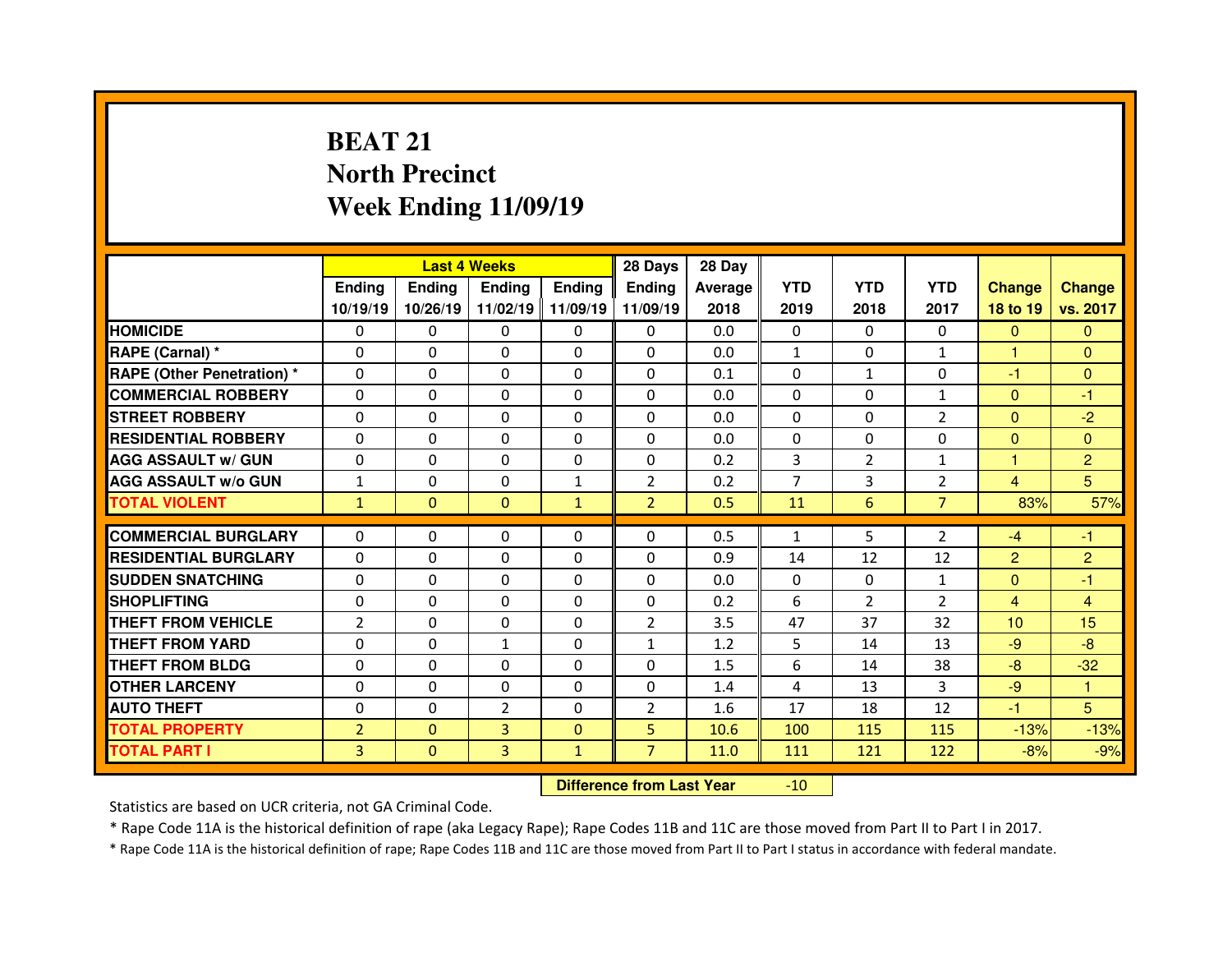# **BEAT 21 North PrecinctWeek Ending 11/09/19**

|                                  |                |               | <b>Last 4 Weeks</b> |                   | 28 Days                                     | 28 Day  |                |                |                |                 |                 |
|----------------------------------|----------------|---------------|---------------------|-------------------|---------------------------------------------|---------|----------------|----------------|----------------|-----------------|-----------------|
|                                  | <b>Ending</b>  | <b>Ending</b> | <b>Ending</b>       | <b>Ending</b>     | <b>Ending</b>                               | Average | <b>YTD</b>     | <b>YTD</b>     | <b>YTD</b>     | <b>Change</b>   | <b>Change</b>   |
|                                  | 10/19/19       | 10/26/19      |                     | 11/02/19 11/09/19 | 11/09/19                                    | 2018    | 2019           | 2018           | 2017           | 18 to 19        | vs. 2017        |
| <b>HOMICIDE</b>                  | $\Omega$       | 0             | 0                   | $\mathbf{0}$      | 0                                           | 0.0     | $\Omega$       | $\Omega$       | $\Omega$       | $\mathbf{0}$    | $\Omega$        |
| RAPE (Carnal) *                  | 0              | 0             | 0                   | $\Omega$          | 0                                           | 0.0     | $\mathbf{1}$   | $\Omega$       | $\mathbf{1}$   | 1               | $\Omega$        |
| <b>RAPE (Other Penetration)*</b> | 0              | $\Omega$      | $\Omega$            | $\Omega$          | 0                                           | 0.1     | $\Omega$       | $\mathbf{1}$   | $\Omega$       | -1              | $\Omega$        |
| <b>COMMERCIAL ROBBERY</b>        | 0              | 0             | 0                   | $\Omega$          | $\Omega$                                    | 0.0     | $\Omega$       | $\Omega$       | $\mathbf{1}$   | $\mathbf{0}$    | -1              |
| <b>STREET ROBBERY</b>            | $\Omega$       | $\Omega$      | $\Omega$            | $\Omega$          | $\Omega$                                    | 0.0     | $\Omega$       | $\Omega$       | $\overline{2}$ | $\overline{0}$  | $-2$            |
| <b>RESIDENTIAL ROBBERY</b>       | 0              | $\Omega$      | $\mathbf{0}$        | $\Omega$          | $\Omega$                                    | 0.0     | 0              | $\Omega$       | $\Omega$       | $\overline{0}$  | $\Omega$        |
| <b>AGG ASSAULT w/ GUN</b>        | 0              | $\Omega$      | $\Omega$            | $\Omega$          | $\Omega$                                    | 0.2     | 3              | $\overline{2}$ | $\mathbf{1}$   | 1               | $\overline{2}$  |
| <b>AGG ASSAULT w/o GUN</b>       | $\mathbf{1}$   | 0             | 0                   | $\mathbf{1}$      | $\overline{2}$                              | 0.2     | $\overline{7}$ | 3              | $\overline{2}$ | $\overline{4}$  | 5               |
| <b>TOTAL VIOLENT</b>             | $\mathbf{1}$   | $\Omega$      | $\Omega$            | $\mathbf{1}$      | $\overline{2}$                              | 0.5     | 11             | 6              | $\overline{7}$ | 83%             | 57%             |
| <b>COMMERCIAL BURGLARY</b>       |                |               |                     |                   | 0                                           |         |                | 5              |                |                 |                 |
|                                  | 0              | 0             | 0                   | 0                 |                                             | 0.5     | $\mathbf{1}$   |                | $\overline{2}$ | $-4$            | $-1$            |
| <b>RESIDENTIAL BURGLARY</b>      | 0              | $\Omega$      | $\Omega$            | $\Omega$          | $\Omega$                                    | 0.9     | 14             | 12             | 12             | $\overline{2}$  | $\overline{2}$  |
| <b>SUDDEN SNATCHING</b>          | 0              | 0             | $\Omega$            | $\Omega$          | $\Omega$                                    | 0.0     | $\Omega$       | $\Omega$       | $\mathbf{1}$   | $\mathbf{0}$    | $-1$            |
| <b>SHOPLIFTING</b>               | 0              | 0             | $\Omega$            | $\Omega$          | $\Omega$                                    | 0.2     | 6              | $\overline{2}$ | $\overline{2}$ | $\overline{4}$  | $\overline{4}$  |
| <b>THEFT FROM VEHICLE</b>        | $\overline{2}$ | 0             | 0                   | $\Omega$          | $\overline{2}$                              | 3.5     | 47             | 37             | 32             | 10 <sup>1</sup> | 15 <sub>1</sub> |
| <b>THEFT FROM YARD</b>           | 0              | $\Omega$      | $\mathbf{1}$        | $\Omega$          | $\mathbf{1}$                                | 1.2     | 5              | 14             | 13             | $-9$            | $-8$            |
| <b>THEFT FROM BLDG</b>           | 0              | 0             | $\Omega$            | $\Omega$          | 0                                           | 1.5     | 6              | 14             | 38             | $-8$            | $-32$           |
| <b>OTHER LARCENY</b>             | 0              | $\Omega$      | $\Omega$            | $\Omega$          | $\Omega$                                    | 1.4     | 4              | 13             | 3              | $-9$            |                 |
| <b>AUTO THEFT</b>                | 0              | 0             | $\overline{2}$      | $\Omega$          | $\overline{2}$                              | 1.6     | 17             | 18             | 12             | -1              | 5               |
| <b>TOTAL PROPERTY</b>            | $\overline{2}$ | $\mathbf{0}$  | 3                   | $\mathbf{0}$      | 5                                           | 10.6    | 100            | 115            | 115            | $-13%$          | $-13%$          |
| <b>TOTAL PART I</b>              | 3              | $\mathbf{0}$  | 3                   | $\mathbf{1}$      | $\overline{7}$                              | 11.0    | 111            | 121            | 122            | $-8%$           | $-9%$           |
|                                  |                |               |                     |                   | <b>INTERNATIONAL ENGINEERS IN STARTINGS</b> |         | $\sim$         |                |                |                 |                 |

 **Difference from Last Year**-10

Statistics are based on UCR criteria, not GA Criminal Code.

\* Rape Code 11A is the historical definition of rape (aka Legacy Rape); Rape Codes 11B and 11C are those moved from Part II to Part I in 2017.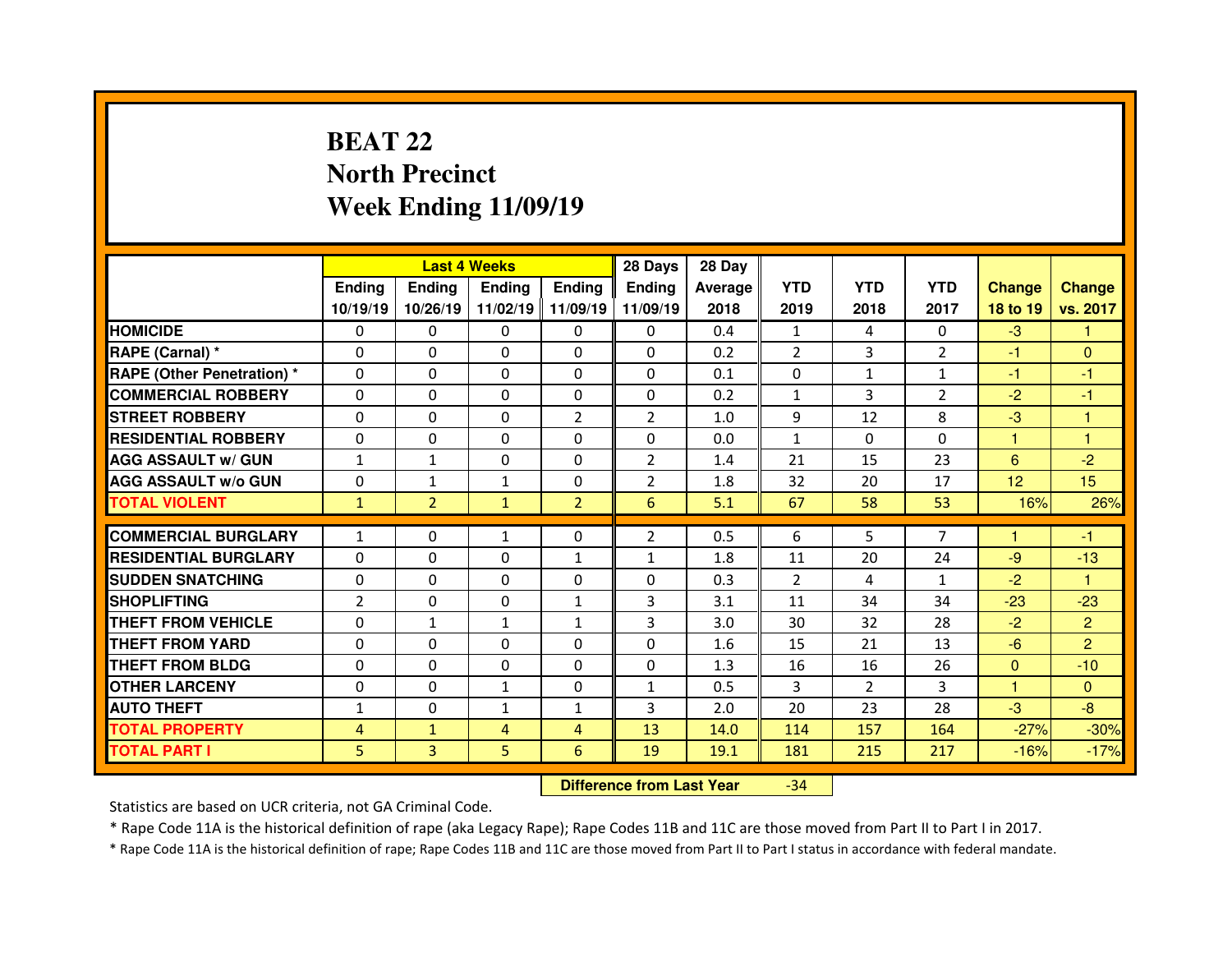# **BEAT 22 North PrecinctWeek Ending 11/09/19**

|                                  |                |                | <b>Last 4 Weeks</b> |                   | 28 Days        | 28 Day  |                |                |                |                |                  |
|----------------------------------|----------------|----------------|---------------------|-------------------|----------------|---------|----------------|----------------|----------------|----------------|------------------|
|                                  | <b>Ending</b>  | <b>Ending</b>  | <b>Ending</b>       | <b>Ending</b>     | Ending         | Average | <b>YTD</b>     | <b>YTD</b>     | <b>YTD</b>     | <b>Change</b>  | <b>Change</b>    |
|                                  | 10/19/19       | 10/26/19       |                     | 11/02/19 11/09/19 | 11/09/19       | 2018    | 2019           | 2018           | 2017           | 18 to 19       | vs. 2017         |
| <b>HOMICIDE</b>                  | $\Omega$       | 0              | 0                   | $\Omega$          | $\Omega$       | 0.4     | $\mathbf{1}$   | $\overline{a}$ | $\Omega$       | $-3$           | 1                |
| RAPE (Carnal) *                  | $\mathbf{0}$   | 0              | $\mathbf{0}$        | $\mathbf{0}$      | $\Omega$       | 0.2     | $\overline{2}$ | 3              | $\overline{2}$ | $-1$           | $\mathbf{0}$     |
| <b>RAPE (Other Penetration)*</b> | $\Omega$       | $\Omega$       | $\Omega$            | $\Omega$          | $\Omega$       | 0.1     | $\Omega$       | $\mathbf{1}$   | $\mathbf{1}$   | $-1$           | $-1$             |
| <b>COMMERCIAL ROBBERY</b>        | $\Omega$       | $\Omega$       | $\mathbf{0}$        | $\Omega$          | $\Omega$       | 0.2     | $\mathbf{1}$   | 3              | $\overline{2}$ | $-2$           | $-1$             |
| <b>STREET ROBBERY</b>            | $\Omega$       | 0              | $\Omega$            | $\overline{2}$    | $\overline{2}$ | 1.0     | 9              | 12             | 8              | $-3$           | $\overline{1}$   |
| <b>RESIDENTIAL ROBBERY</b>       | $\Omega$       | 0              | $\mathbf{0}$        | $\Omega$          | $\Omega$       | 0.0     | $\mathbf{1}$   | $\Omega$       | $\Omega$       | 1              | $\overline{1}$   |
| <b>AGG ASSAULT w/ GUN</b>        | $\mathbf{1}$   | $\mathbf{1}$   | $\Omega$            | $\Omega$          | $\overline{2}$ | 1.4     | 21             | 15             | 23             | 6              | $-2$             |
| <b>AGG ASSAULT w/o GUN</b>       | 0              | $\mathbf{1}$   | $\mathbf{1}$        | 0                 | $\overline{2}$ | 1.8     | 32             | 20             | 17             | 12             | 15 <sub>15</sub> |
| <b>TOTAL VIOLENT</b>             | $\mathbf{1}$   | $\overline{2}$ | $\mathbf{1}$        | $\overline{2}$    | 6              | 5.1     | 67             | 58             | 53             | 16%            | 26%              |
|                                  |                |                |                     |                   |                |         |                |                |                | 1              |                  |
| <b>COMMERCIAL BURGLARY</b>       | $\mathbf{1}$   | 0              | $\mathbf{1}$        | $\mathbf{0}$      | $\overline{2}$ | 0.5     | 6              | 5              | $\overline{7}$ |                | $-1$             |
| <b>RESIDENTIAL BURGLARY</b>      | 0              | 0              | 0                   | $\mathbf{1}$      | $\mathbf{1}$   | 1.8     | 11             | 20             | 24             | $-9$           | $-13$            |
|                                  |                |                |                     |                   |                |         |                |                |                |                |                  |
| <b>SUDDEN SNATCHING</b>          | $\mathbf{0}$   | $\Omega$       | $\mathbf{0}$        | $\Omega$          | $\Omega$       | 0.3     | $\mathcal{P}$  | 4              | $\mathbf{1}$   | $-2$           | $\mathbf{1}$     |
| <b>SHOPLIFTING</b>               | $\overline{2}$ | $\Omega$       | $\Omega$            | 1                 | 3              | 3.1     | 11             | 34             | 34             | $-23$          | $-23$            |
| THEFT FROM VEHICLE               | 0              | $\mathbf{1}$   | $\mathbf{1}$        | $\mathbf{1}$      | 3              | 3.0     | 30             | 32             | 28             | $-2$           | $\overline{2}$   |
| <b>THEFT FROM YARD</b>           | 0              | 0              | $\Omega$            | $\Omega$          | $\Omega$       | 1.6     | 15             | 21             | 13             | $-6$           | $\overline{2}$   |
| <b>THEFT FROM BLDG</b>           | $\Omega$       | $\Omega$       | $\mathbf{0}$        | $\Omega$          | $\Omega$       | 1.3     | 16             | 16             | 26             | $\overline{0}$ | $-10$            |
| <b>OTHER LARCENY</b>             | $\mathbf{0}$   | $\Omega$       | $\mathbf{1}$        | $\Omega$          | $\mathbf{1}$   | 0.5     | 3              | $\mathcal{P}$  | 3              | 1              | $\Omega$         |
| <b>AUTO THEFT</b>                | $\mathbf{1}$   | 0              | $\mathbf{1}$        | $\mathbf{1}$      | 3              | 2.0     | 20             | 23             | 28             | $-3$           | $-8$             |
| <b>TOTAL PROPERTY</b>            | 4              | $\mathbf{1}$   | 4                   | $\overline{4}$    | 13             | 14.0    | 114            | 157            | 164            | $-27%$         | $-30%$           |
| <b>TOTAL PART I</b>              | 5              | 3              | 5                   | 6                 | 19             | 19.1    | 181            | 215            | 217            | $-16%$         | $-17%$           |

 **Difference from Last Year**-34

Statistics are based on UCR criteria, not GA Criminal Code.

\* Rape Code 11A is the historical definition of rape (aka Legacy Rape); Rape Codes 11B and 11C are those moved from Part II to Part I in 2017.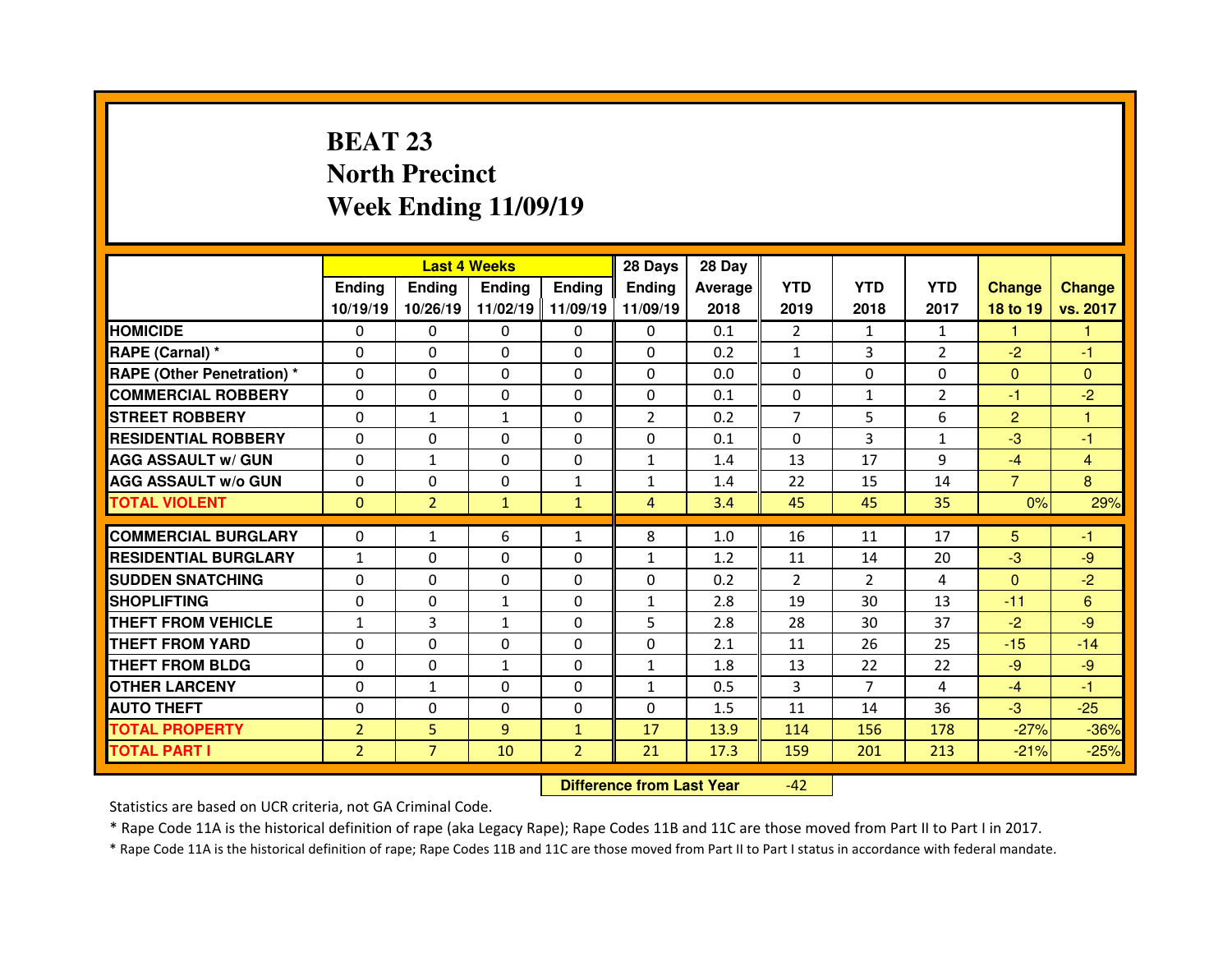# **BEAT 23 North PrecinctWeek Ending 11/09/19**

|                                  |                |                | <b>Last 4 Weeks</b> |                   | 28 Days        | 28 Day  |                |                |                |                |               |
|----------------------------------|----------------|----------------|---------------------|-------------------|----------------|---------|----------------|----------------|----------------|----------------|---------------|
|                                  | <b>Ending</b>  | <b>Ending</b>  | <b>Ending</b>       | <b>Ending</b>     | <b>Ending</b>  | Average | <b>YTD</b>     | <b>YTD</b>     | <b>YTD</b>     | <b>Change</b>  | <b>Change</b> |
|                                  | 10/19/19       | 10/26/19       |                     | 11/02/19 11/09/19 | 11/09/19       | 2018    | 2019           | 2018           | 2017           | 18 to 19       | vs. 2017      |
| <b>HOMICIDE</b>                  | $\Omega$       | 0              | $\Omega$            | $\Omega$          | 0              | 0.1     | $\overline{2}$ | 1              | $\mathbf{1}$   | 1              | 1             |
| RAPE (Carnal) *                  | 0              | $\Omega$       | $\mathbf{0}$        | $\Omega$          | 0              | 0.2     | $\mathbf{1}$   | 3              | $\overline{2}$ | $-2$           | $-1$          |
| <b>RAPE (Other Penetration)*</b> | 0              | $\Omega$       | $\Omega$            | $\Omega$          | 0              | 0.0     | $\Omega$       | $\Omega$       | 0              | $\mathbf{0}$   | $\Omega$      |
| <b>COMMERCIAL ROBBERY</b>        | $\Omega$       | 0              | 0                   | $\Omega$          | 0              | 0.1     | $\Omega$       | $\mathbf{1}$   | $\overline{2}$ | -1             | $-2$          |
| <b>STREET ROBBERY</b>            | 0              | $\mathbf{1}$   | $\mathbf{1}$        | $\Omega$          | $\overline{2}$ | 0.2     | $\overline{7}$ | 5              | 6              | $\overline{2}$ | 1             |
| <b>RESIDENTIAL ROBBERY</b>       | $\Omega$       | $\Omega$       | $\Omega$            | $\Omega$          | $\Omega$       | 0.1     | $\Omega$       | 3              | $\mathbf{1}$   | $-3$           | -1            |
| <b>AGG ASSAULT w/ GUN</b>        | 0              | $\mathbf{1}$   | $\Omega$            | $\Omega$          | $\mathbf{1}$   | 1.4     | 13             | 17             | 9              | $-4$           | 4             |
| <b>AGG ASSAULT w/o GUN</b>       | $\Omega$       | $\Omega$       | $\mathbf{0}$        | $\mathbf{1}$      | $\mathbf{1}$   | 1.4     | 22             | 15             | 14             | $\overline{7}$ | 8             |
| <b>TOTAL VIOLENT</b>             | $\mathbf{0}$   | $\overline{2}$ | $\mathbf{1}$        | $\mathbf{1}$      | $\overline{4}$ | 3.4     | 45             | 45             | 35             | 0%             | 29%           |
| <b>COMMERCIAL BURGLARY</b>       |                |                |                     |                   |                |         |                |                |                |                |               |
|                                  | 0              | $\mathbf{1}$   | 6                   | 1                 | 8              | 1.0     | 16             | 11             | 17             | 5              | -1            |
| <b>RESIDENTIAL BURGLARY</b>      | $\mathbf{1}$   | 0              | 0                   | $\Omega$          | $\mathbf{1}$   | 1.2     | 11             | 14             | 20             | $-3$           | $-9$          |
| <b>SUDDEN SNATCHING</b>          | 0              | $\Omega$       | $\Omega$            | $\Omega$          | 0              | 0.2     | $\overline{2}$ | $\overline{2}$ | 4              | $\overline{0}$ | $-2$          |
| <b>SHOPLIFTING</b>               | 0              | $\Omega$       | $\mathbf{1}$        | $\Omega$          | $\mathbf{1}$   | 2.8     | 19             | 30             | 13             | $-11$          | 6             |
| <b>THEFT FROM VEHICLE</b>        | $\mathbf{1}$   | 3              | $\mathbf{1}$        | $\Omega$          | 5              | 2.8     | 28             | 30             | 37             | $-2$           | $-9$          |
| <b>THEFT FROM YARD</b>           | 0              | $\Omega$       | 0                   | $\Omega$          | 0              | 2.1     | 11             | 26             | 25             | $-15$          | $-14$         |
| <b>THEFT FROM BLDG</b>           | 0              | 0              | $\mathbf{1}$        | $\Omega$          | $\mathbf{1}$   | 1.8     | 13             | 22             | 22             | $-9$           | $-9$          |
| <b>OTHER LARCENY</b>             | 0              | $\mathbf{1}$   | $\Omega$            | $\Omega$          | $\mathbf{1}$   | 0.5     | 3              | $\overline{7}$ | 4              | $-4$           | $-1$          |
| <b>AUTO THEFT</b>                | 0              | 0              | $\mathbf{0}$        | $\Omega$          | 0              | 1.5     | 11             | 14             | 36             | $-3$           | $-25$         |
| <b>TOTAL PROPERTY</b>            | $\overline{2}$ | 5              | $\overline{9}$      | $\mathbf{1}$      | 17             | 13.9    | 114            | 156            | 178            | $-27%$         | $-36%$        |
| <b>TOTAL PART I</b>              | $\overline{2}$ | $\overline{7}$ | 10                  | $\overline{2}$    | 21             | 17.3    | 159            | 201            | 213            | $-21%$         | $-25%$        |
|                                  |                |                |                     |                   |                |         |                |                |                |                |               |

 **Difference from Last Year**-42

Statistics are based on UCR criteria, not GA Criminal Code.

\* Rape Code 11A is the historical definition of rape (aka Legacy Rape); Rape Codes 11B and 11C are those moved from Part II to Part I in 2017.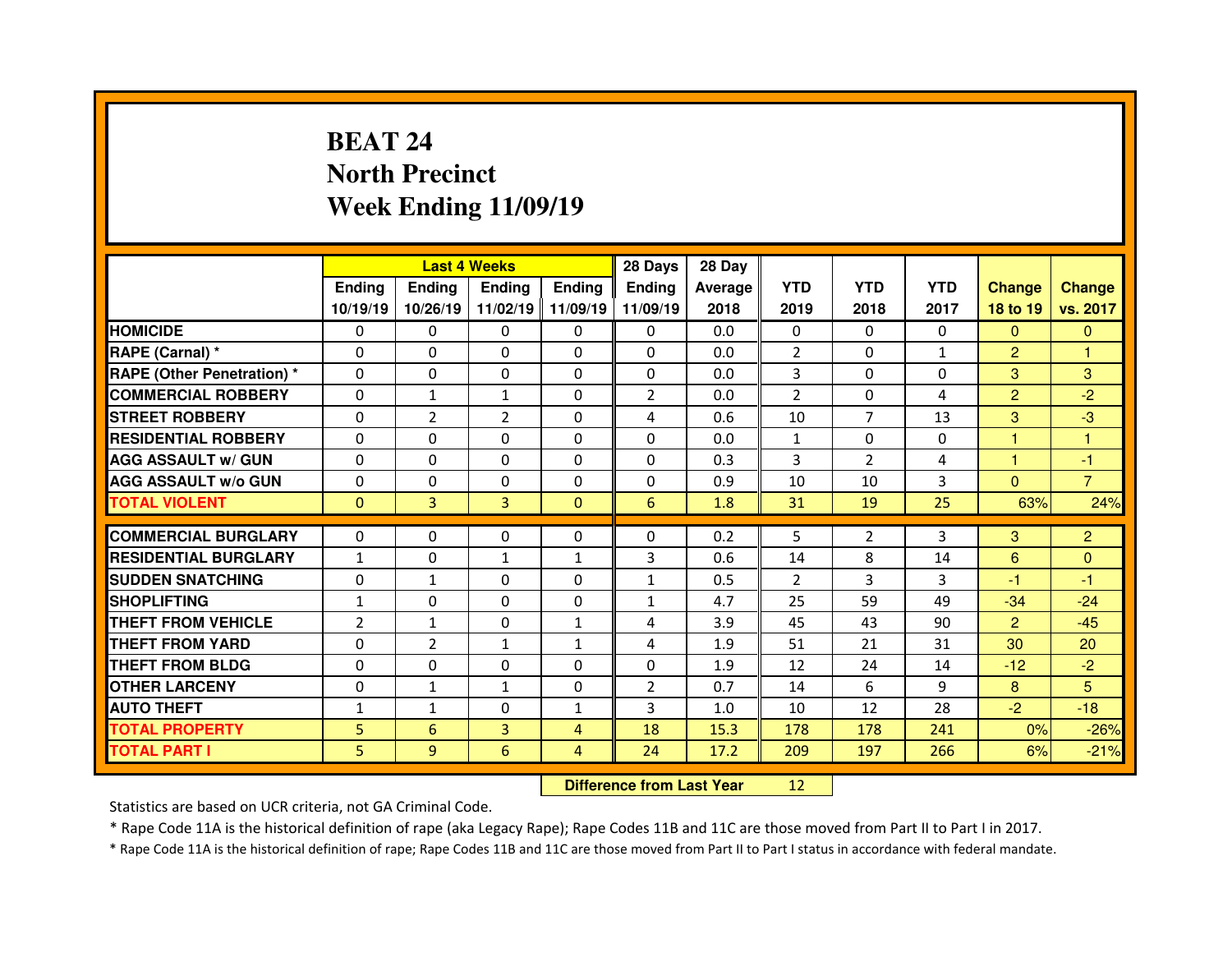# **BEAT 24 North PrecinctWeek Ending 11/09/19**

|                                  |                |                | <b>Last 4 Weeks</b> |                   | 28 Days        | 28 Day  |                |                |              |                |                |
|----------------------------------|----------------|----------------|---------------------|-------------------|----------------|---------|----------------|----------------|--------------|----------------|----------------|
|                                  | <b>Ending</b>  | <b>Ending</b>  | Ending              | <b>Ending</b>     | Ending         | Average | <b>YTD</b>     | <b>YTD</b>     | <b>YTD</b>   | <b>Change</b>  | <b>Change</b>  |
|                                  | 10/19/19       | 10/26/19       |                     | 11/02/19 11/09/19 | 11/09/19       | 2018    | 2019           | 2018           | 2017         | 18 to 19       | vs. 2017       |
| <b>HOMICIDE</b>                  | $\Omega$       | 0              | 0                   | $\Omega$          | $\Omega$       | 0.0     | $\Omega$       | $\Omega$       | $\Omega$     | $\Omega$       | $\mathbf{0}$   |
| RAPE (Carnal) *                  | $\mathbf{0}$   | 0              | $\mathbf{0}$        | $\mathbf{0}$      | $\Omega$       | 0.0     | $\overline{2}$ | $\Omega$       | $\mathbf{1}$ | $\overline{2}$ | 1              |
| <b>RAPE (Other Penetration)*</b> | $\Omega$       | 0              | $\mathbf{0}$        | $\Omega$          | $\Omega$       | 0.0     | 3              | $\Omega$       | $\Omega$     | 3              | 3              |
| <b>COMMERCIAL ROBBERY</b>        | $\Omega$       | $\mathbf{1}$   | $\mathbf{1}$        | $\Omega$          | $\overline{2}$ | 0.0     | $\overline{2}$ | $\Omega$       | 4            | $\overline{2}$ | $-2$           |
| <b>STREET ROBBERY</b>            | $\Omega$       | $\overline{2}$ | $\overline{2}$      | $\Omega$          | 4              | 0.6     | 10             | $\overline{7}$ | 13           | 3              | $-3$           |
| <b>RESIDENTIAL ROBBERY</b>       | $\Omega$       | 0              | $\mathbf{0}$        | $\Omega$          | $\Omega$       | 0.0     | $\mathbf{1}$   | $\Omega$       | $\Omega$     | 1              | $\mathbf{1}$   |
| <b>AGG ASSAULT w/ GUN</b>        | $\Omega$       | $\Omega$       | $\Omega$            | $\Omega$          | $\Omega$       | 0.3     | 3              | $\overline{2}$ | 4            | 1              | $-1$           |
| <b>AGG ASSAULT w/o GUN</b>       | 0              | 0              | 0                   | $\Omega$          | $\Omega$       | 0.9     | 10             | 10             | 3            | $\overline{0}$ | $\overline{7}$ |
| <b>TOTAL VIOLENT</b>             | $\mathbf{0}$   | 3              | 3                   | $\Omega$          | 6              | 1.8     | 31             | 19             | 25           | 63%            | 24%            |
| <b>COMMERCIAL BURGLARY</b>       |                |                |                     |                   |                |         |                |                |              |                |                |
|                                  |                |                |                     |                   |                |         |                |                |              |                |                |
|                                  | 0              | 0              | 0                   | $\mathbf{0}$      | 0              | 0.2     | 5              | $\overline{2}$ | 3            | 3              | $\overline{2}$ |
| <b>RESIDENTIAL BURGLARY</b>      | $\mathbf{1}$   | 0              | $\mathbf{1}$        | 1                 | 3              | 0.6     | 14             | 8              | 14           | 6              | $\mathbf{0}$   |
| <b>SUDDEN SNATCHING</b>          | $\mathbf{0}$   | $\mathbf{1}$   | $\mathbf{0}$        | $\Omega$          | $\mathbf{1}$   | 0.5     | 2              | 3              | 3            | -1             | $-1$           |
| <b>SHOPLIFTING</b>               | $\mathbf{1}$   | $\Omega$       | $\Omega$            | $\Omega$          | $\mathbf{1}$   | 4.7     | 25             | 59             | 49           | $-34$          | $-24$          |
| THEFT FROM VEHICLE               | $\overline{2}$ | $\mathbf{1}$   | $\Omega$            | $\mathbf{1}$      | 4              | 3.9     | 45             | 43             | 90           | $\overline{2}$ | $-45$          |
| <b>THEFT FROM YARD</b>           | 0              | $\overline{2}$ | $\mathbf{1}$        | 1                 | 4              | 1.9     | 51             | 21             | 31           | 30             | 20             |
| <b>THEFT FROM BLDG</b>           | $\Omega$       | $\Omega$       | $\mathbf{0}$        | $\Omega$          | $\Omega$       | 1.9     | 12             | 24             | 14           | $-12$          | $-2$           |
| <b>OTHER LARCENY</b>             | $\mathbf{0}$   | $\mathbf{1}$   | $\mathbf{1}$        | $\Omega$          | $\overline{2}$ | 0.7     | 14             | 6              | 9            | 8              | 5              |
| <b>AUTO THEFT</b>                | $\mathbf{1}$   | $\mathbf{1}$   | $\mathbf{0}$        | $\mathbf{1}$      | 3              | 1.0     | 10             | 12             | 28           | $-2$           | $-18$          |
| <b>TOTAL PROPERTY</b>            | 5              | 6              | 3                   | $\overline{4}$    | 18             | 15.3    | 178            | 178            | 241          | 0%             | $-26%$         |
| <b>TOTAL PART I</b>              | 5              | 9              | 6                   | 4                 | 24             | 17.2    | 209            | 197            | 266          | 6%             | $-21%$         |

 **Difference from Last Year**<sup>12</sup>

Statistics are based on UCR criteria, not GA Criminal Code.

\* Rape Code 11A is the historical definition of rape (aka Legacy Rape); Rape Codes 11B and 11C are those moved from Part II to Part I in 2017.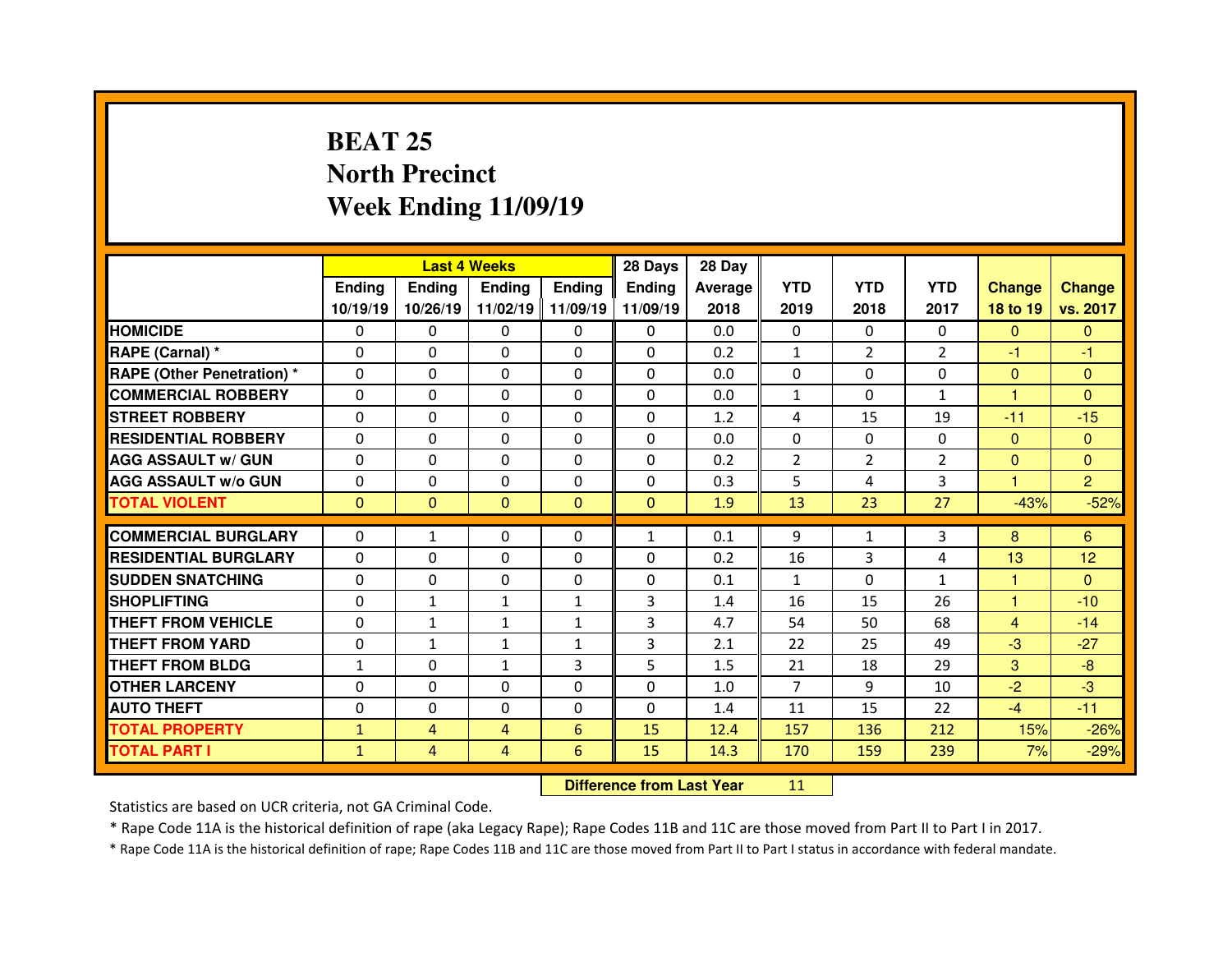# **BEAT 25 North PrecinctWeek Ending 11/09/19**

|                                  |               |                | <b>Last 4 Weeks</b> |                   | 28 Days       | 28 Day  |                |                |                |                |                |
|----------------------------------|---------------|----------------|---------------------|-------------------|---------------|---------|----------------|----------------|----------------|----------------|----------------|
|                                  | <b>Ending</b> | <b>Endina</b>  | <b>Ending</b>       | <b>Ending</b>     | <b>Ending</b> | Average | <b>YTD</b>     | <b>YTD</b>     | <b>YTD</b>     | <b>Change</b>  | <b>Change</b>  |
|                                  | 10/19/19      | 10/26/19       |                     | 11/02/19 11/09/19 | 11/09/19      | 2018    | 2019           | 2018           | 2017           | 18 to 19       | vs. 2017       |
| <b>HOMICIDE</b>                  | $\Omega$      | 0              | $\Omega$            | $\Omega$          | 0             | 0.0     | $\Omega$       | $\Omega$       | $\Omega$       | $\mathbf{0}$   | $\Omega$       |
| RAPE (Carnal) *                  | 0             | $\Omega$       | $\mathbf{0}$        | $\Omega$          | 0             | 0.2     | $\mathbf{1}$   | $\overline{2}$ | $\overline{2}$ | -1             | -1             |
| <b>RAPE (Other Penetration)*</b> | 0             | $\Omega$       | $\Omega$            | $\Omega$          | $\Omega$      | 0.0     | 0              | $\Omega$       | $\Omega$       | $\overline{0}$ | $\Omega$       |
| <b>COMMERCIAL ROBBERY</b>        | $\Omega$      | 0              | $\Omega$            | $\Omega$          | 0             | 0.0     | $\mathbf{1}$   | $\Omega$       | $\mathbf{1}$   | 1              | $\Omega$       |
| <b>STREET ROBBERY</b>            | 0             | $\Omega$       | $\mathbf{0}$        | $\Omega$          | 0             | 1.2     | 4              | 15             | 19             | $-11$          | $-15$          |
| <b>RESIDENTIAL ROBBERY</b>       | $\Omega$      | $\Omega$       | $\Omega$            | $\Omega$          | $\Omega$      | 0.0     | $\Omega$       | $\Omega$       | $\Omega$       | $\mathbf{0}$   | $\Omega$       |
| <b>AGG ASSAULT w/ GUN</b>        | 0             | 0              | $\Omega$            | $\Omega$          | 0             | 0.2     | 2              | $\overline{2}$ | $\overline{2}$ | $\mathbf{0}$   | $\Omega$       |
| <b>AGG ASSAULT w/o GUN</b>       | $\Omega$      | $\Omega$       | $\mathbf{0}$        | $\Omega$          | $\Omega$      | 0.3     | 5              | 4              | 3              | 1.             | $\overline{2}$ |
| <b>TOTAL VIOLENT</b>             | $\mathbf{0}$  | $\mathbf{0}$   | $\mathbf{0}$        | $\mathbf{0}$      | $\mathbf{0}$  | 1.9     | 13             | 23             | 27             | $-43%$         | $-52%$         |
|                                  |               |                |                     |                   |               |         |                |                |                |                |                |
| <b>COMMERCIAL BURGLARY</b>       | 0             | $\mathbf{1}$   | 0                   | 0                 | $\mathbf{1}$  | 0.1     | 9              | $\mathbf{1}$   | 3              | 8              | 6              |
| <b>RESIDENTIAL BURGLARY</b>      | $\Omega$      | $\Omega$       | 0                   | $\Omega$          | 0             | 0.2     | 16             | 3              | 4              | 13             | 12             |
|                                  |               |                |                     | $\Omega$          |               |         | $\mathbf{1}$   |                |                |                | $\Omega$       |
| <b>SUDDEN SNATCHING</b>          | 0             | $\Omega$       | $\Omega$            |                   | 0             | 0.1     |                | $\Omega$       | $\mathbf{1}$   | 1              |                |
| <b>SHOPLIFTING</b>               | 0             | $\mathbf{1}$   | $\mathbf{1}$        | 1                 | 3             | 1.4     | 16             | 15             | 26             | 1              | $-10$          |
| <b>THEFT FROM VEHICLE</b>        | 0             | $\mathbf{1}$   | $\mathbf{1}$        | $\mathbf{1}$      | 3             | 4.7     | 54             | 50             | 68             | $\overline{4}$ | $-14$          |
| <b>THEFT FROM YARD</b>           | 0             | $\mathbf{1}$   | $\mathbf{1}$        | 1                 | 3             | 2.1     | 22             | 25             | 49             | $-3$           | $-27$          |
| <b>THEFT FROM BLDG</b>           | $\mathbf{1}$  | 0              | $\mathbf{1}$        | 3                 | 5             | 1.5     | 21             | 18             | 29             | 3              | $-8$           |
| <b>OTHER LARCENY</b>             | 0             | 0              | $\Omega$            | $\Omega$          | $\Omega$      | 1.0     | $\overline{7}$ | 9              | 10             | $-2$           | $-3$           |
| <b>AUTO THEFT</b>                | 0             | 0              | 0                   | $\Omega$          | 0             | 1.4     | 11             | 15             | 22             | $-4$           | $-11$          |
| <b>TOTAL PROPERTY</b>            | $\mathbf{1}$  | $\overline{4}$ | 4                   | 6                 | 15            | 12.4    | 157            | 136            | 212            | 15%            | $-26%$         |
| <b>TOTAL PART I</b>              | $\mathbf{1}$  | $\overline{4}$ | 4                   | 6                 | 15            | 14.3    | 170            | 159            | 239            | 7%             | $-29%$         |

 **Difference from Last Year**<sup>11</sup>

Statistics are based on UCR criteria, not GA Criminal Code.

\* Rape Code 11A is the historical definition of rape (aka Legacy Rape); Rape Codes 11B and 11C are those moved from Part II to Part I in 2017.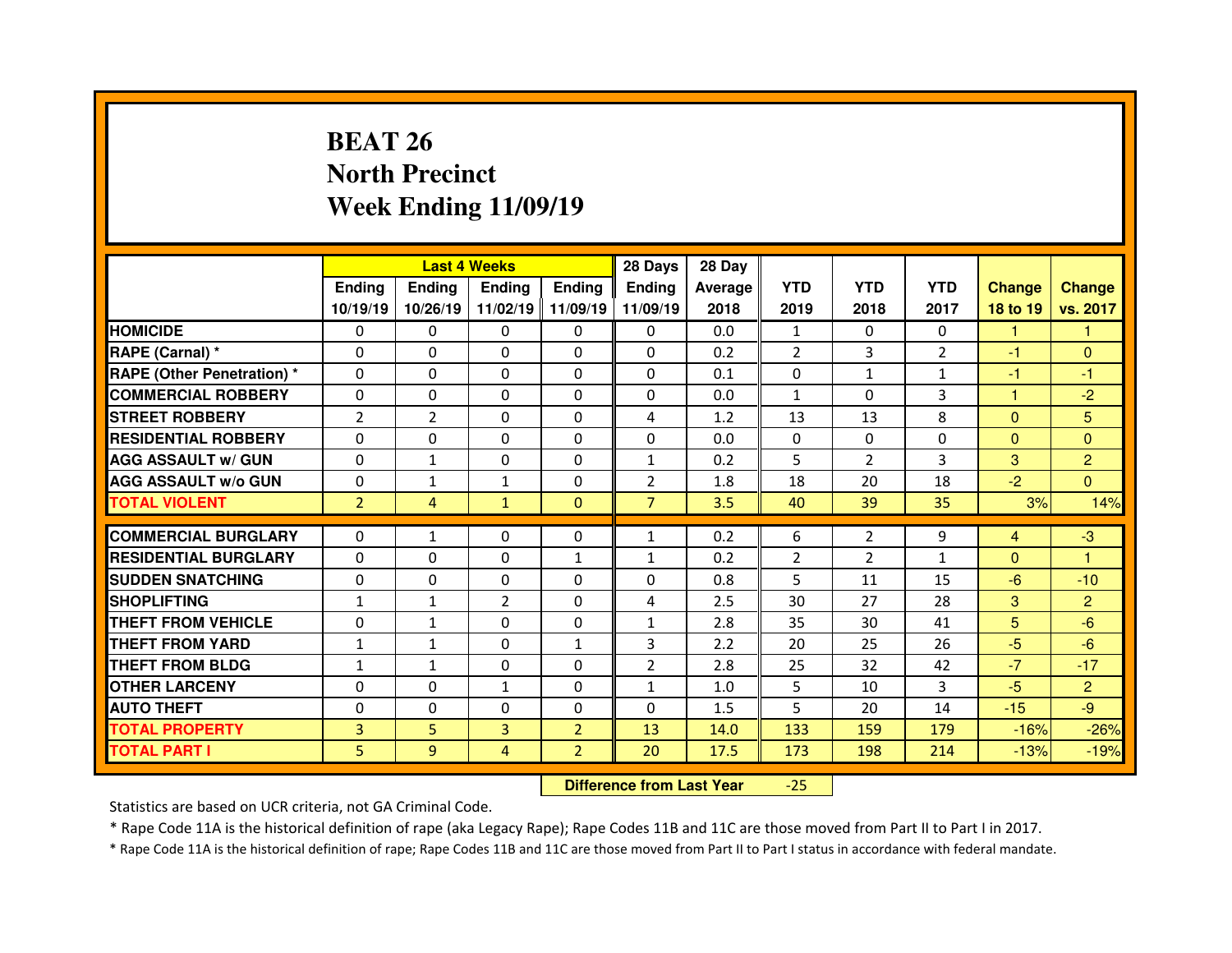# **BEAT 26 North PrecinctWeek Ending 11/09/19**

|                                  |                |                | <b>Last 4 Weeks</b> |                   | 28 Days        | 28 Day  |              |                |                |               |                |
|----------------------------------|----------------|----------------|---------------------|-------------------|----------------|---------|--------------|----------------|----------------|---------------|----------------|
|                                  | <b>Ending</b>  | <b>Ending</b>  | <b>Ending</b>       | <b>Ending</b>     | <b>Ending</b>  | Average | <b>YTD</b>   | <b>YTD</b>     | <b>YTD</b>     | <b>Change</b> | <b>Change</b>  |
|                                  | 10/19/19       | 10/26/19       |                     | 11/02/19 11/09/19 | 11/09/19       | 2018    | 2019         | 2018           | 2017           | 18 to 19      | vs. 2017       |
| <b>HOMICIDE</b>                  | $\Omega$       | $\Omega$       | $\Omega$            | $\Omega$          | $\Omega$       | 0.0     | 1            | $\Omega$       | $\Omega$       | 1             | 1              |
| RAPE (Carnal) *                  | $\Omega$       | $\Omega$       | $\Omega$            | $\Omega$          | $\Omega$       | 0.2     | 2            | 3              | $\overline{2}$ | $-1$          | $\Omega$       |
| <b>RAPE (Other Penetration)*</b> | $\Omega$       | $\Omega$       | $\mathbf{0}$        | $\Omega$          | $\Omega$       | 0.1     | $\Omega$     | $\mathbf{1}$   | $\mathbf{1}$   | $-1$          | $-1$           |
| <b>COMMERCIAL ROBBERY</b>        | $\Omega$       | $\Omega$       | $\mathbf{0}$        | $\Omega$          | $\Omega$       | 0.0     | $\mathbf{1}$ | $\Omega$       | 3              | 1             | $-2$           |
| <b>STREET ROBBERY</b>            | $\overline{2}$ | $\overline{2}$ | $\Omega$            | $\Omega$          | 4              | 1.2     | 13           | 13             | 8              | $\Omega$      | 5              |
| <b>RESIDENTIAL ROBBERY</b>       | $\Omega$       | $\Omega$       | $\Omega$            | $\Omega$          | $\Omega$       | 0.0     | $\Omega$     | $\Omega$       | $\Omega$       | $\Omega$      | $\Omega$       |
| <b>AGG ASSAULT w/ GUN</b>        | $\Omega$       | $\mathbf{1}$   | $\Omega$            | $\Omega$          | $\mathbf{1}$   | 0.2     | 5            | $\overline{2}$ | 3              | 3             | $\overline{2}$ |
| <b>AGG ASSAULT w/o GUN</b>       | $\Omega$       | $\mathbf{1}$   | $\mathbf{1}$        | $\Omega$          | $\overline{2}$ | 1.8     | 18           | 20             | 18             | $-2$          | $\Omega$       |
| <b>TOTAL VIOLENT</b>             | $\overline{2}$ | $\overline{4}$ | $\mathbf{1}$        | $\Omega$          | $\overline{7}$ | 3.5     | 40           | 39             | 35             | 3%            | 14%            |
|                                  |                |                |                     |                   |                |         |              |                |                |               |                |
|                                  |                |                |                     |                   |                |         |              |                |                |               |                |
| <b>COMMERCIAL BURGLARY</b>       | 0              | $\mathbf{1}$   | 0                   | $\Omega$          | $\mathbf{1}$   | 0.2     | 6            | $\overline{2}$ | 9              | 4             | $-3$           |
| <b>RESIDENTIAL BURGLARY</b>      | 0              | $\Omega$       | $\Omega$            | 1                 | $\mathbf{1}$   | 0.2     | 2            | $\overline{2}$ | $\mathbf{1}$   | $\Omega$      | 1              |
| <b>SUDDEN SNATCHING</b>          | 0              | 0              | 0                   | $\Omega$          | 0              | 0.8     | 5            | 11             | 15             | $-6$          | $-10$          |
| <b>SHOPLIFTING</b>               | $\mathbf{1}$   | $\mathbf{1}$   | $\overline{2}$      | $\Omega$          | 4              | 2.5     | 30           | 27             | 28             | 3             | $\overline{2}$ |
| <b>THEFT FROM VEHICLE</b>        | 0              | $\mathbf{1}$   | $\mathbf{0}$        | $\mathbf{0}$      | $\mathbf{1}$   | 2.8     | 35           | 30             | 41             | 5             | $-6$           |
| <b>THEFT FROM YARD</b>           | $\mathbf{1}$   | $\mathbf{1}$   | $\Omega$            | $\mathbf{1}$      | 3              | 2.2     | 20           | 25             | 26             | $-5$          | $-6$           |
| <b>THEFT FROM BLDG</b>           | $\mathbf{1}$   | $\mathbf{1}$   | $\mathbf{0}$        | $\Omega$          | $\overline{2}$ | 2.8     | 25           | 32             | 42             | $-7$          | $-17$          |
| <b>OTHER LARCENY</b>             | 0              | 0              | $\mathbf{1}$        | $\Omega$          | $\mathbf{1}$   | 1.0     | 5            | 10             | 3              | $-5$          | $\overline{2}$ |
| <b>AUTO THEFT</b>                | $\mathbf{0}$   | 0              | $\mathbf{0}$        | $\Omega$          | 0              | 1.5     | 5            | 20             | 14             | $-15$         | $-9$           |
| <b>TOTAL PROPERTY</b>            | 3              | 5              | 3                   | $\overline{2}$    | 13             | 14.0    | 133          | 159            | 179            | $-16%$        | $-26%$         |
| <b>TOTAL PART I</b>              | 5              | 9              | 4                   | $\overline{2}$    | 20             | 17.5    | 173          | 198            | 214            | $-13%$        | $-19%$         |

 **Difference from Last Year**-25

Statistics are based on UCR criteria, not GA Criminal Code.

\* Rape Code 11A is the historical definition of rape (aka Legacy Rape); Rape Codes 11B and 11C are those moved from Part II to Part I in 2017.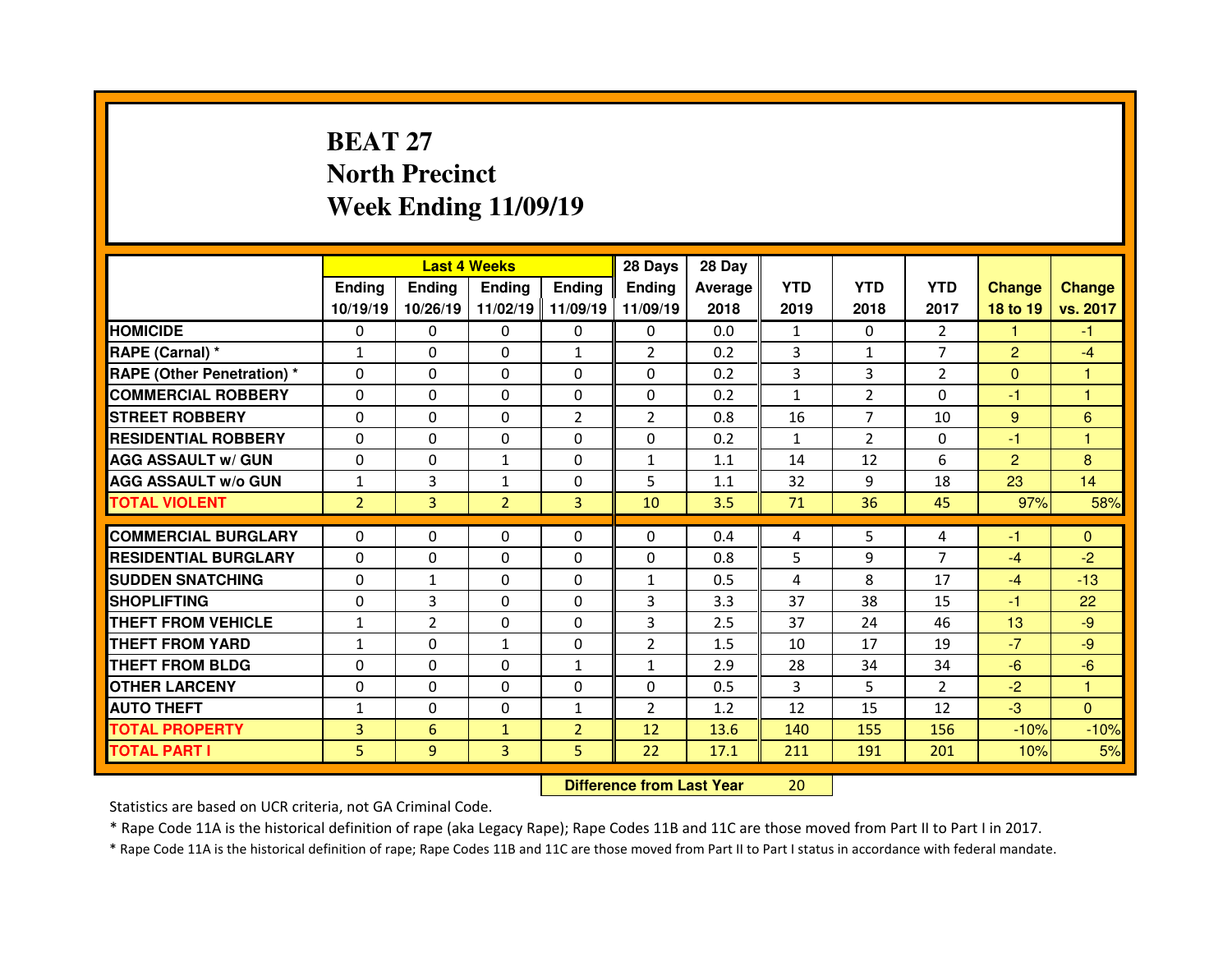# **BEAT 27 North PrecinctWeek Ending 11/09/19**

|                                   |                |                 | <b>Last 4 Weeks</b> |                | 28 Days                          | 28 Day  |                |                |                |                |               |
|-----------------------------------|----------------|-----------------|---------------------|----------------|----------------------------------|---------|----------------|----------------|----------------|----------------|---------------|
|                                   | <b>Ending</b>  | <b>Ending</b>   | <b>Ending</b>       | Ending         | <b>Ending</b>                    | Average | <b>YTD</b>     | <b>YTD</b>     | <b>YTD</b>     | <b>Change</b>  | <b>Change</b> |
|                                   | 10/19/19       | 10/26/19        | 11/02/19   11/09/19 |                | 11/09/19                         | 2018    | 2019           | 2018           | 2017           | 18 to 19       | vs. 2017      |
| <b>HOMICIDE</b>                   | $\Omega$       | 0               | 0                   | $\mathbf{0}$   | 0                                | 0.0     | 1              | $\Omega$       | $\overline{2}$ | 1              | $-1$          |
| RAPE (Carnal) *                   | $\mathbf{1}$   | 0               | 0                   | $\mathbf{1}$   | $\overline{2}$                   | 0.2     | 3              | $\mathbf{1}$   | $\overline{7}$ | $\overline{2}$ | $-4$          |
| <b>RAPE (Other Penetration) *</b> | 0              | 0               | 0                   | 0              | $\Omega$                         | 0.2     | $\overline{3}$ | $\overline{3}$ | $\overline{2}$ | $\overline{0}$ | 1             |
| <b>COMMERCIAL ROBBERY</b>         | $\Omega$       | 0               | $\Omega$            | $\Omega$       | $\Omega$                         | 0.2     | $\mathbf{1}$   | $\overline{2}$ | $\Omega$       | $-1$           | 1             |
| <b>STREET ROBBERY</b>             | $\Omega$       | 0               | $\Omega$            | $\overline{2}$ | 2                                | 0.8     | 16             | $\overline{7}$ | 10             | 9              | 6             |
| <b>RESIDENTIAL ROBBERY</b>        | $\Omega$       | $\Omega$        | $\mathbf{0}$        | $\Omega$       | $\Omega$                         | 0.2     | $\mathbf{1}$   | $\overline{2}$ | $\Omega$       | -1             | 1             |
| <b>AGG ASSAULT w/ GUN</b>         | $\Omega$       | $\Omega$        | $\mathbf{1}$        | $\Omega$       | $\mathbf{1}$                     | 1.1     | 14             | 12             | 6              | $\overline{2}$ | 8             |
| <b>AGG ASSAULT w/o GUN</b>        | $\mathbf{1}$   | 3               | $\mathbf{1}$        | 0              | 5                                | 1.1     | 32             | 9              | 18             | 23             | 14            |
| <b>TOTAL VIOLENT</b>              | $\overline{2}$ | 3               | $\overline{2}$      | $\overline{3}$ | 10                               | 3.5     | 71             | 36             | 45             | 97%            | 58%           |
| <b>COMMERCIAL BURGLARY</b>        | $\Omega$       | $\Omega$        | $\mathbf{0}$        | $\Omega$       | $\Omega$                         | 0.4     | 4              | 5              | 4              | -1             | $\mathbf{0}$  |
| <b>RESIDENTIAL BURGLARY</b>       | $\Omega$       | 0               | 0                   | $\Omega$       | 0                                | 0.8     | 5              | 9              | $\overline{7}$ | $-4$           | $-2$          |
| <b>SUDDEN SNATCHING</b>           | 0              | $\mathbf{1}$    | 0                   | $\Omega$       | $\mathbf{1}$                     | 0.5     | 4              | 8              | 17             | $-4$           | $-13$         |
| <b>SHOPLIFTING</b>                | 0              | 3               | $\Omega$            | $\Omega$       | 3                                | 3.3     | 37             | 38             | 15             | $-1$           | 22            |
| <b>THEFT FROM VEHICLE</b>         | $\mathbf{1}$   | $\overline{2}$  | 0                   | 0              | 3                                | 2.5     | 37             | 24             | 46             | 13             | $-9$          |
| <b>THEFT FROM YARD</b>            | $\mathbf{1}$   | 0               | $\mathbf{1}$        | 0              | $\overline{2}$                   | 1.5     | 10             | 17             | 19             | $-7$           | $-9$          |
| <b>THEFT FROM BLDG</b>            | 0              | 0               | 0                   | $\mathbf{1}$   | $\mathbf{1}$                     | 2.9     | 28             | 34             | 34             | $-6$           | $-6$          |
| <b>OTHER LARCENY</b>              | 0              | 0               | 0                   | 0              | $\Omega$                         | 0.5     | 3              | 5              | $\overline{2}$ | $-2$           | 1             |
| <b>AUTO THEFT</b>                 | $\mathbf{1}$   | 0               | $\Omega$            | $\mathbf{1}$   | $\overline{2}$                   | 1.2     | 12             | 15             | 12             | $-3$           | $\Omega$      |
| <b>TOTAL PROPERTY</b>             | 3              | $6\overline{6}$ | $\mathbf{1}$        | $\overline{2}$ | 12                               | 13.6    | 140            | 155            | 156            | $-10%$         | $-10%$        |
| <b>TOTAL PART I</b>               | 5              | 9               | 3                   | 5              | 22                               | 17.1    | 211            | 191            | 201            | 10%            | 5%            |
|                                   |                |                 |                     |                | <b>Difference from Last Year</b> |         | 20             |                |                |                |               |

Statistics are based on UCR criteria, not GA Criminal Code.

\* Rape Code 11A is the historical definition of rape (aka Legacy Rape); Rape Codes 11B and 11C are those moved from Part II to Part I in 2017.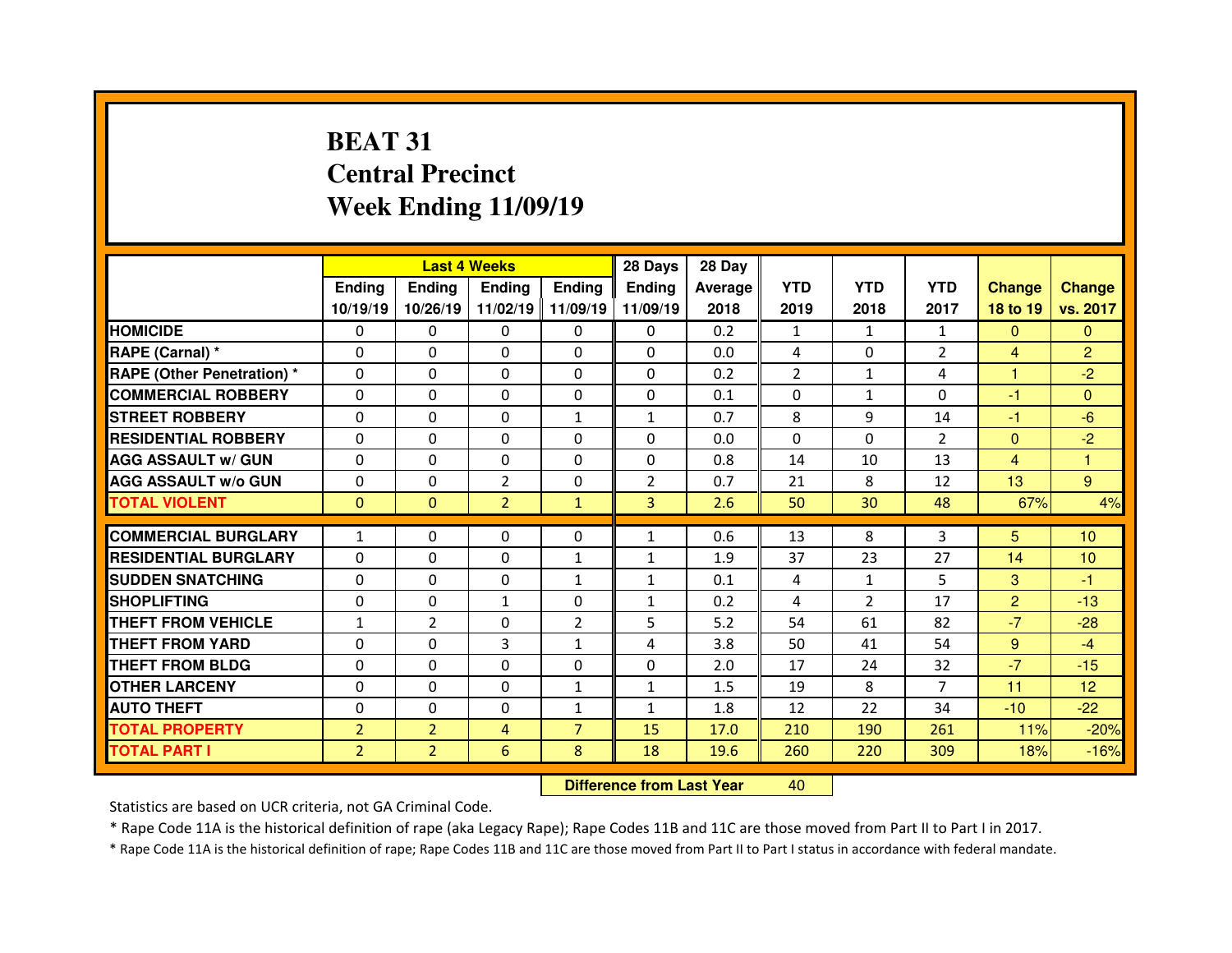# **BEAT 31 Central PrecinctWeek Ending 11/09/19**

|                                  |                | <b>Last 4 Weeks</b> |                |                   | 28 Days        | 28 Day     |            |                |                |                |                 |
|----------------------------------|----------------|---------------------|----------------|-------------------|----------------|------------|------------|----------------|----------------|----------------|-----------------|
|                                  | <b>Ending</b>  | <b>Endina</b>       | <b>Ending</b>  | <b>Ending</b>     | <b>Ending</b>  | Average    | <b>YTD</b> | <b>YTD</b>     | <b>YTD</b>     | <b>Change</b>  | <b>Change</b>   |
|                                  | 10/19/19       | 10/26/19            |                | 11/02/19 11/09/19 | 11/09/19       | 2018       | 2019       | 2018           | 2017           | 18 to 19       | vs. 2017        |
| <b>HOMICIDE</b>                  | $\Omega$       | 0                   | $\Omega$       | $\Omega$          | 0              | 0.2        | 1          | $\mathbf{1}$   | $\mathbf{1}$   | $\Omega$       | $\Omega$        |
| RAPE (Carnal) *                  | 0              | $\Omega$            | $\mathbf{0}$   | $\Omega$          | 0              | 0.0        | 4          | $\Omega$       | $\overline{2}$ | 4              | $\overline{2}$  |
| <b>RAPE (Other Penetration)*</b> | 0              | $\Omega$            | $\Omega$       | $\Omega$          | 0              | 0.2        | 2          | $\mathbf{1}$   | 4              | 1              | $-2$            |
| <b>COMMERCIAL ROBBERY</b>        | $\Omega$       | 0                   | $\Omega$       | $\Omega$          | 0              | 0.1        | $\Omega$   | 1              | $\Omega$       | $-1$           | $\Omega$        |
| <b>STREET ROBBERY</b>            | 0              | $\Omega$            | $\mathbf{0}$   | $\mathbf{1}$      | $\mathbf{1}$   | 0.7        | 8          | 9              | 14             | $-1$           | $-6$            |
| <b>RESIDENTIAL ROBBERY</b>       | $\Omega$       | $\Omega$            | $\mathbf{0}$   | $\Omega$          | $\Omega$       | 0.0        | $\Omega$   | $\Omega$       | $\overline{2}$ | $\mathbf{0}$   | $-2$            |
| <b>AGG ASSAULT w/ GUN</b>        | 0              | 0                   | $\Omega$       | $\Omega$          | 0              | 0.8        | 14         | 10             | 13             | $\overline{4}$ | 1               |
| <b>AGG ASSAULT w/o GUN</b>       | $\Omega$       | $\Omega$            | $\overline{2}$ | $\Omega$          | $\overline{2}$ | 0.7        | 21         | 8              | 12             | 13             | 9               |
| <b>TOTAL VIOLENT</b>             | $\mathbf{0}$   | $\mathbf{0}$        | $\overline{2}$ | $\mathbf{1}$      | 3 <sup>1</sup> | 2.6        | 50         | 30             | 48             | 67%            | 4%              |
| <b>COMMERCIAL BURGLARY</b>       |                |                     |                |                   |                |            |            | 8              |                |                |                 |
|                                  | $\mathbf{1}$   | 0                   | 0              | 0                 | $\mathbf{1}$   | 0.6        | 13         |                | 3              | 5              | 10 <sup>°</sup> |
| <b>RESIDENTIAL BURGLARY</b>      | $\Omega$       | 0                   | 0              | 1                 | $\mathbf{1}$   | 1.9<br>0.1 | 37         | 23             | 27             | 14             | 10              |
| <b>SUDDEN SNATCHING</b>          | 0              | $\Omega$            | $\Omega$       | $\mathbf{1}$      | $\mathbf{1}$   |            | 4          | $\mathbf{1}$   | 5              |                | $-1$            |
|                                  |                |                     |                |                   |                |            |            |                |                | 3              |                 |
| <b>SHOPLIFTING</b>               | 0              | $\Omega$            | $\mathbf{1}$   | $\Omega$          | $\mathbf{1}$   | 0.2        | 4          | $\overline{2}$ | 17             | $\overline{2}$ | $-13$           |
| <b>THEFT FROM VEHICLE</b>        | $\mathbf{1}$   | 2                   | 0              | $\overline{2}$    | 5              | 5.2        | 54         | 61             | 82             | $-7$           | $-28$           |
| <b>THEFT FROM YARD</b>           | 0              | $\Omega$            | 3              | $\mathbf{1}$      | 4              | 3.8        | 50         | 41             | 54             | $9^{\circ}$    | $-4$            |
| <b>THEFT FROM BLDG</b>           | 0              | 0                   | $\mathbf{0}$   | $\Omega$          | 0              | 2.0        | 17         | 24             | 32             | $-7$           | $-15$           |
| <b>OTHER LARCENY</b>             | 0              | 0                   | $\Omega$       | $\mathbf{1}$      | $\mathbf{1}$   | 1.5        | 19         | 8              | $\overline{7}$ | 11             | 12 <sup>°</sup> |
| <b>AUTO THEFT</b>                | 0              | 0                   | 0              | 1                 | $\mathbf{1}$   | 1.8        | 12         | 22             | 34             | $-10$          | $-22$           |
| <b>TOTAL PROPERTY</b>            | $\overline{2}$ | $\overline{2}$      | 4              | $\overline{7}$    | 15             | 17.0       | 210        | 190            | 261            | 11%            | $-20%$          |
| <b>TOTAL PART I</b>              | $\overline{2}$ | $\overline{2}$      | 6              | 8                 | 18             | 19.6       | 260        | 220            | 309            | 18%            | $-16%$          |

 **Difference from Last Year**<sup>40</sup>

Statistics are based on UCR criteria, not GA Criminal Code.

\* Rape Code 11A is the historical definition of rape (aka Legacy Rape); Rape Codes 11B and 11C are those moved from Part II to Part I in 2017.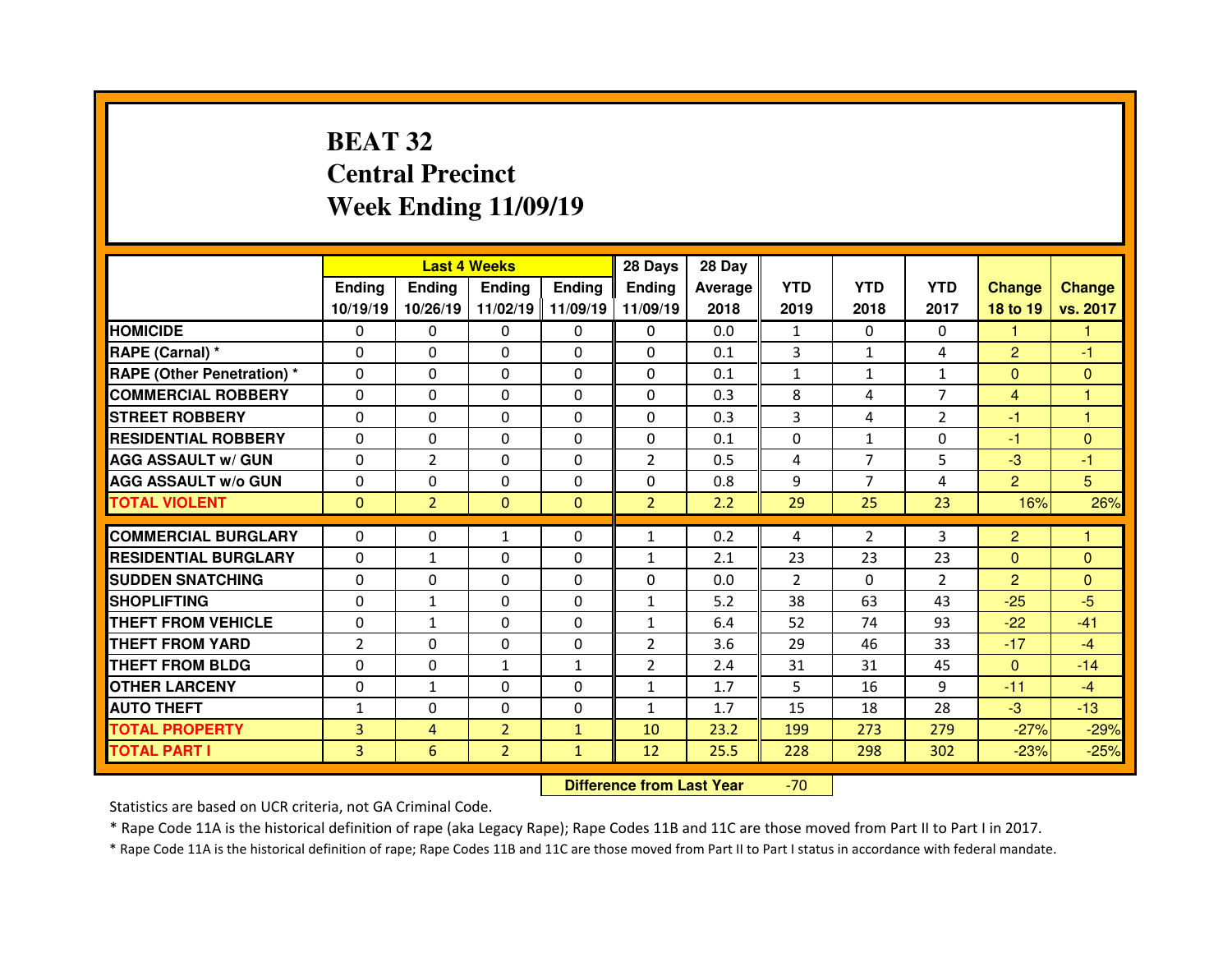# **BEAT 32 Central PrecinctWeek Ending 11/09/19**

|                                  |                |                | <b>Last 4 Weeks</b> |                   | 28 Days        | 28 Day  |              |                |                |                |               |
|----------------------------------|----------------|----------------|---------------------|-------------------|----------------|---------|--------------|----------------|----------------|----------------|---------------|
|                                  | <b>Ending</b>  | <b>Ending</b>  | <b>Ending</b>       | <b>Ending</b>     | <b>Ending</b>  | Average | <b>YTD</b>   | <b>YTD</b>     | <b>YTD</b>     | <b>Change</b>  | <b>Change</b> |
|                                  | 10/19/19       | 10/26/19       |                     | 11/02/19 11/09/19 | 11/09/19       | 2018    | 2019         | 2018           | 2017           | 18 to 19       | vs. 2017      |
| <b>HOMICIDE</b>                  | $\Omega$       | 0              | $\Omega$            | $\Omega$          | 0              | 0.0     | 1            | $\Omega$       | $\Omega$       | 1              | 1             |
| RAPE (Carnal) *                  | 0              | $\Omega$       | $\mathbf{0}$        | $\Omega$          | 0              | 0.1     | 3            | $\mathbf{1}$   | 4              | $\overline{2}$ | $-1$          |
| <b>RAPE (Other Penetration)*</b> | $\Omega$       | $\Omega$       | $\Omega$            | $\Omega$          | 0              | 0.1     | $\mathbf{1}$ | $\mathbf{1}$   | $\mathbf{1}$   | $\mathbf{0}$   | $\Omega$      |
| <b>COMMERCIAL ROBBERY</b>        | $\Omega$       | $\Omega$       | $\mathbf{0}$        | $\Omega$          | $\Omega$       | 0.3     | 8            | 4              | $\overline{7}$ | $\overline{4}$ | 1             |
| <b>STREET ROBBERY</b>            | $\Omega$       | $\Omega$       | $\Omega$            | $\Omega$          | $\Omega$       | 0.3     | 3            | 4              | $\mathcal{P}$  | -1             | 1             |
| <b>RESIDENTIAL ROBBERY</b>       | $\Omega$       | $\Omega$       | $\mathbf{0}$        | $\Omega$          | $\Omega$       | 0.1     | $\Omega$     | $\mathbf{1}$   | $\Omega$       | $-1$           | $\Omega$      |
| <b>AGG ASSAULT w/ GUN</b>        | $\Omega$       | $\overline{2}$ | $\Omega$            | $\Omega$          | $\overline{2}$ | 0.5     | 4            | $\overline{7}$ | 5              | $-3$           | $-1$          |
| <b>AGG ASSAULT w/o GUN</b>       | 0              | 0              | $\Omega$            | $\Omega$          | $\Omega$       | 0.8     | 9            | $\overline{7}$ | 4              | $\overline{2}$ | 5             |
| <b>TOTAL VIOLENT</b>             | $\mathbf{0}$   | $\overline{2}$ | $\mathbf{0}$        | $\Omega$          | $\overline{2}$ | 2.2     | 29           | 25             | 23             | 16%            | 26%           |
|                                  |                |                |                     |                   |                |         |              |                |                |                |               |
| <b>COMMERCIAL BURGLARY</b>       | 0              | 0              | $\mathbf{1}$        | $\Omega$          | $\mathbf{1}$   | 0.2     | 4            | $\overline{2}$ | 3              | $\overline{2}$ | 1             |
| <b>RESIDENTIAL BURGLARY</b>      | 0              | $\mathbf{1}$   | 0                   | $\Omega$          | $\mathbf{1}$   | 2.1     | 23           | 23             | 23             | $\Omega$       | $\Omega$      |
|                                  |                |                |                     |                   |                |         |              |                |                |                |               |
| <b>SUDDEN SNATCHING</b>          | 0              | 0              | 0                   | $\Omega$          | 0              | 0.0     | 2            | $\Omega$       | $\overline{2}$ | $\overline{2}$ | $\Omega$      |
| <b>SHOPLIFTING</b>               | 0              | $\mathbf{1}$   | $\Omega$            | $\Omega$          | $\mathbf{1}$   | 5.2     | 38           | 63             | 43             | $-25$          | $-5$          |
| <b>THEFT FROM VEHICLE</b>        | 0              | $\mathbf{1}$   | 0                   | $\Omega$          | $\mathbf{1}$   | 6.4     | 52           | 74             | 93             | $-22$          | $-41$         |
| <b>THEFT FROM YARD</b>           | $\overline{2}$ | $\Omega$       | $\Omega$            | $\Omega$          | $\overline{2}$ | 3.6     | 29           | 46             | 33             | $-17$          | $-4$          |
| <b>THEFT FROM BLDG</b>           | 0              | 0              | $\mathbf{1}$        | $\mathbf{1}$      | $\overline{2}$ | 2.4     | 31           | 31             | 45             | $\mathbf{0}$   | $-14$         |
| <b>OTHER LARCENY</b>             | $\Omega$       | $\mathbf{1}$   | $\Omega$            | $\Omega$          | $\mathbf{1}$   | 1.7     | 5            | 16             | 9              | $-11$          | $-4$          |
| <b>AUTO THEFT</b>                | $\mathbf{1}$   | $\Omega$       | $\Omega$            | $\Omega$          | $\mathbf{1}$   | 1.7     | 15           | 18             | 28             | $-3$           | $-13$         |
| <b>TOTAL PROPERTY</b>            | 3              | $\overline{4}$ | $\overline{2}$      | $\mathbf{1}$      | 10             | 23.2    | 199          | 273            | 279            | $-27%$         | $-29%$        |
| <b>TOTAL PART I</b>              | 3              | 6              | $\overline{2}$      | $\mathbf{1}$      | 12             | 25.5    | 228          | 298            | 302            | $-23%$         | $-25%$        |

 **Difference from Last Year**-70

Statistics are based on UCR criteria, not GA Criminal Code.

\* Rape Code 11A is the historical definition of rape (aka Legacy Rape); Rape Codes 11B and 11C are those moved from Part II to Part I in 2017.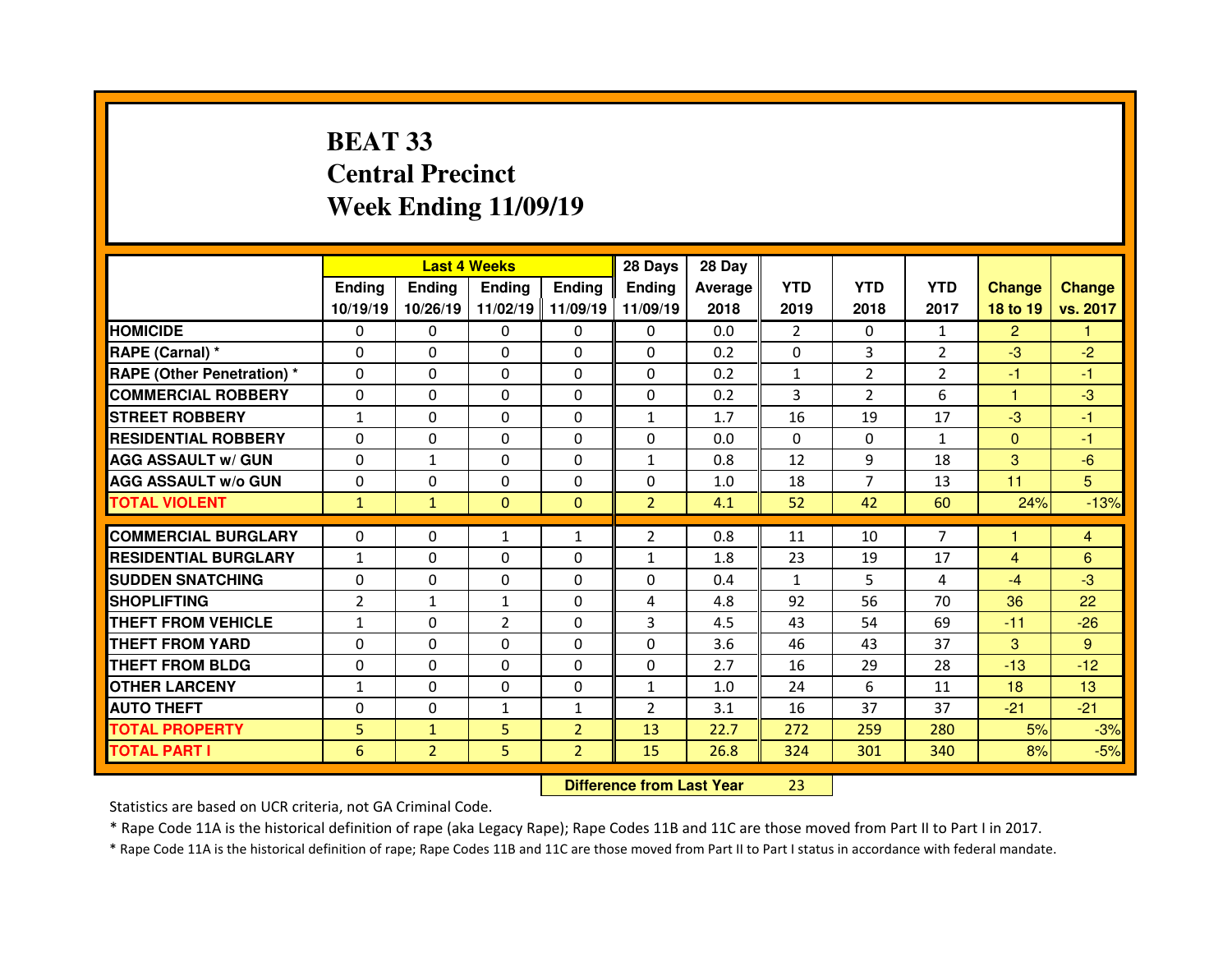# **BEAT 33 Central PrecinctWeek Ending 11/09/19**

|                                  |                | <b>Last 4 Weeks</b> |                |                | 28 Days                          | 28 Day         |                |                |                |                |                 |
|----------------------------------|----------------|---------------------|----------------|----------------|----------------------------------|----------------|----------------|----------------|----------------|----------------|-----------------|
|                                  | <b>Ending</b>  | <b>Ending</b>       | <b>Ending</b>  | <b>Ending</b>  | <b>Ending</b>                    | <b>Average</b> | <b>YTD</b>     | <b>YTD</b>     | <b>YTD</b>     | <b>Change</b>  | <b>Change</b>   |
|                                  | 10/19/19       | 10/26/19            | 11/02/19       | 11/09/19       | 11/09/19                         | 2018           | 2019           | 2018           | 2017           | 18 to 19       | vs. 2017        |
| <b>HOMICIDE</b>                  | 0              | 0                   | 0              | $\Omega$       | 0                                | 0.0            | $\overline{2}$ | $\Omega$       | $\mathbf{1}$   | $\overline{2}$ |                 |
| RAPE (Carnal) *                  | 0              | 0                   | $\Omega$       | $\mathbf{0}$   | $\Omega$                         | 0.2            | $\Omega$       | 3              | $\overline{2}$ | $-3$           | $-2$            |
| <b>RAPE (Other Penetration)*</b> | $\Omega$       | 0                   | 0              | 0              | $\Omega$                         | 0.2            | $\mathbf{1}$   | $\overline{2}$ | $\overline{2}$ | -1             | $-1$            |
| <b>COMMERCIAL ROBBERY</b>        | $\Omega$       | 0                   | $\Omega$       | $\mathbf{0}$   | $\Omega$                         | 0.2            | 3              | $\overline{2}$ | 6              | 1              | $-3$            |
| <b>STREET ROBBERY</b>            | $\mathbf{1}$   | 0                   | $\Omega$       | $\mathbf{0}$   | $\mathbf{1}$                     | 1.7            | 16             | 19             | 17             | $-3$           | $-1$            |
| <b>RESIDENTIAL ROBBERY</b>       | 0              | 0                   | 0              | $\mathbf{0}$   | $\Omega$                         | 0.0            | $\mathbf{0}$   | 0              | $\mathbf{1}$   | $\mathbf{0}$   | $-1$            |
| <b>AGG ASSAULT w/ GUN</b>        | $\Omega$       | $\mathbf{1}$        | $\Omega$       | $\mathbf{0}$   | 1                                | 0.8            | 12             | 9              | 18             | 3              | $-6$            |
| <b>AGG ASSAULT w/o GUN</b>       | 0              | 0                   | 0              | 0              | 0                                | 1.0            | 18             | $\overline{7}$ | 13             | 11             | 5               |
| <b>TOTAL VIOLENT</b>             | $\mathbf{1}$   | $\mathbf{1}$        | $\mathbf{0}$   | $\mathbf{0}$   | $\overline{2}$                   | 4.1            | 52             | 42             | 60             | 24%            | $-13%$          |
| <b>COMMERCIAL BURGLARY</b>       | 0              | 0                   | $\mathbf{1}$   | $\mathbf{1}$   | $\overline{2}$                   | 0.8            | 11             | 10             | $\overline{7}$ | н              | 4               |
| <b>RESIDENTIAL BURGLARY</b>      | $\mathbf{1}$   | 0                   | 0              | $\Omega$       | $\mathbf{1}$                     | 1.8            | 23             | 19             | 17             | $\overline{4}$ | 6               |
| <b>SUDDEN SNATCHING</b>          | $\Omega$       | 0                   | 0              | 0              | 0                                | 0.4            | 1              | 5.             | 4              | $-4$           | $-3$            |
| <b>SHOPLIFTING</b>               | $\overline{2}$ | $\mathbf{1}$        | $\mathbf{1}$   | $\mathbf{0}$   | 4                                | 4.8            | 92             | 56             | 70             | 36             | 22              |
| <b>THEFT FROM VEHICLE</b>        | $\mathbf{1}$   | 0                   | $\overline{2}$ | $\Omega$       | 3                                | 4.5            | 43             | 54             | 69             | $-11$          | $-26$           |
| <b>THEFT FROM YARD</b>           | 0              | 0                   | 0              | 0              | 0                                | 3.6            | 46             | 43             | 37             | 3              | 9               |
| <b>THEFT FROM BLDG</b>           | $\Omega$       | 0                   | 0              | 0              | $\Omega$                         | 2.7            | 16             | 29             | 28             | $-13$          | $-12$           |
| <b>OTHER LARCENY</b>             | $\mathbf{1}$   | 0                   | 0              | 0              | $\mathbf{1}$                     | 1.0            | 24             | 6              | 11             | 18             | 13 <sup>°</sup> |
| <b>AUTO THEFT</b>                | $\Omega$       | 0                   | $\mathbf{1}$   | $\mathbf{1}$   | $\overline{2}$                   | 3.1            | 16             | 37             | 37             | $-21$          | $-21$           |
| <b>TOTAL PROPERTY</b>            | 5              | $\mathbf{1}$        | 5              | $\overline{2}$ | 13                               | 22.7           | 272            | 259            | 280            | 5%             | $-3%$           |
| <b>TOTAL PART I</b>              | 6              | $\overline{2}$      | 5              | $\overline{2}$ | 15                               | 26.8           | 324            | 301            | 340            | 8%             | $-5%$           |
|                                  |                |                     |                |                | <b>Difference from Last Year</b> |                | 23             |                |                |                |                 |

Statistics are based on UCR criteria, not GA Criminal Code.

\* Rape Code 11A is the historical definition of rape (aka Legacy Rape); Rape Codes 11B and 11C are those moved from Part II to Part I in 2017.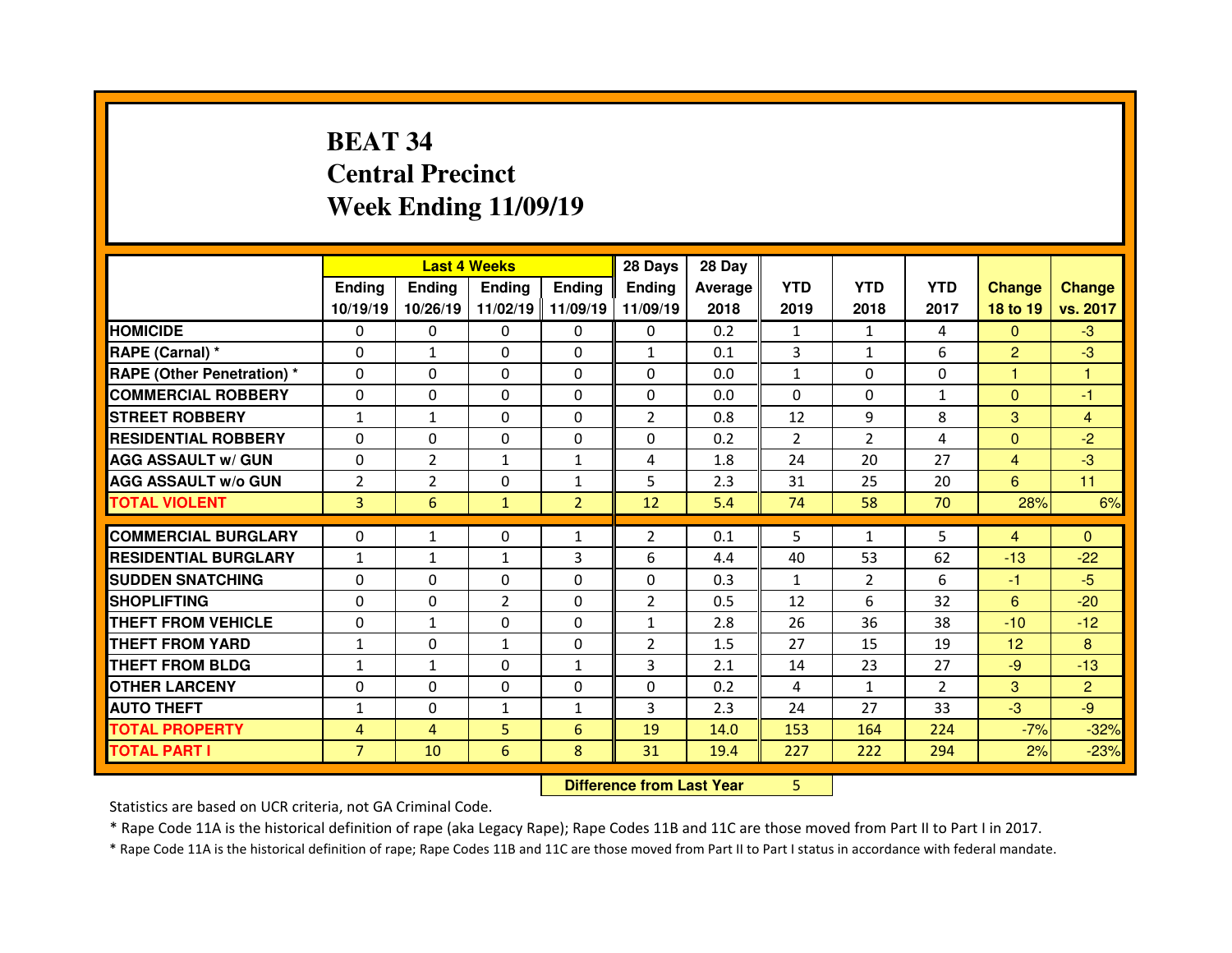# **BEAT 34 Central PrecinctWeek Ending 11/09/19**

|                                               |                |                | <b>Last 4 Weeks</b>      |                | 28 Days        | 28 Day  |                    |                     |                |                 |                |
|-----------------------------------------------|----------------|----------------|--------------------------|----------------|----------------|---------|--------------------|---------------------|----------------|-----------------|----------------|
|                                               | Ending         | <b>Ending</b>  | <b>Ending</b>            | <b>Ending</b>  | <b>Ending</b>  | Average | <b>YTD</b>         | <b>YTD</b>          | <b>YTD</b>     | <b>Change</b>   | <b>Change</b>  |
|                                               | 10/19/19       | 10/26/19       | 11/02/19                 | 11/09/19       | 11/09/19       | 2018    | 2019               | 2018                | 2017           | 18 to 19        | vs. 2017       |
| <b>HOMICIDE</b>                               | 0              | 0              | 0                        | 0              | 0              | 0.2     | 1                  | 1                   | 4              | $\mathbf{0}$    | $-3$           |
| RAPE (Carnal) *                               | 0              | $\mathbf{1}$   | 0                        | 0              | $\mathbf{1}$   | 0.1     | 3                  | $\mathbf{1}$        | 6              | $\overline{2}$  | $-3$           |
| <b>RAPE (Other Penetration) *</b>             | $\Omega$       | 0              | 0                        | $\Omega$       | $\Omega$       | 0.0     | $\mathbf{1}$       | $\Omega$            | 0              | н               | 1              |
| <b>COMMERCIAL ROBBERY</b>                     | 0              | 0              | 0                        | 0              | 0              | 0.0     | $\Omega$           | $\Omega$            | 1              | $\mathbf{0}$    | $-1$           |
| <b>STREET ROBBERY</b>                         | $\mathbf{1}$   | $\mathbf{1}$   | $\Omega$                 | $\Omega$       | $\overline{2}$ | 0.8     | 12                 | 9                   | 8              | 3               | $\overline{4}$ |
| <b>RESIDENTIAL ROBBERY</b>                    | $\Omega$       | 0              | 0                        | 0              | 0              | 0.2     | $\overline{2}$     | $\overline{2}$      | 4              | $\overline{0}$  | $-2$           |
| <b>AGG ASSAULT w/ GUN</b>                     | 0              | $\overline{2}$ | $\mathbf{1}$             | $\mathbf{1}$   | 4              | 1.8     | 24                 | 20                  | 27             | $\overline{4}$  | $-3$           |
| <b>AGG ASSAULT w/o GUN</b>                    | $\overline{2}$ | $\overline{2}$ | 0                        | $\mathbf{1}$   | 5              | 2.3     | 31                 | 25                  | 20             | $6\overline{6}$ | 11             |
| <b>TOTAL VIOLENT</b>                          | 3              | 6              | $\mathbf{1}$             | $\overline{2}$ | 12             | 5.4     | 74                 | 58                  | 70             | 28%             | 6%             |
| <b>COMMERCIAL BURGLARY</b>                    | $\Omega$       | $\mathbf{1}$   | 0                        | $\mathbf{1}$   | $\overline{2}$ | 0.1     | 5                  | $\mathbf{1}$        | 5              | $\overline{4}$  | $\Omega$       |
| <b>RESIDENTIAL BURGLARY</b>                   | $\mathbf{1}$   | $\mathbf{1}$   |                          | 3              | 6              | 4.4     | 40                 |                     | 62             |                 |                |
|                                               | $\Omega$       |                | $\mathbf{1}$<br>$\Omega$ | $\mathbf{0}$   | $\Omega$       | 0.3     |                    | 53                  | 6              | $-13$           | $-22$<br>$-5$  |
| <b>SUDDEN SNATCHING</b><br><b>SHOPLIFTING</b> |                | 0              | $\overline{2}$           |                | $\overline{2}$ | 0.5     | $\mathbf{1}$<br>12 | $\overline{2}$<br>6 | 32             | $-1$            | $-20$          |
|                                               | 0              | 0              |                          | $\mathbf{0}$   |                |         |                    |                     |                | 6               |                |
| <b>THEFT FROM VEHICLE</b>                     | $\Omega$       | $\mathbf{1}$   | 0                        | $\Omega$       | $\mathbf{1}$   | 2.8     | 26                 | 36                  | 38             | $-10$           | $-12$          |
| <b>THEFT FROM YARD</b>                        | $\mathbf{1}$   | 0              | $\mathbf{1}$             | $\mathbf{0}$   | $\overline{2}$ | 1.5     | 27                 | 15                  | 19             | 12              | 8              |
| <b>THEFT FROM BLDG</b>                        | $\mathbf{1}$   | $\mathbf{1}$   | 0                        | $\mathbf{1}$   | 3              | 2.1     | 14                 | 23                  | 27             | $-9$            | $-13$          |
| <b>OTHER LARCENY</b>                          | 0              | 0              | 0                        | 0              | 0              | 0.2     | 4                  | $\mathbf{1}$        | $\overline{2}$ | 3 <sup>1</sup>  | $\overline{2}$ |
| <b>AUTO THEFT</b>                             | 1              | 0              | $\mathbf{1}$             | $\mathbf{1}$   | 3              | 2.3     | 24                 | 27                  | 33             | $-3$            | $-9$           |
| <b>TOTAL PROPERTY</b>                         | 4              | 4              | 5                        | 6              | 19             | 14.0    | 153                | 164                 | 224            | $-7%$           | $-32%$         |
| <b>TOTAL PART I</b>                           | $\overline{7}$ | 10             | $6\phantom{1}$           | 8              | 31             | 19.4    | 227                | 222                 | 294            | 2%              | $-23%$         |
|                                               |                |                |                          |                |                |         |                    |                     |                |                 |                |

 **Difference from Last Year**

Statistics are based on UCR criteria, not GA Criminal Code.

\* Rape Code 11A is the historical definition of rape (aka Legacy Rape); Rape Codes 11B and 11C are those moved from Part II to Part I in 2017.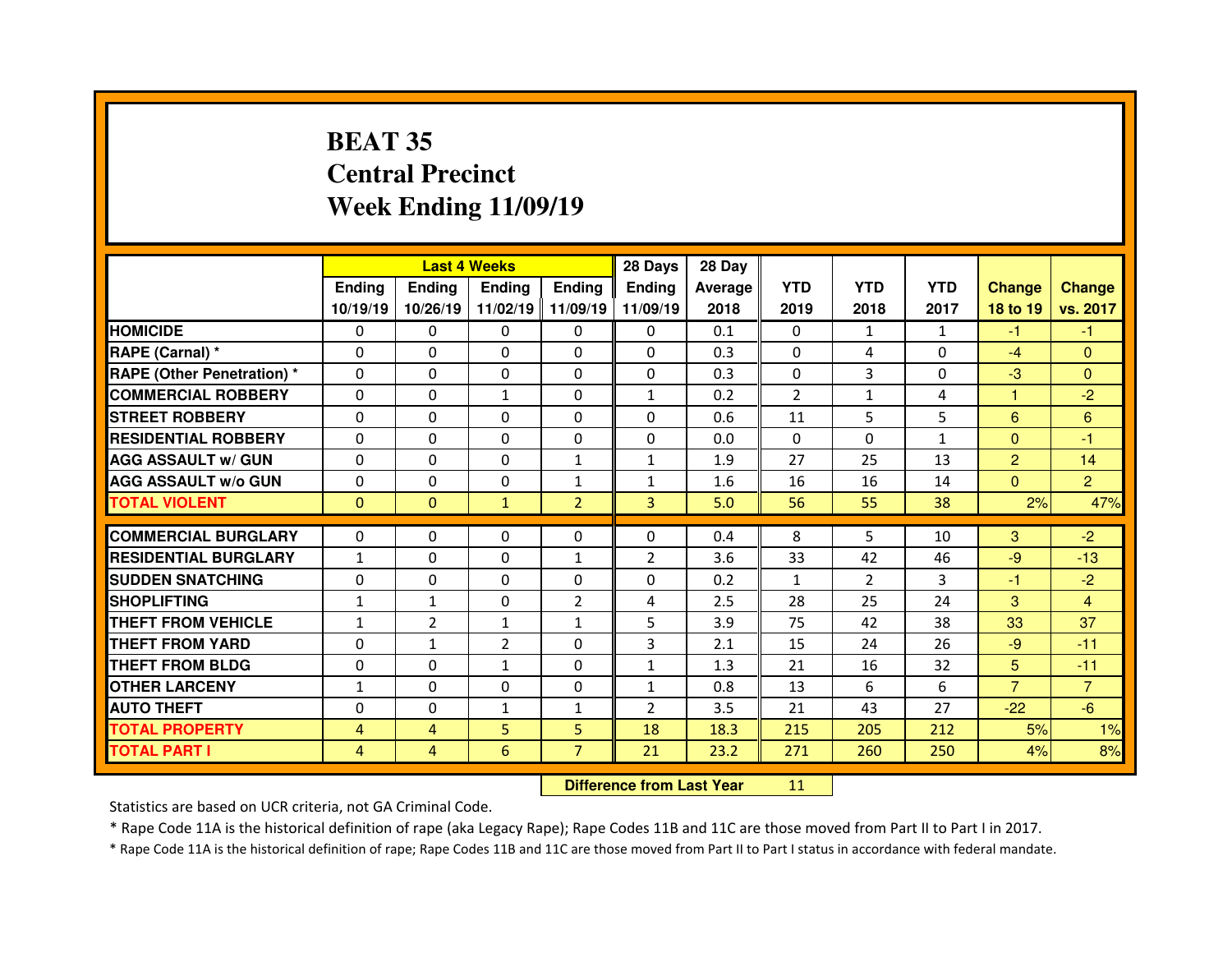# **BEAT 35 Central PrecinctWeek Ending 11/09/19**

|                                  |                |                | <b>Last 4 Weeks</b> |                   | 28 Days                          | 28 Day         |                |                |              |                |                |
|----------------------------------|----------------|----------------|---------------------|-------------------|----------------------------------|----------------|----------------|----------------|--------------|----------------|----------------|
|                                  | <b>Ending</b>  | <b>Ending</b>  | <b>Ending</b>       | <b>Ending</b>     | <b>Ending</b>                    | <b>Average</b> | <b>YTD</b>     | <b>YTD</b>     | <b>YTD</b>   | <b>Change</b>  | <b>Change</b>  |
|                                  | 10/19/19       | 10/26/19       |                     | 11/02/19 11/09/19 | 11/09/19                         | 2018           | 2019           | 2018           | 2017         | 18 to 19       | vs. 2017       |
| <b>HOMICIDE</b>                  | 0              | 0              | 0                   | $\Omega$          | 0                                | 0.1            | 0              | $\mathbf{1}$   | $\mathbf{1}$ | $-1$           | $-1$           |
| <b>RAPE (Carnal) *</b>           | $\Omega$       | 0              | $\Omega$            | $\Omega$          | $\Omega$                         | 0.3            | $\Omega$       | 4              | $\Omega$     | $-4$           | $\Omega$       |
| <b>RAPE (Other Penetration)*</b> | $\Omega$       | 0              | 0                   | 0                 | 0                                | 0.3            | $\Omega$       | 3              | 0            | $-3$           | $\Omega$       |
| <b>COMMERCIAL ROBBERY</b>        | $\Omega$       | 0              | $\mathbf{1}$        | $\Omega$          | $\mathbf{1}$                     | 0.2            | $\overline{2}$ | $\mathbf{1}$   | 4            | 1              | $-2$           |
| <b>STREET ROBBERY</b>            | $\Omega$       | 0              | $\Omega$            | $\Omega$          | $\Omega$                         | 0.6            | 11             | 5              | 5            | 6              | 6              |
| <b>RESIDENTIAL ROBBERY</b>       | $\mathbf{0}$   | 0              | $\mathbf{0}$        | $\Omega$          | $\Omega$                         | 0.0            | $\Omega$       | $\mathbf{0}$   | $\mathbf{1}$ | $\mathbf{0}$   | $-1$           |
| <b>AGG ASSAULT w/ GUN</b>        | 0              | $\Omega$       | $\mathbf{0}$        | $\mathbf{1}$      | $\mathbf{1}$                     | 1.9            | 27             | 25             | 13           | $\overline{2}$ | 14             |
| <b>AGG ASSAULT w/o GUN</b>       | 0              | 0              | 0                   | $\mathbf{1}$      | 1                                | 1.6            | 16             | 16             | 14           | $\overline{0}$ | $\overline{2}$ |
| <b>TOTAL VIOLENT</b>             | $\mathbf{0}$   | $\mathbf{0}$   | $\mathbf{1}$        | $\overline{2}$    | $\overline{3}$                   | 5.0            | 56             | 55             | 38           | 2%             | 47%            |
| <b>COMMERCIAL BURGLARY</b>       | 0              | 0              | 0                   | $\Omega$          | 0                                | 0.4            | 8              | 5              | 10           | 3              | $-2$           |
| <b>RESIDENTIAL BURGLARY</b>      | $\mathbf{1}$   | 0              | 0                   | $\mathbf{1}$      | 2                                | 3.6            | 33             | 42             | 46           | $-9$           | $-13$          |
| <b>SUDDEN SNATCHING</b>          | 0              | 0              | 0                   | $\Omega$          | 0                                | 0.2            | 1              | $\overline{2}$ | 3            | -1             | $-2$           |
| <b>SHOPLIFTING</b>               | $\mathbf{1}$   | $\mathbf{1}$   | 0                   | $\overline{2}$    | 4                                | 2.5            | 28             | 25             | 24           | 3              | $\overline{4}$ |
| <b>THEFT FROM VEHICLE</b>        | $\mathbf{1}$   | $\overline{2}$ | $\mathbf{1}$        | $\mathbf{1}$      | 5                                | 3.9            | 75             | 42             | 38           | 33             | 37             |
| <b>THEFT FROM YARD</b>           | 0              | $\mathbf{1}$   | $\overline{2}$      | 0                 | 3                                | 2.1            | 15             | 24             | 26           | $-9$           | $-11$          |
| <b>THEFT FROM BLDG</b>           | 0              | 0              | $\mathbf{1}$        | $\Omega$          | $\mathbf{1}$                     | 1.3            | 21             | 16             | 32           | 5              | $-11$          |
| <b>OTHER LARCENY</b>             | $\mathbf{1}$   | 0              | 0                   | 0                 | $\mathbf{1}$                     | 0.8            | 13             | 6              | 6            | $\overline{7}$ | $\overline{7}$ |
| <b>AUTO THEFT</b>                | 0              | 0              | $\mathbf{1}$        | $\mathbf{1}$      | $\overline{2}$                   | 3.5            | 21             | 43             | 27           | $-22$          | $-6$           |
| <b>TOTAL PROPERTY</b>            | $\overline{4}$ | $\overline{4}$ | 5                   | 5                 | 18                               | 18.3           | 215            | 205            | 212          | 5%             | 1%             |
| <b>TOTAL PART I</b>              | $\overline{4}$ | $\overline{4}$ | 6                   | $\overline{7}$    | 21                               | 23.2           | 271            | 260            | 250          | 4%             | 8%             |
|                                  |                |                |                     |                   | <b>Difference from Last Year</b> |                | 11             |                |              |                |                |

Statistics are based on UCR criteria, not GA Criminal Code.

\* Rape Code 11A is the historical definition of rape (aka Legacy Rape); Rape Codes 11B and 11C are those moved from Part II to Part I in 2017.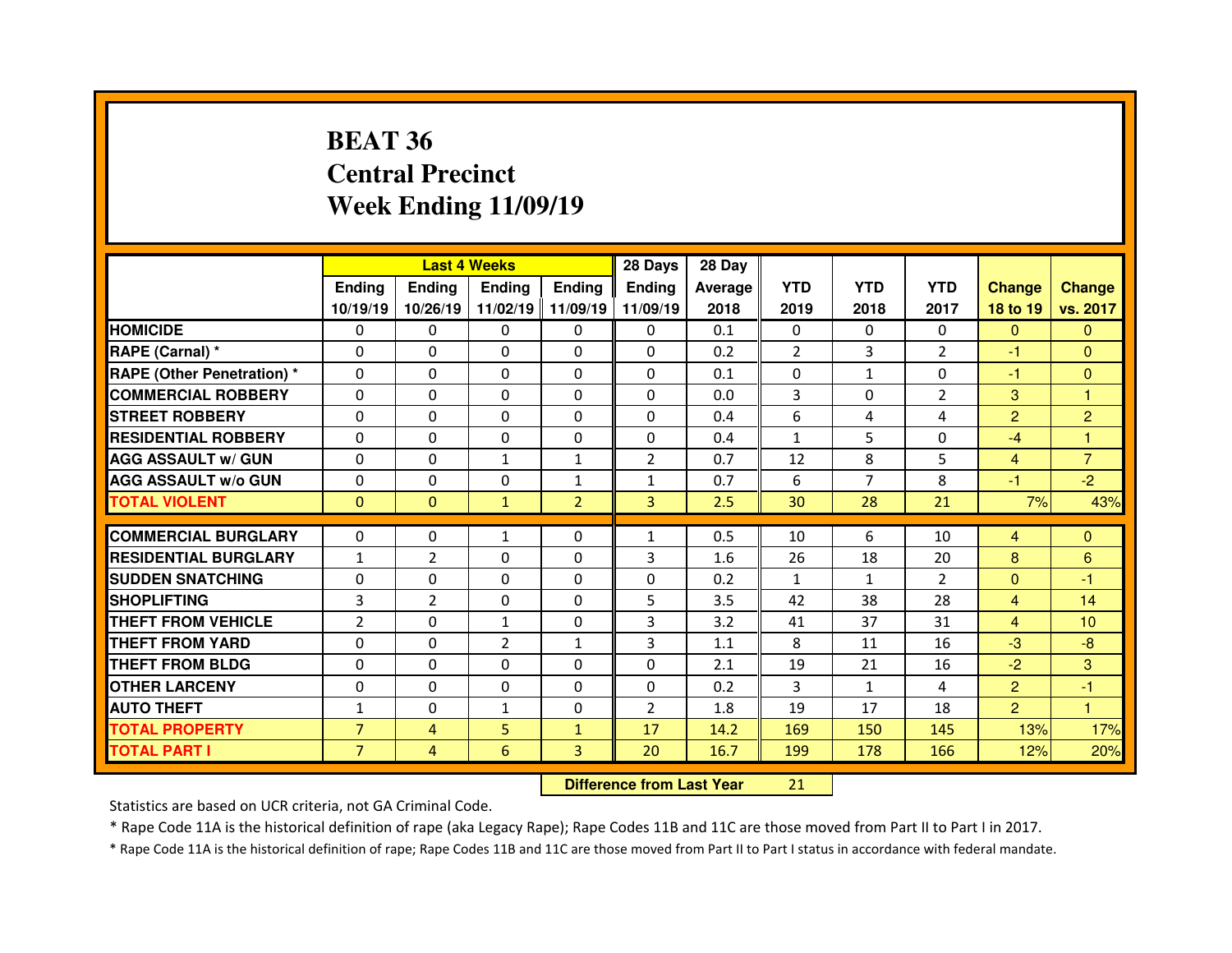# **BEAT 36 Central PrecinctWeek Ending 11/09/19**

|                                  |                |                | <b>Last 4 Weeks</b> |                | 28 Days                          | 28 Day  |                |                |                |                |                 |
|----------------------------------|----------------|----------------|---------------------|----------------|----------------------------------|---------|----------------|----------------|----------------|----------------|-----------------|
|                                  | <b>Ending</b>  | Ending         | <b>Ending</b>       | <b>Ending</b>  | Ending                           | Average | <b>YTD</b>     | <b>YTD</b>     | <b>YTD</b>     | <b>Change</b>  | <b>Change</b>   |
|                                  | 10/19/19       | 10/26/19       | 11/02/19            | 11/09/19       | 11/09/19                         | 2018    | 2019           | 2018           | 2017           | 18 to 19       | vs. 2017        |
| <b>HOMICIDE</b>                  | 0              | 0              | 0                   | $\mathbf{0}$   | 0                                | 0.1     | 0              | $\mathbf{0}$   | $\Omega$       | $\mathbf{0}$   | $\mathbf{0}$    |
| <b>RAPE (Carnal) *</b>           | 0              | 0              | $\Omega$            | $\Omega$       | $\Omega$                         | 0.2     | $\overline{2}$ | 3              | $\overline{2}$ | -1             | $\Omega$        |
| <b>RAPE (Other Penetration)*</b> | 0              | 0              | $\Omega$            | $\Omega$       | 0                                | 0.1     | $\Omega$       | $\mathbf{1}$   | $\Omega$       | $-1$           | $\Omega$        |
| <b>COMMERCIAL ROBBERY</b>        | 0              | 0              | 0                   | $\mathbf 0$    | $\Omega$                         | 0.0     | 3              | $\Omega$       | $\overline{2}$ | 3              | 1               |
| <b>STREET ROBBERY</b>            | $\mathbf{0}$   | $\Omega$       | $\Omega$            | $\Omega$       | $\Omega$                         | 0.4     | 6              | 4              | 4              | $\overline{2}$ | $\overline{2}$  |
| <b>RESIDENTIAL ROBBERY</b>       | $\Omega$       | 0              | 0                   | 0              | $\Omega$                         | 0.4     | $\mathbf{1}$   | 5              | $\Omega$       | $-4$           | $\mathbf{1}$    |
| <b>AGG ASSAULT w/ GUN</b>        | 0              | 0              | $\mathbf{1}$        | $\mathbf{1}$   | $\overline{2}$                   | 0.7     | 12             | 8              | 5              | $\overline{4}$ | $\overline{7}$  |
| <b>AGG ASSAULT w/o GUN</b>       | $\Omega$       | 0              | $\Omega$            | $\mathbf{1}$   | $\mathbf{1}$                     | 0.7     | 6              | $\overline{7}$ | 8              | $-1$           | $-2$            |
| <b>TOTAL VIOLENT</b>             | $\mathbf{0}$   | $\mathbf{0}$   | $\mathbf{1}$        | $\overline{2}$ | 3                                | 2.5     | 30             | 28             | 21             | 7%             | 43%             |
| <b>COMMERCIAL BURGLARY</b>       | 0              | 0              | 1                   | $\Omega$       | $\mathbf{1}$                     | 0.5     | 10             | 6              | 10             | $\overline{4}$ | $\mathbf{0}$    |
| <b>RESIDENTIAL BURGLARY</b>      | $\mathbf{1}$   | 2              | 0                   | $\Omega$       | 3                                | 1.6     | 26             | 18             | 20             | 8              | 6               |
| <b>SUDDEN SNATCHING</b>          | 0              | 0              | $\Omega$            | $\Omega$       | 0                                | 0.2     | $\mathbf{1}$   | $\mathbf{1}$   | $\overline{2}$ | $\overline{0}$ | $-1$            |
| <b>SHOPLIFTING</b>               | 3              | $\overline{2}$ | 0                   | $\Omega$       | 5                                | 3.5     | 42             | 38             | 28             | 4              | 14              |
| <b>THEFT FROM VEHICLE</b>        | $\overline{2}$ | $\Omega$       | $\mathbf{1}$        | $\Omega$       | 3                                | 3.2     | 41             | 37             | 31             | $\overline{4}$ | 10 <sup>°</sup> |
| <b>THEFT FROM YARD</b>           | 0              | 0              | $\overline{2}$      | $\mathbf{1}$   | 3                                | 1.1     | 8              | 11             | 16             | $-3$           | $-8$            |
| <b>THEFT FROM BLDG</b>           | 0              | 0              | $\Omega$            | $\Omega$       | 0                                | 2.1     | 19             | 21             | 16             | $-2$           | 3               |
| <b>OTHER LARCENY</b>             | 0              | $\Omega$       | $\mathbf{0}$        | $\Omega$       | $\Omega$                         | 0.2     | $\overline{3}$ | $\mathbf{1}$   | 4              | $\overline{2}$ | $-1$            |
| <b>AUTO THEFT</b>                | $\mathbf{1}$   | 0              | $\mathbf{1}$        | $\mathbf{0}$   | $\overline{2}$                   | 1.8     | 19             | 17             | 18             | $\overline{2}$ | $\mathbf{1}$    |
| <b>TOTAL PROPERTY</b>            | $\overline{7}$ | $\overline{4}$ | 5                   | $\mathbf{1}$   | 17                               | 14.2    | 169            | 150            | 145            | 13%            | 17%             |
| <b>TOTAL PART I</b>              | $\overline{7}$ | $\overline{4}$ | 6                   | 3              | 20                               | 16.7    | 199            | 178            | 166            | 12%            | 20%             |
|                                  |                |                |                     |                | <b>Difference from Last Year</b> |         | 21             |                |                |                |                 |

Statistics are based on UCR criteria, not GA Criminal Code.

\* Rape Code 11A is the historical definition of rape (aka Legacy Rape); Rape Codes 11B and 11C are those moved from Part II to Part I in 2017.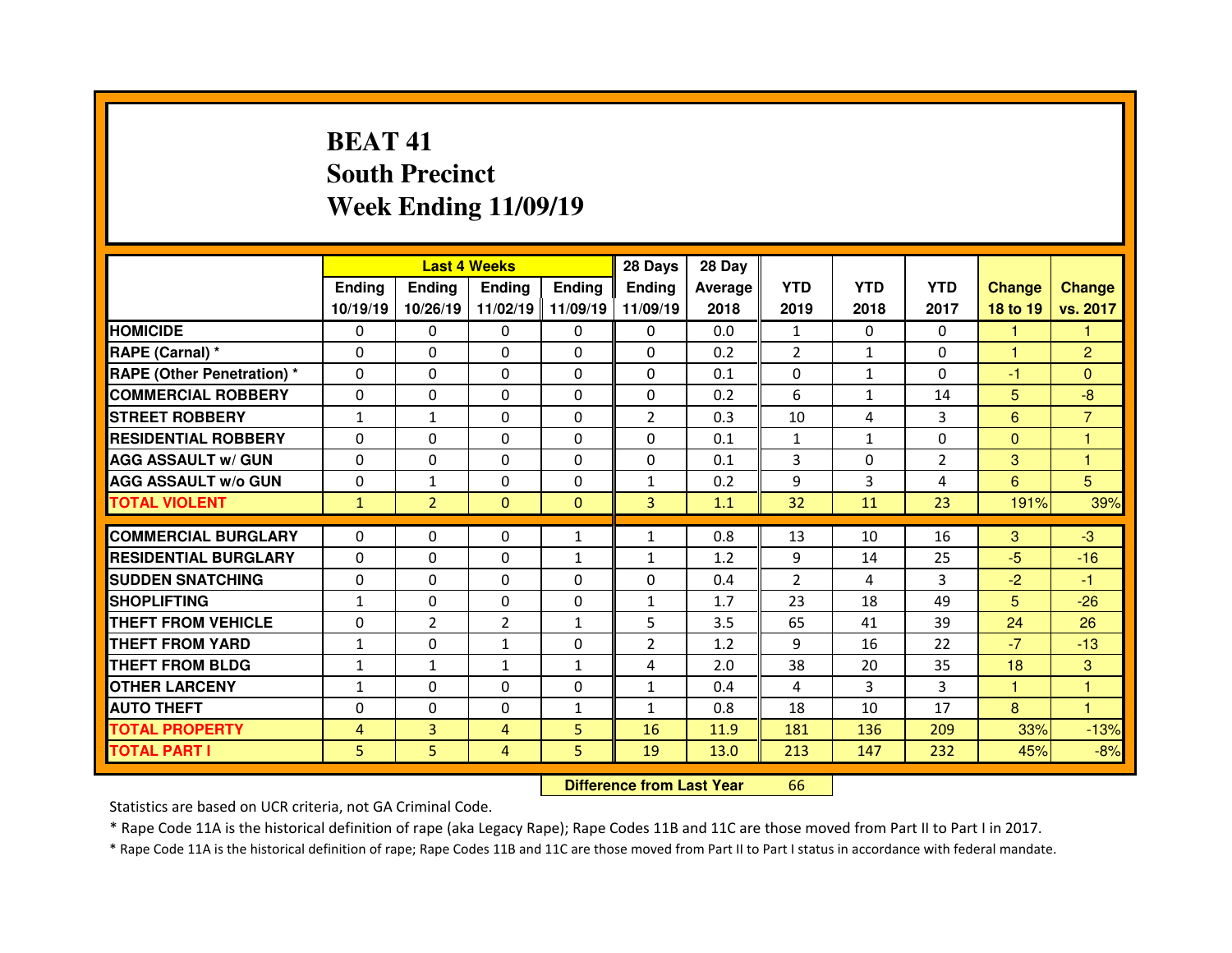# **BEAT 41 South PrecinctWeek Ending 11/09/19**

|                                              |               | <b>Last 4 Weeks</b> |                |               | 28 Days        | 28 Day       |                |              |                |               |                     |
|----------------------------------------------|---------------|---------------------|----------------|---------------|----------------|--------------|----------------|--------------|----------------|---------------|---------------------|
|                                              | <b>Ending</b> | Ending              | <b>Ending</b>  | <b>Ending</b> | Ending         | Average      | <b>YTD</b>     | <b>YTD</b>   | <b>YTD</b>     | <b>Change</b> | <b>Change</b>       |
|                                              | 10/19/19      | 10/26/19            | 11/02/19       | 11/09/19      | 11/09/19       | 2018         | 2019           | 2018         | 2017           | 18 to 19      | vs. 2017            |
| <b>HOMICIDE</b>                              | $\Omega$      | $\Omega$            | $\Omega$       | $\Omega$      | $\mathbf{0}$   | 0.0          | $\mathbf{1}$   | $\Omega$     | $\Omega$       | 1             | 1                   |
| RAPE (Carnal) *                              | $\Omega$      | 0                   | 0              | 0             | 0              | 0.2          | $\overline{2}$ | $\mathbf{1}$ | $\Omega$       | $\mathbf{1}$  | 2                   |
| <b>RAPE (Other Penetration) *</b>            | $\Omega$      | $\Omega$            | $\Omega$       | $\Omega$      | 0              | 0.1          | 0              | $\mathbf{1}$ | 0              | $-1$          | $\Omega$            |
| <b>COMMERCIAL ROBBERY</b>                    | $\Omega$      | $\Omega$            | $\Omega$       | $\Omega$      | $\Omega$       | 0.2          | 6              | $\mathbf{1}$ | 14             | 5             | $-8$                |
| <b>STREET ROBBERY</b>                        | $\mathbf{1}$  | $\mathbf{1}$        | $\Omega$       | $\Omega$      | $\overline{2}$ | 0.3          | 10             | 4            | 3              | 6             | $\overline{7}$      |
| <b>RESIDENTIAL ROBBERY</b>                   | $\Omega$      | 0                   | $\Omega$       | 0             | $\Omega$       | 0.1          | $\mathbf{1}$   | $\mathbf{1}$ | $\Omega$       | $\Omega$      | $\overline{1}$      |
| <b>AGG ASSAULT w/ GUN</b>                    | $\Omega$      | 0                   | $\Omega$       | 0             | $\Omega$       | 0.1          | 3              | $\Omega$     | $\overline{2}$ | 3             | $\mathbf{1}$        |
| <b>AGG ASSAULT w/o GUN</b>                   | $\mathbf{0}$  | $\mathbf{1}$        | $\Omega$       | $\Omega$      | $\mathbf{1}$   | 0.2          | 9              | 3            | 4              | 6             | 5                   |
| <b>TOTAL VIOLENT</b>                         | $\mathbf{1}$  | $\overline{2}$      | $\Omega$       | $\Omega$      | $\overline{3}$ | 1.1          | 32             | 11           | 23             | 191%          | 39%                 |
| <b>COMMERCIAL BURGLARY</b>                   | $\Omega$      | $\Omega$            | 0              | $\mathbf{1}$  | $\mathbf{1}$   | 0.8          | 13             | 10           | 16             | 3             | $-3$                |
| <b>RESIDENTIAL BURGLARY</b>                  | $\Omega$      | 0                   | $\Omega$       | $\mathbf{1}$  | $\mathbf{1}$   | 1.2          | 9              | 14           | 25             | $-5$          | $-16$               |
|                                              |               |                     |                |               |                |              |                |              |                |               |                     |
|                                              |               |                     |                |               |                |              |                |              |                |               |                     |
| <b>SUDDEN SNATCHING</b>                      | $\Omega$      | $\Omega$            | $\Omega$       | $\Omega$      | $\Omega$       | 0.4          | $\overline{2}$ | 4            | 3              | $-2$          | $-1$                |
| <b>SHOPLIFTING</b>                           | $\mathbf{1}$  | 0                   | $\Omega$       | 0             | $\mathbf{1}$   | 1.7          | 23             | 18           | 49             | 5             | $-26$               |
| THEFT FROM VEHICLE                           | $\Omega$      | $\overline{2}$      | $\overline{2}$ | $\mathbf{1}$  | 5              | 3.5          | 65             | 41           | 39             | 24            | 26                  |
| THEFT FROM YARD                              | $\mathbf{1}$  | $\Omega$            | $\mathbf{1}$   | 0             | $\overline{2}$ | 1.2          | 9              | 16           | 22             | $-7$          | $-13$               |
| THEFT FROM BLDG                              | $\mathbf{1}$  | $\mathbf{1}$        | $\mathbf{1}$   | $\mathbf{1}$  | 4              | 2.0          | 38             | 20           | 35             | 18            | 3<br>$\overline{1}$ |
| <b>OTHER LARCENY</b>                         | $\mathbf{1}$  | 0                   | $\Omega$       | 0             | $\mathbf{1}$   | 0.4          | 4              | 3            | 3              | $\mathbf{1}$  | $\mathbf{1}$        |
| <b>AUTO THEFT</b>                            | $\Omega$      | 0                   | 0              | $\mathbf{1}$  | $\mathbf{1}$   | 0.8          | 18             | 10           | 17             | 8             |                     |
| <b>TOTAL PROPERTY</b><br><b>TOTAL PART I</b> | 4<br>5        | 3<br>5              | 4<br>4         | 5<br>5        | 16<br>19       | 11.9<br>13.0 | 181<br>213     | 136<br>147   | 209<br>232     | 33%<br>45%    | $-13%$<br>$-8%$     |

 **Difference from Last Year**<sup>66</sup>

Statistics are based on UCR criteria, not GA Criminal Code.

\* Rape Code 11A is the historical definition of rape (aka Legacy Rape); Rape Codes 11B and 11C are those moved from Part II to Part I in 2017.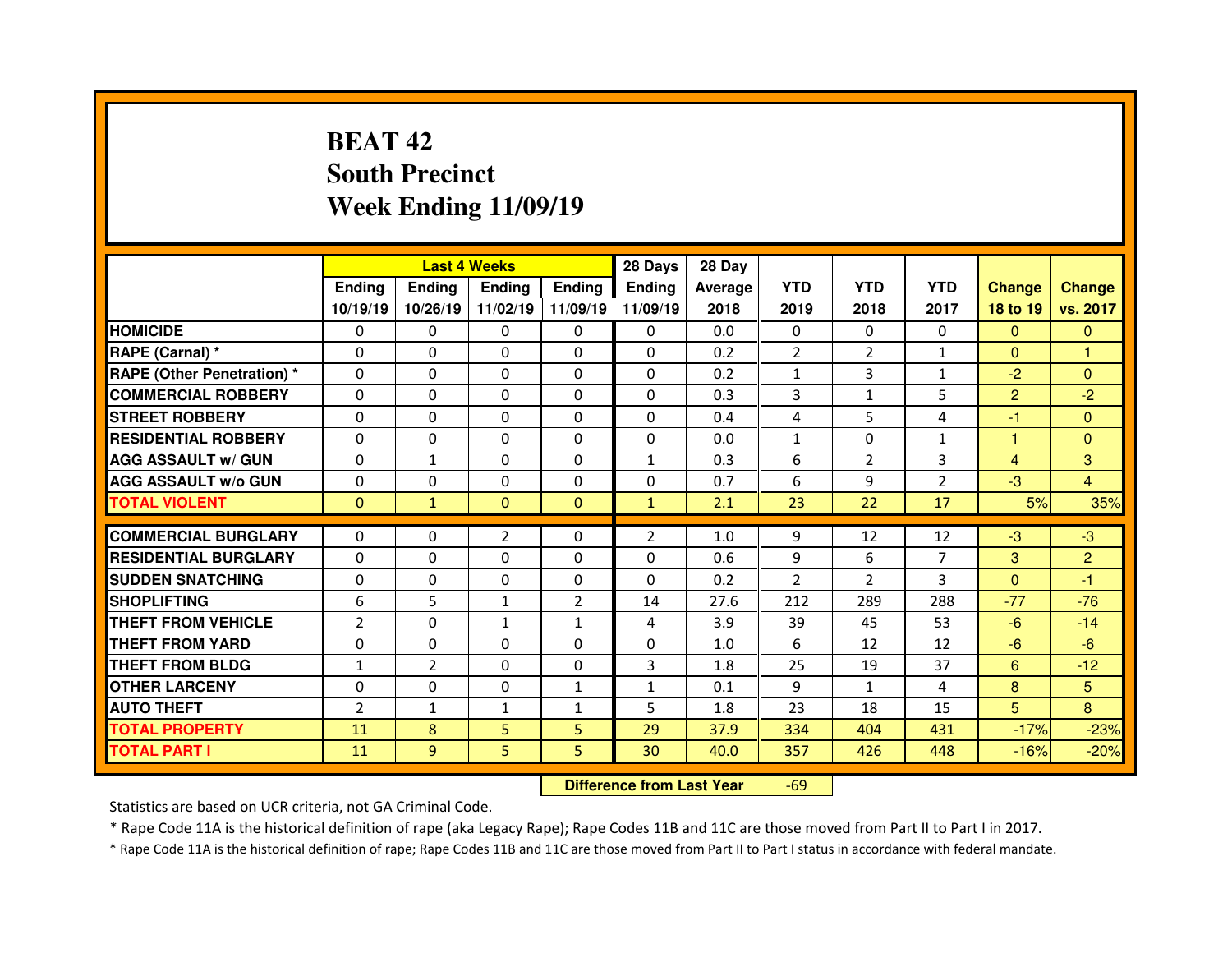# **BEAT 42 South PrecinctWeek Ending 11/09/19**

|                                  |                |                | <b>Last 4 Weeks</b> |               | 28 Days        | 28 Day  |                |                |                |                |                |
|----------------------------------|----------------|----------------|---------------------|---------------|----------------|---------|----------------|----------------|----------------|----------------|----------------|
|                                  | Ending         | <b>Ending</b>  | <b>Endina</b>       | <b>Ending</b> | <b>Ending</b>  | Average | <b>YTD</b>     | <b>YTD</b>     | <b>YTD</b>     | <b>Change</b>  | <b>Change</b>  |
|                                  | 10/19/19       | 10/26/19       | 11/02/19            | 11/09/19      | 11/09/19       | 2018    | 2019           | 2018           | 2017           | 18 to 19       | vs. 2017       |
| <b>HOMICIDE</b>                  | $\Omega$       | 0              | $\Omega$            | $\Omega$      | $\Omega$       | 0.0     | $\Omega$       | $\Omega$       | $\Omega$       | $\Omega$       | $\Omega$       |
| RAPE (Carnal) *                  | $\Omega$       | 0              | $\Omega$            | $\Omega$      | $\Omega$       | 0.2     | $\overline{2}$ | $\overline{2}$ | $\mathbf{1}$   | $\mathbf{0}$   | 1              |
| <b>RAPE (Other Penetration)*</b> | $\Omega$       | 0              | $\Omega$            | $\mathbf{0}$  | $\Omega$       | 0.2     | $\mathbf{1}$   | 3              | $\mathbf{1}$   | $-2$           | $\Omega$       |
| <b>COMMERCIAL ROBBERY</b>        | $\Omega$       | 0              | $\Omega$            | $\Omega$      | $\Omega$       | 0.3     | 3              | $\mathbf{1}$   | 5              | $\overline{2}$ | $-2$           |
| <b>STREET ROBBERY</b>            | $\Omega$       | 0              | $\Omega$            | $\Omega$      | $\Omega$       | 0.4     | $\overline{4}$ | 5              | 4              | $-1$           | $\Omega$       |
| <b>RESIDENTIAL ROBBERY</b>       | $\Omega$       | 0              | $\Omega$            | $\Omega$      | $\Omega$       | 0.0     | $\mathbf{1}$   | $\Omega$       | $\mathbf{1}$   | 1              | $\Omega$       |
| <b>AGG ASSAULT w/ GUN</b>        | $\Omega$       | $\mathbf{1}$   | $\Omega$            | $\mathbf{0}$  | $\mathbf{1}$   | 0.3     | 6              | $\overline{2}$ | 3              | $\overline{4}$ | 3              |
| <b>AGG ASSAULT w/o GUN</b>       | $\Omega$       | 0              | $\Omega$            | $\mathbf{0}$  | $\Omega$       | 0.7     | 6              | 9              | $\overline{2}$ | $-3$           | $\overline{4}$ |
| <b>TOTAL VIOLENT</b>             | $\mathbf{0}$   | $\mathbf{1}$   | $\Omega$            | $\Omega$      | $\mathbf{1}$   | 2.1     | 23             | 22             | 17             | 5%             | 35%            |
|                                  |                |                |                     |               |                |         |                |                |                |                |                |
| <b>COMMERCIAL BURGLARY</b>       | 0              | 0              | $\overline{2}$      | $\mathbf{0}$  | $\overline{2}$ | 1.0     | 9              | 12             | 12             | $-3$           | $-3$           |
| <b>RESIDENTIAL BURGLARY</b>      | $\Omega$       | 0              | $\Omega$            | $\mathbf{0}$  | $\Omega$       | 0.6     | 9              | 6              | $\overline{7}$ | 3              | $\overline{2}$ |
|                                  |                |                |                     |               |                |         |                |                |                |                | -1             |
| <b>SUDDEN SNATCHING</b>          | $\Omega$       | 0              | 0                   | $\Omega$      | $\Omega$       | 0.2     | $\overline{2}$ | $\mathcal{P}$  | 3              | $\mathbf{0}$   |                |
| <b>SHOPLIFTING</b>               | 6              | 5              | $\mathbf{1}$        | 2             | 14             | 27.6    | 212            | 289            | 288            | $-77$          | $-76$          |
| THEFT FROM VEHICLE               | $\overline{2}$ | 0              | $\mathbf{1}$        | $\mathbf{1}$  | 4              | 3.9     | 39             | 45             | 53             | $-6$           | $-14$          |
| <b>THEFT FROM YARD</b>           | $\Omega$       | 0              | $\Omega$            | $\Omega$      | $\Omega$       | 1.0     | 6              | 12             | 12             | $-6$           | $-6$           |
| <b>THEFT FROM BLDG</b>           | $\mathbf{1}$   | $\overline{2}$ | 0                   | $\mathbf{0}$  | 3              | 1.8     | 25             | 19             | 37             | 6              | $-12$          |
| <b>OTHER LARCENY</b>             | $\Omega$       | 0              | 0                   | 1             | $\mathbf{1}$   | 0.1     | 9              | $\mathbf{1}$   | 4              | 8              | 5              |
| <b>AUTO THEFT</b>                | $\overline{2}$ | $\mathbf{1}$   | $\mathbf{1}$        | $\mathbf{1}$  | 5              | 1.8     | 23             | 18             | 15             | 5              | 8              |
| <b>TOTAL PROPERTY</b>            | 11             | 8              | 5                   | 5             | 29             | 37.9    | 334            | 404            | 431            | $-17%$         | $-23%$         |
| <b>TOTAL PART I</b>              | 11             | 9              | 5                   | 5             | 30             | 40.0    | 357            | 426            | 448            | $-16%$         | $-20%$         |

 **Difference from Last Year**-69

Statistics are based on UCR criteria, not GA Criminal Code.

\* Rape Code 11A is the historical definition of rape (aka Legacy Rape); Rape Codes 11B and 11C are those moved from Part II to Part I in 2017.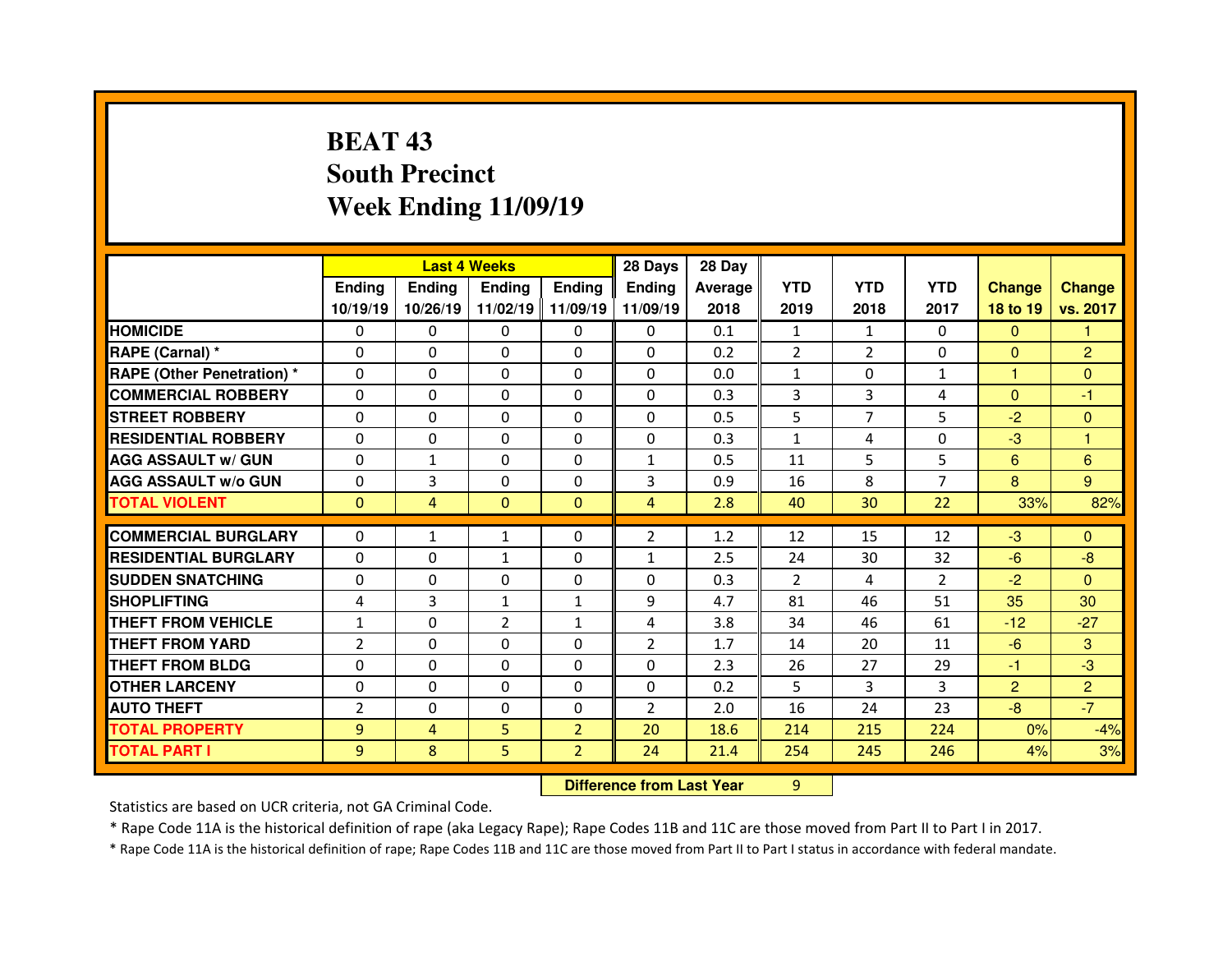# **BEAT 43 South PrecinctWeek Ending 11/09/19**

|                                   |                |                | <b>Last 4 Weeks</b> |                | 28 Days                          | 28 Day  |                |                |                |                |                |
|-----------------------------------|----------------|----------------|---------------------|----------------|----------------------------------|---------|----------------|----------------|----------------|----------------|----------------|
|                                   | Ending         | <b>Ending</b>  | <b>Ending</b>       | <b>Ending</b>  | <b>Ending</b>                    | Average | <b>YTD</b>     | <b>YTD</b>     | <b>YTD</b>     | <b>Change</b>  | <b>Change</b>  |
|                                   | 10/19/19       | 10/26/19       | 11/02/19            | 11/09/19       | 11/09/19                         | 2018    | 2019           | 2018           | 2017           | 18 to 19       | vs. 2017       |
| <b>HOMICIDE</b>                   | 0              | $\Omega$       | 0                   | $\mathbf{0}$   | $\Omega$                         | 0.1     | 1              | $\mathbf{1}$   | $\Omega$       | $\mathbf{0}$   |                |
| RAPE (Carnal) *                   | 0              | 0              | 0                   | $\mathbf{0}$   | $\Omega$                         | 0.2     | $\overline{2}$ | $\overline{2}$ | 0              | $\mathbf{0}$   | $\overline{2}$ |
| <b>RAPE (Other Penetration) *</b> | 0              | 0              | 0                   | $\mathbf{0}$   | 0                                | 0.0     | $\mathbf{1}$   | $\Omega$       | $\mathbf{1}$   | н              | $\Omega$       |
| <b>COMMERCIAL ROBBERY</b>         | $\Omega$       | 0              | $\Omega$            | $\mathbf{0}$   | $\Omega$                         | 0.3     | 3              | 3              | 4              | $\mathbf{0}$   | $-1$           |
| <b>STREET ROBBERY</b>             | $\Omega$       | 0              | $\Omega$            | $\mathbf{0}$   | $\Omega$                         | 0.5     | 5              | $\overline{7}$ | 5              | $-2$           | $\Omega$       |
| <b>RESIDENTIAL ROBBERY</b>        | $\Omega$       | 0              | $\Omega$            | $\Omega$       | $\Omega$                         | 0.3     | $\mathbf{1}$   | 4              | $\Omega$       | $-3$           | 1              |
| <b>AGG ASSAULT w/ GUN</b>         | 0              | $\mathbf{1}$   | 0                   | $\mathbf{0}$   | $\mathbf{1}$                     | 0.5     | 11             | 5              | 5              | 6              | 6              |
| <b>AGG ASSAULT w/o GUN</b>        | $\Omega$       | 3              | 0                   | $\Omega$       | 3                                | 0.9     | 16             | 8              | $\overline{7}$ | 8              | 9              |
| <b>TOTAL VIOLENT</b>              | $\Omega$       | 4              | $\mathbf{0}$        | $\mathbf{0}$   | $\overline{4}$                   | 2.8     | 40             | 30             | 22             | 33%            | 82%            |
| <b>COMMERCIAL BURGLARY</b>        | $\Omega$       | $\mathbf{1}$   | $\mathbf{1}$        | $\Omega$       | $\overline{2}$                   | 1.2     | 12             | 15             | 12             | $-3$           | $\Omega$       |
| <b>RESIDENTIAL BURGLARY</b>       | 0              | 0              | $\mathbf{1}$        | $\mathbf{0}$   | $\mathbf{1}$                     | 2.5     | 24             | 30             | 32             | $-6$           | $-8$           |
| <b>SUDDEN SNATCHING</b>           | $\Omega$       | 0              | 0                   | $\Omega$       | $\Omega$                         | 0.3     | 2              | 4              | $\mathcal{P}$  | $-2$           | $\Omega$       |
| <b>SHOPLIFTING</b>                | 4              | 3              | $\mathbf{1}$        | $\mathbf{1}$   | 9                                | 4.7     | 81             | 46             | 51             | 35             | 30             |
| <b>THEFT FROM VEHICLE</b>         | $\mathbf{1}$   | 0              | $\overline{2}$      | $\mathbf{1}$   | $\overline{4}$                   | 3.8     | 34             | 46             | 61             | $-12$          | $-27$          |
| <b>THEFT FROM YARD</b>            | $\overline{2}$ | 0              | 0                   | 0              | $\overline{2}$                   | 1.7     | 14             | 20             | 11             | $-6$           | 3              |
| <b>THEFT FROM BLDG</b>            | 0              | 0              | 0                   | 0              | 0                                | 2.3     | 26             | 27             | 29             | $-1$           | $-3$           |
| <b>OTHER LARCENY</b>              | 0              | 0              | 0                   | $\Omega$       | $\Omega$                         | 0.2     | 5              | 3              | 3              | $\overline{2}$ | $\overline{2}$ |
| <b>AUTO THEFT</b>                 | $\overline{2}$ | 0              | $\Omega$            | $\Omega$       | $\overline{2}$                   | 2.0     | 16             | 24             | 23             | $-8$           | $-7$           |
| <b>TOTAL PROPERTY</b>             | 9              | $\overline{4}$ | 5                   | $\overline{2}$ | 20                               | 18.6    | 214            | 215            | 224            | 0%             | $-4%$          |
| <b>TOTAL PART I</b>               | 9              | 8              | 5                   | $\overline{2}$ | 24                               | 21.4    | 254            | 245            | 246            | 4%             | 3%             |
|                                   |                |                |                     |                | <b>Difference from Last Year</b> |         | 9              |                |                |                |                |

Statistics are based on UCR criteria, not GA Criminal Code.

\* Rape Code 11A is the historical definition of rape (aka Legacy Rape); Rape Codes 11B and 11C are those moved from Part II to Part I in 2017.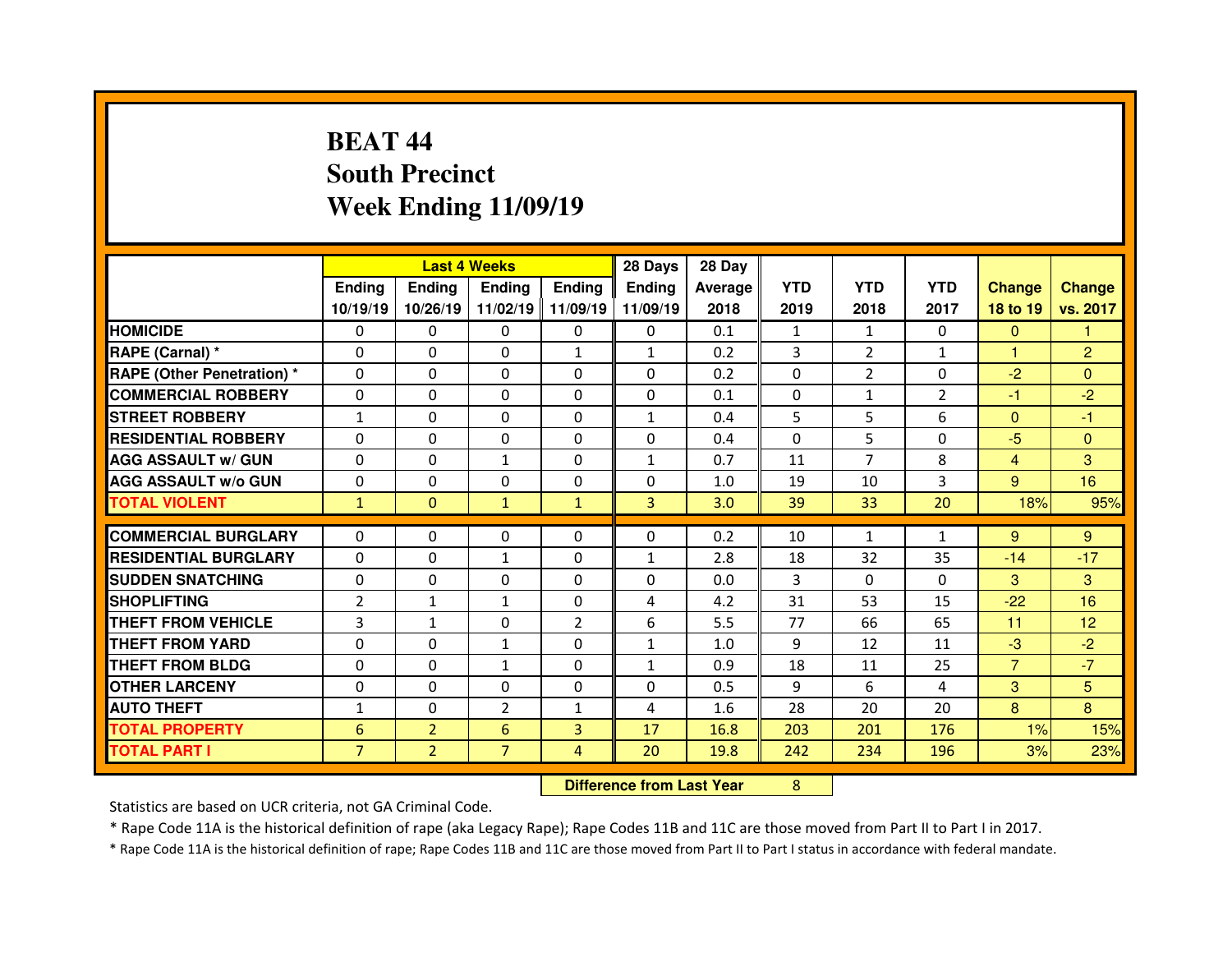# **BEAT 44 South PrecinctWeek Ending 11/09/19**

|                                   |                |                | <b>Last 4 Weeks</b> |                | 28 Days                          | 28 Day  |            |                |                |                |                 |
|-----------------------------------|----------------|----------------|---------------------|----------------|----------------------------------|---------|------------|----------------|----------------|----------------|-----------------|
|                                   | Ending         | <b>Ending</b>  | <b>Ending</b>       | <b>Ending</b>  | <b>Ending</b>                    | Average | <b>YTD</b> | <b>YTD</b>     | <b>YTD</b>     | <b>Change</b>  | <b>Change</b>   |
|                                   | 10/19/19       | 10/26/19       | 11/02/19            | 11/09/19       | 11/09/19                         | 2018    | 2019       | 2018           | 2017           | 18 to 19       | vs. 2017        |
| <b>HOMICIDE</b>                   | 0              | $\Omega$       | 0                   | $\mathbf{0}$   | $\Omega$                         | 0.1     | 1          | $\mathbf{1}$   | $\mathbf{0}$   | $\mathbf{0}$   |                 |
| RAPE (Carnal) *                   | 0              | 0              | 0                   | $\mathbf{1}$   | $\mathbf{1}$                     | 0.2     | 3          | $\overline{2}$ | $\mathbf{1}$   | 1              | $\overline{2}$  |
| <b>RAPE (Other Penetration) *</b> | 0              | 0              | 0                   | $\Omega$       | 0                                | 0.2     | $\Omega$   | $\overline{2}$ | 0              | $-2$           | $\Omega$        |
| <b>COMMERCIAL ROBBERY</b>         | $\Omega$       | 0              | $\Omega$            | $\Omega$       | $\Omega$                         | 0.1     | $\Omega$   | $\mathbf{1}$   | $\overline{2}$ | $-1$           | $-2$            |
| <b>STREET ROBBERY</b>             | $\mathbf{1}$   | 0              | $\Omega$            | $\Omega$       | 1                                | 0.4     | 5          | 5              | 6              | $\mathbf{0}$   | $-1$            |
| <b>RESIDENTIAL ROBBERY</b>        | $\Omega$       | 0              | $\Omega$            | $\Omega$       | $\Omega$                         | 0.4     | $\Omega$   | 5              | $\Omega$       | $-5$           | $\Omega$        |
| <b>AGG ASSAULT w/ GUN</b>         | 0              | 0              | $\mathbf{1}$        | $\mathbf{0}$   | $\mathbf{1}$                     | 0.7     | 11         | $\overline{7}$ | 8              | $\overline{4}$ | 3               |
| <b>AGG ASSAULT w/o GUN</b>        | $\Omega$       | 0              | 0                   | $\Omega$       | 0                                | 1.0     | 19         | 10             | 3              | 9              | 16              |
| <b>TOTAL VIOLENT</b>              | $\mathbf{1}$   | $\overline{0}$ | $\mathbf{1}$        | $\mathbf{1}$   | 3                                | 3.0     | 39         | 33             | 20             | 18%            | 95%             |
| <b>COMMERCIAL BURGLARY</b>        | $\Omega$       | 0              | $\Omega$            | $\Omega$       | $\Omega$                         | 0.2     | 10         | $\mathbf{1}$   | $\mathbf{1}$   | 9              | 9               |
| <b>RESIDENTIAL BURGLARY</b>       | 0              | 0              | $\mathbf{1}$        | $\mathbf{0}$   | $\mathbf{1}$                     | 2.8     | 18         | 32             | 35             | $-14$          | $-17$           |
| <b>SUDDEN SNATCHING</b>           | $\Omega$       | 0              | 0                   | $\Omega$       | $\Omega$                         | 0.0     | 3          | $\Omega$       | 0              | 3              | 3               |
| <b>SHOPLIFTING</b>                | $\overline{2}$ | $\mathbf{1}$   | $\mathbf{1}$        | $\mathbf{0}$   | $\overline{4}$                   | 4.2     | 31         | 53             | 15             | $-22$          | 16              |
| <b>THEFT FROM VEHICLE</b>         | 3              | $\mathbf{1}$   | 0                   | $\overline{2}$ | 6                                | 5.5     | 77         | 66             | 65             | 11             | 12 <sub>2</sub> |
| <b>THEFT FROM YARD</b>            | 0              | 0              | $\mathbf{1}$        | $\mathbf{0}$   | $\mathbf{1}$                     | 1.0     | 9          | 12             | 11             | $-3$           | $-2$            |
| <b>THEFT FROM BLDG</b>            | 0              | 0              | $\mathbf{1}$        | 0              | $\mathbf{1}$                     | 0.9     | 18         | 11             | 25             | $\overline{7}$ | $-7$            |
| <b>OTHER LARCENY</b>              | 0              | 0              | 0                   | $\Omega$       | $\Omega$                         | 0.5     | 9          | 6              | 4              | 3              | 5               |
| <b>AUTO THEFT</b>                 | 1              | 0              | $\overline{2}$      | $\mathbf{1}$   | 4                                | 1.6     | 28         | 20             | 20             | 8              | 8               |
| <b>TOTAL PROPERTY</b>             | 6              | $\overline{2}$ | $6\phantom{1}$      | 3              | 17                               | 16.8    | 203        | 201            | 176            | 1%             | 15%             |
| <b>TOTAL PART I</b>               | $\overline{7}$ | $\overline{2}$ | $\overline{7}$      | $\overline{4}$ | 20                               | 19.8    | 242        | 234            | 196            | 3%             | 23%             |
|                                   |                |                |                     |                | <b>Difference from Last Year</b> |         | 8          |                |                |                |                 |

Statistics are based on UCR criteria, not GA Criminal Code.

\* Rape Code 11A is the historical definition of rape (aka Legacy Rape); Rape Codes 11B and 11C are those moved from Part II to Part I in 2017.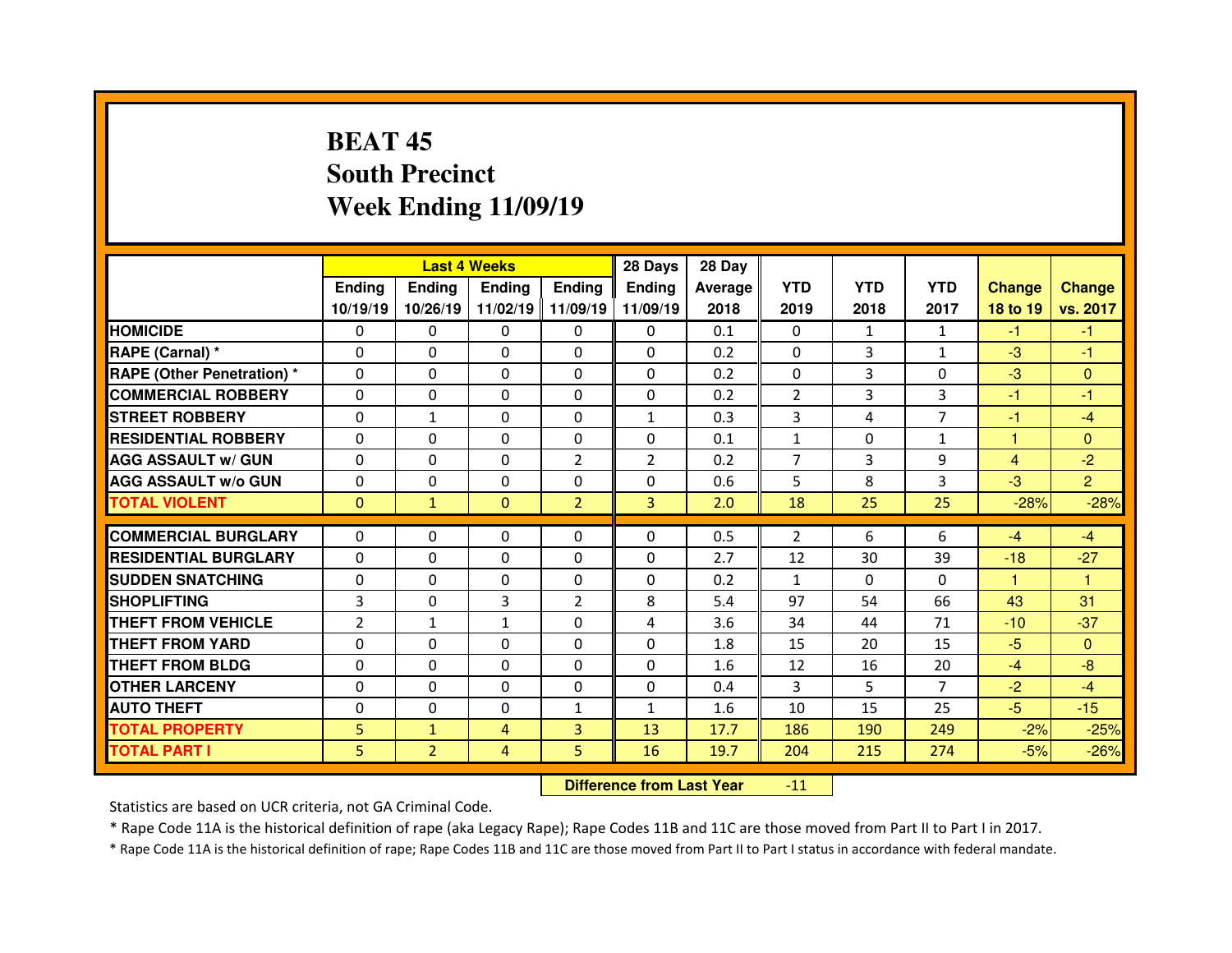# **BEAT 45 South PrecinctWeek Ending 11/09/19**

|                                              |                |                                | <b>Last 4 Weeks</b> |                | 28 Days        | 28 Day       |                |              |                |                |                      |
|----------------------------------------------|----------------|--------------------------------|---------------------|----------------|----------------|--------------|----------------|--------------|----------------|----------------|----------------------|
|                                              | Ending         | <b>Ending</b>                  | <b>Endina</b>       | <b>Endina</b>  | <b>Ending</b>  | Average      | <b>YTD</b>     | <b>YTD</b>   | <b>YTD</b>     | <b>Change</b>  | <b>Change</b>        |
|                                              | 10/19/19       | 10/26/19                       | 11/02/19            | 11/09/19       | 11/09/19       | 2018         | 2019           | 2018         | 2017           | 18 to 19       | vs. 2017             |
| <b>HOMICIDE</b>                              | $\Omega$       | 0                              | $\Omega$            | $\Omega$       | $\Omega$       | 0.1          | $\Omega$       | $\mathbf{1}$ | $\mathbf{1}$   | $-1$           | $-1$                 |
| RAPE (Carnal) *                              | $\Omega$       | 0                              | 0                   | $\Omega$       | $\Omega$       | 0.2          | $\Omega$       | 3            | $\mathbf{1}$   | $-3$           | $-1$                 |
| <b>RAPE (Other Penetration)*</b>             | $\Omega$       | 0                              | $\Omega$            | $\Omega$       | $\Omega$       | 0.2          | $\Omega$       | 3            | $\Omega$       | $-3$           | $\Omega$             |
| <b>COMMERCIAL ROBBERY</b>                    | 0              | 0                              | $\Omega$            | $\Omega$       | $\Omega$       | 0.2          | $\overline{2}$ | 3            | 3              | -1             | -1                   |
| <b>STREET ROBBERY</b>                        | $\Omega$       | $\mathbf{1}$                   | $\Omega$            | $\Omega$       | $\mathbf{1}$   | 0.3          | 3              | 4            | $\overline{7}$ | $-1$           | $-4$                 |
| <b>RESIDENTIAL ROBBERY</b>                   | $\Omega$       | 0                              | $\Omega$            | $\mathbf{0}$   | $\Omega$       | 0.1          | $\mathbf{1}$   | $\Omega$     | $\mathbf{1}$   | 1              | $\Omega$             |
| <b>AGG ASSAULT w/ GUN</b>                    | $\Omega$       | 0                              | $\Omega$            | $\overline{2}$ | $\overline{2}$ | 0.2          | $\overline{7}$ | 3            | 9              | $\overline{4}$ | $-2$                 |
| <b>AGG ASSAULT w/o GUN</b>                   | 0              | 0                              | $\Omega$            | $\mathbf{0}$   | $\Omega$       | 0.6          | 5              | 8            | 3              | $-3$           | $\overline{2}$       |
| <b>TOTAL VIOLENT</b>                         | $\Omega$       | $\mathbf{1}$                   | $\Omega$            | $\overline{2}$ | $\overline{3}$ | 2.0          | 18             | 25           | 25             | $-28%$         | $-28%$               |
| <b>COMMERCIAL BURGLARY</b>                   | 0              | 0                              | 0                   | $\mathbf{0}$   | $\Omega$       | 0.5          | 2              | 6            | 6              | $-4$           | $-4$                 |
| <b>RESIDENTIAL BURGLARY</b>                  | $\Omega$       | 0                              | 0                   | $\Omega$       | $\Omega$       | 2.7          | 12             | 30           | 39             | $-18$          | $-27$                |
| <b>SUDDEN SNATCHING</b>                      | $\Omega$       | 0                              | 0                   | $\Omega$       | $\Omega$       | 0.2          | $\mathbf{1}$   | $\Omega$     | $\Omega$       | 1.             | $\blacktriangleleft$ |
| <b>SHOPLIFTING</b>                           | 3              | 0                              | 3                   | 2              | 8              | 5.4          | 97             | 54           | 66             | 43             | 31                   |
| THEFT FROM VEHICLE                           | $\overline{2}$ | $\mathbf{1}$                   | $\mathbf{1}$        | $\mathbf{0}$   | 4              | 3.6          | 34             | 44           | 71             | $-10$          | $-37$                |
| <b>THEFT FROM YARD</b>                       | $\Omega$       | 0                              | $\Omega$            | $\Omega$       | $\Omega$       | 1.8          | 15             | 20           | 15             | $-5$           | $\Omega$             |
| <b>THEFT FROM BLDG</b>                       | $\Omega$       | 0                              | $\Omega$            | $\mathbf{0}$   | $\Omega$       | 1.6          | 12             | 16           | 20             | $-4$           | $-8$                 |
|                                              | $\Omega$       | 0                              | $\Omega$            | $\Omega$       | $\Omega$       | 0.4          | 3              | 5.           | $\overline{7}$ | $-2$           | $-4$                 |
|                                              |                |                                |                     |                |                |              |                |              |                |                |                      |
| <b>OTHER LARCENY</b>                         |                |                                |                     |                |                |              |                |              |                |                |                      |
| <b>AUTO THEFT</b>                            | $\Omega$       | 0                              | 0                   | $\mathbf{1}$   | $\mathbf{1}$   | 1.6          | 10             | 15           | 25             | $-5$           | $-15$                |
| <b>TOTAL PROPERTY</b><br><b>TOTAL PART I</b> | 5<br>5.        | $\mathbf{1}$<br>$\overline{2}$ | 4<br>4              | 3<br>5         | 13<br>16       | 17.7<br>19.7 | 186<br>204     | 190<br>215   | 249<br>274     | $-2%$<br>$-5%$ | $-25%$<br>$-26%$     |

 **Difference from Last Year**-11

Statistics are based on UCR criteria, not GA Criminal Code.

\* Rape Code 11A is the historical definition of rape (aka Legacy Rape); Rape Codes 11B and 11C are those moved from Part II to Part I in 2017.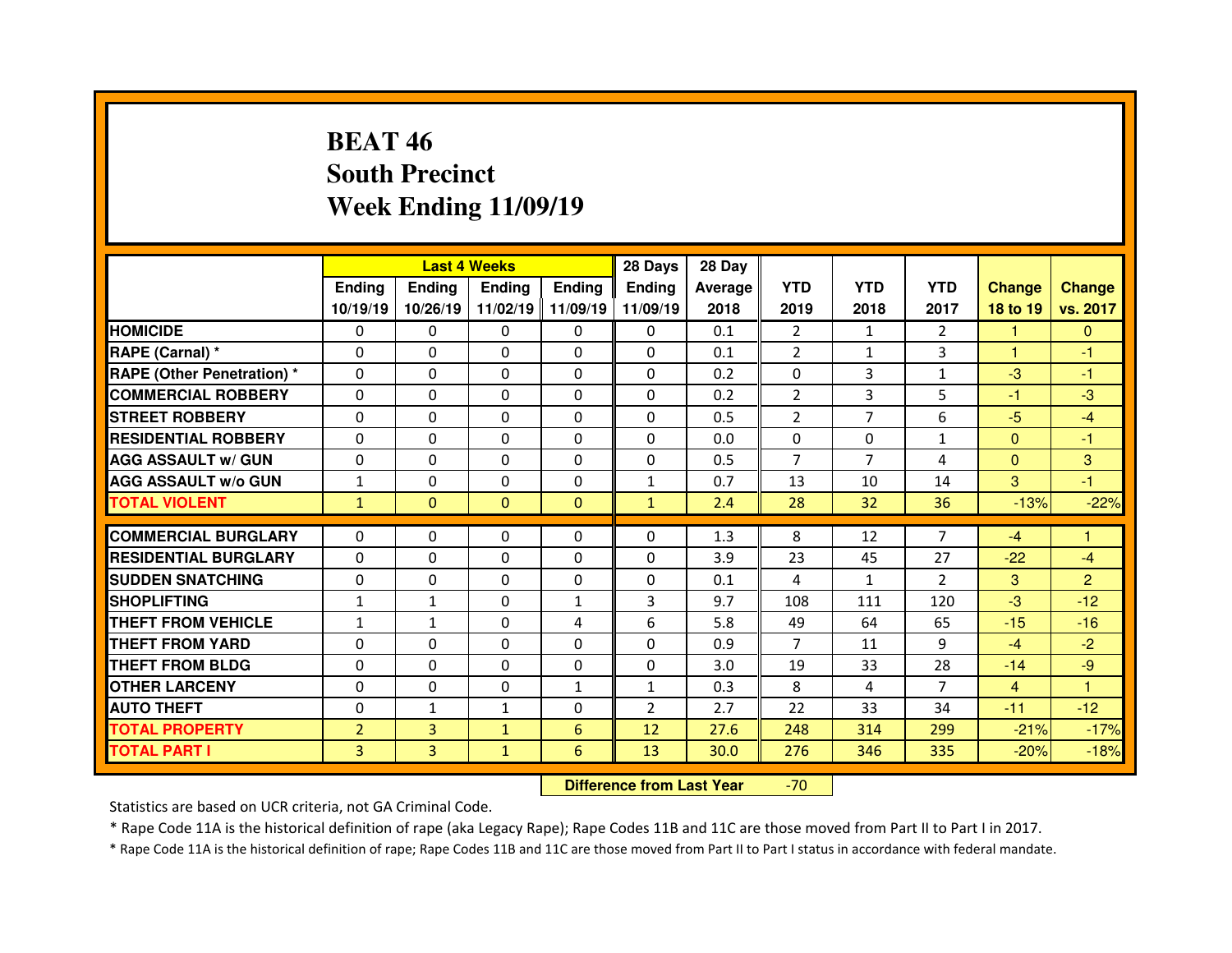# **BEAT 46 South PrecinctWeek Ending 11/09/19**

|                                  |                |               | <b>Last 4 Weeks</b> |               | 28 Days        | 28 Day  |                |                |                |                      |                |
|----------------------------------|----------------|---------------|---------------------|---------------|----------------|---------|----------------|----------------|----------------|----------------------|----------------|
|                                  | Ending         | <b>Ending</b> | <b>Endina</b>       | <b>Ending</b> | <b>Ending</b>  | Average | <b>YTD</b>     | <b>YTD</b>     | <b>YTD</b>     | <b>Change</b>        | <b>Change</b>  |
|                                  | 10/19/19       | 10/26/19      | 11/02/19            | 11/09/19      | 11/09/19       | 2018    | 2019           | 2018           | 2017           | 18 to 19             | vs. 2017       |
| <b>HOMICIDE</b>                  | $\Omega$       | 0             | $\Omega$            | $\Omega$      | $\Omega$       | 0.1     | 2              | $\mathbf{1}$   | $\mathcal{P}$  | 1                    | $\Omega$       |
| RAPE (Carnal) *                  | $\Omega$       | 0             | $\Omega$            | $\Omega$      | $\Omega$       | 0.1     | $\overline{2}$ | $\mathbf{1}$   | 3              | $\blacktriangleleft$ | $-1$           |
| <b>RAPE (Other Penetration)*</b> | $\Omega$       | 0             | $\Omega$            | $\mathbf{0}$  | $\Omega$       | 0.2     | $\Omega$       | 3              | $\mathbf{1}$   | $-3$                 | $-1$           |
| <b>COMMERCIAL ROBBERY</b>        | $\Omega$       | 0             | $\Omega$            | $\Omega$      | $\Omega$       | 0.2     | $\overline{2}$ | 3              | 5              | -1                   | $-3$           |
| <b>STREET ROBBERY</b>            | $\Omega$       | 0             | $\Omega$            | $\mathbf{0}$  | $\Omega$       | 0.5     | $\overline{2}$ | $\overline{7}$ | 6              | $-5$                 | $-4$           |
| <b>RESIDENTIAL ROBBERY</b>       | $\Omega$       | 0             | $\Omega$            | $\Omega$      | $\Omega$       | 0.0     | $\Omega$       | $\Omega$       | $\mathbf{1}$   | $\mathbf{0}$         | $-1$           |
| <b>AGG ASSAULT w/ GUN</b>        | $\Omega$       | 0             | $\Omega$            | $\Omega$      | $\Omega$       | 0.5     | $\overline{7}$ | $\overline{7}$ | 4              | $\overline{0}$       | 3              |
| <b>AGG ASSAULT w/o GUN</b>       | $\mathbf{1}$   | 0             | $\Omega$            | $\mathbf{0}$  | $\mathbf{1}$   | 0.7     | 13             | 10             | 14             | 3                    | $-1$           |
| <b>TOTAL VIOLENT</b>             | $\mathbf{1}$   | $\mathbf{0}$  | $\mathbf{0}$        | $\Omega$      | $\mathbf{1}$   | 2.4     | 28             | 32             | 36             | $-13%$               | $-22%$         |
|                                  |                |               |                     |               |                |         |                |                |                |                      | 1              |
| <b>COMMERCIAL BURGLARY</b>       | 0              | 0             | 0                   | $\mathbf{0}$  | $\Omega$       | 1.3     | 8              | 12             | $\overline{7}$ | $-4$                 |                |
| <b>RESIDENTIAL BURGLARY</b>      | $\Omega$       | 0             | $\Omega$            | $\mathbf{0}$  | $\Omega$       | 3.9     | 23             | 45             | 27             | $-22$                | $-4$           |
| <b>SUDDEN SNATCHING</b>          | $\Omega$       | 0             | 0                   | $\Omega$      | $\Omega$       | 0.1     | 4              | $\mathbf{1}$   | $\overline{2}$ | 3                    | $\overline{2}$ |
| <b>SHOPLIFTING</b>               | $\mathbf{1}$   | $\mathbf{1}$  | 0                   | $\mathbf{1}$  | 3              | 9.7     | 108            | 111            | 120            | $-3$                 | $-12$          |
| THEFT FROM VEHICLE               | $\mathbf{1}$   | $\mathbf{1}$  | 0                   | 4             | 6              | 5.8     | 49             | 64             | 65             | $-15$                | $-16$          |
| <b>THEFT FROM YARD</b>           | $\Omega$       | 0             | $\Omega$            | $\Omega$      | $\Omega$       | 0.9     | $\overline{7}$ | 11             | 9              | $-4$                 | $-2$           |
| <b>THEFT FROM BLDG</b>           |                |               |                     | $\mathbf{0}$  | $\Omega$       | 3.0     | 19             | 33             | 28             | $-14$                | $-9$           |
|                                  | 0              | 0             | 0                   |               |                |         |                |                |                |                      |                |
| <b>OTHER LARCENY</b>             | $\Omega$       | 0             | 0                   | 1             | $\mathbf{1}$   | 0.3     | 8              | 4              | $\overline{7}$ | 4                    | 1              |
| <b>AUTO THEFT</b>                | $\Omega$       | $\mathbf{1}$  | $\mathbf{1}$        | $\mathbf{0}$  | $\overline{2}$ | 2.7     | 22             | 33             | 34             | $-11$                | $-12$          |
| <b>TOTAL PROPERTY</b>            | $\overline{2}$ | 3             | $\mathbf{1}$        | 6             | 12             | 27.6    | 248            | 314            | 299            | $-21%$               | $-17%$         |
| <b>TOTAL PART I</b>              | 3              | 3             | $\mathbf{1}$        | 6             | 13             | 30.0    | 276            | 346            | 335            | $-20%$               | $-18%$         |

 **Difference from Last Year**-70

Statistics are based on UCR criteria, not GA Criminal Code.

\* Rape Code 11A is the historical definition of rape (aka Legacy Rape); Rape Codes 11B and 11C are those moved from Part II to Part I in 2017.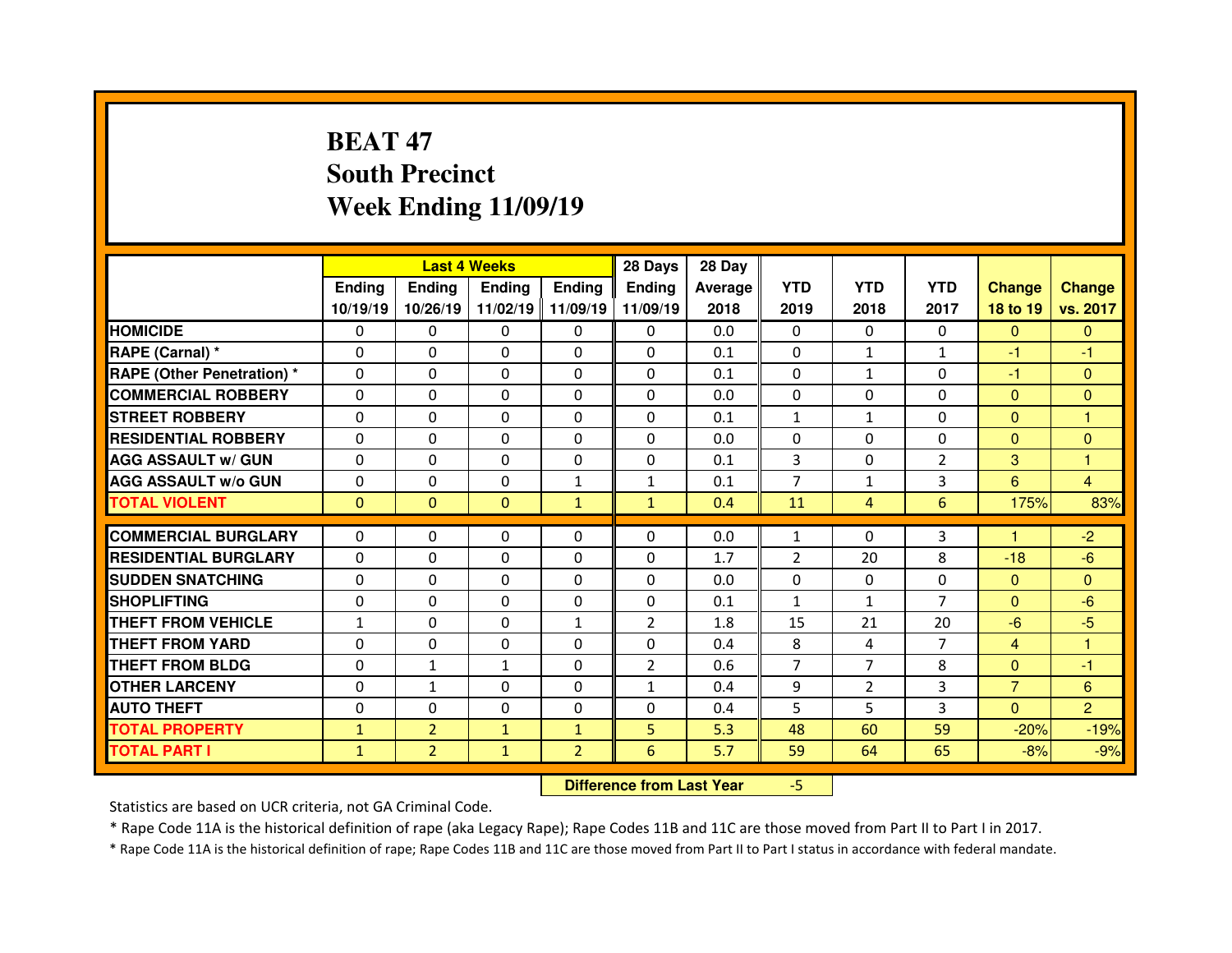# **BEAT 47 South PrecinctWeek Ending 11/09/19**

|                                  |               | <b>Last 4 Weeks</b> |               |                | 28 Days                          | 28 Day         |                |                |                |                |                |
|----------------------------------|---------------|---------------------|---------------|----------------|----------------------------------|----------------|----------------|----------------|----------------|----------------|----------------|
|                                  | <b>Ending</b> | <b>Ending</b>       | <b>Ending</b> | <b>Ending</b>  | <b>Ending</b>                    | <b>Average</b> | <b>YTD</b>     | <b>YTD</b>     | <b>YTD</b>     | <b>Change</b>  | <b>Change</b>  |
|                                  | 10/19/19      | 10/26/19            | 11/02/19      | 11/09/19       | 11/09/19                         | 2018           | 2019           | 2018           | 2017           | 18 to 19       | vs. 2017       |
| <b>HOMICIDE</b>                  | 0             | 0                   | 0             | $\Omega$       | 0                                | 0.0            | 0              | $\mathbf{0}$   | $\Omega$       | $\Omega$       | $\Omega$       |
| RAPE (Carnal) *                  | $\Omega$      | 0                   | $\Omega$      | $\mathbf{0}$   | $\Omega$                         | 0.1            | $\mathbf{0}$   | $\mathbf{1}$   | $\mathbf{1}$   | $-1$           | $-1$           |
| <b>RAPE (Other Penetration)*</b> | $\Omega$      | 0                   | 0             | 0              | $\Omega$                         | 0.1            | $\Omega$       | $\mathbf{1}$   | 0              | $-1$           | $\Omega$       |
| <b>COMMERCIAL ROBBERY</b>        | $\Omega$      | 0                   | $\Omega$      | $\mathbf{0}$   | $\Omega$                         | 0.0            | $\Omega$       | $\Omega$       | 0              | $\mathbf{0}$   | $\Omega$       |
| <b>STREET ROBBERY</b>            | $\Omega$      | 0                   | $\Omega$      | $\mathbf{0}$   | $\Omega$                         | 0.1            | $\mathbf{1}$   | $\mathbf{1}$   | $\Omega$       | $\Omega$       | $\overline{1}$ |
| <b>RESIDENTIAL ROBBERY</b>       | $\Omega$      | 0                   | 0             | $\mathbf{0}$   | $\Omega$                         | 0.0            | $\mathbf{0}$   | $\Omega$       | 0              | $\mathbf{0}$   | $\Omega$       |
| <b>AGG ASSAULT w/ GUN</b>        | $\Omega$      | 0                   | 0             | $\mathbf{0}$   | $\Omega$                         | 0.1            | 3              | $\Omega$       | $\overline{2}$ | 3              | $\mathbf{1}$   |
| <b>AGG ASSAULT W/o GUN</b>       | 0             | 0                   | 0             | $\mathbf{1}$   | 1                                | 0.1            | $\overline{7}$ | $\mathbf{1}$   | 3              | 6              | $\overline{4}$ |
| <b>TOTAL VIOLENT</b>             | $\mathbf{0}$  | 0                   | $\mathbf{0}$  | $\mathbf{1}$   | $\mathbf{1}$                     | 0.4            | 11             | $\overline{4}$ | 6              | 175%           | 83%            |
| <b>COMMERCIAL BURGLARY</b>       | 0             | 0                   | 0             | $\mathbf{0}$   | $\Omega$                         | 0.0            | $\mathbf{1}$   | $\Omega$       | 3              | н              | $-2$           |
| <b>RESIDENTIAL BURGLARY</b>      | $\Omega$      | 0                   | 0             | $\mathbf{0}$   | $\Omega$                         | 1.7            | 2              | 20             | 8              | $-18$          | $-6$           |
| <b>SUDDEN SNATCHING</b>          | 0             | 0                   | $\Omega$      | 0              | $\Omega$                         | 0.0            | $\Omega$       | $\Omega$       | 0              | $\mathbf{0}$   | $\Omega$       |
| <b>SHOPLIFTING</b>               | $\Omega$      | 0                   | 0             | $\Omega$       | $\Omega$                         | 0.1            | $\mathbf{1}$   | $\mathbf{1}$   | $\overline{7}$ | $\Omega$       | $-6$           |
| <b>THEFT FROM VEHICLE</b>        | $\mathbf{1}$  | 0                   | 0             | $\mathbf{1}$   | $\overline{2}$                   | 1.8            | 15             | 21             | 20             | $-6$           | $-5$           |
| <b>THEFT FROM YARD</b>           | 0             | 0                   | 0             | 0              | 0                                | 0.4            | 8              | 4              | $\overline{7}$ | $\overline{4}$ | 1              |
| <b>THEFT FROM BLDG</b>           | $\Omega$      | $\mathbf{1}$        | $\mathbf{1}$  | 0              | $\overline{2}$                   | 0.6            | $\overline{7}$ | $\overline{7}$ | 8              | $\overline{0}$ | $-1$           |
| <b>OTHER LARCENY</b>             | 0             | $\mathbf{1}$        | 0             | 0              | $\mathbf{1}$                     | 0.4            | 9              | $\overline{2}$ | 3              | $\overline{7}$ | $6\phantom{1}$ |
| <b>AUTO THEFT</b>                | $\Omega$      | 0                   | $\Omega$      | $\mathbf{0}$   | $\Omega$                         | 0.4            | 5              | 5              | 3              | $\overline{0}$ | $\overline{2}$ |
| <b>TOTAL PROPERTY</b>            | $\mathbf{1}$  | $\overline{2}$      | $\mathbf{1}$  | $\mathbf{1}$   | 5 <sup>5</sup>                   | 5.3            | 48             | 60             | 59             | $-20%$         | $-19%$         |
| <b>TOTAL PART I</b>              | $\mathbf{1}$  | $\overline{2}$      | $\mathbf{1}$  | $\overline{2}$ | 6                                | 5.7            | 59             | 64             | 65             | $-8%$          | $-9%$          |
|                                  |               |                     |               |                | <b>Difference from Last Year</b> |                | $-5$           |                |                |                |                |

Statistics are based on UCR criteria, not GA Criminal Code.

\* Rape Code 11A is the historical definition of rape (aka Legacy Rape); Rape Codes 11B and 11C are those moved from Part II to Part I in 2017.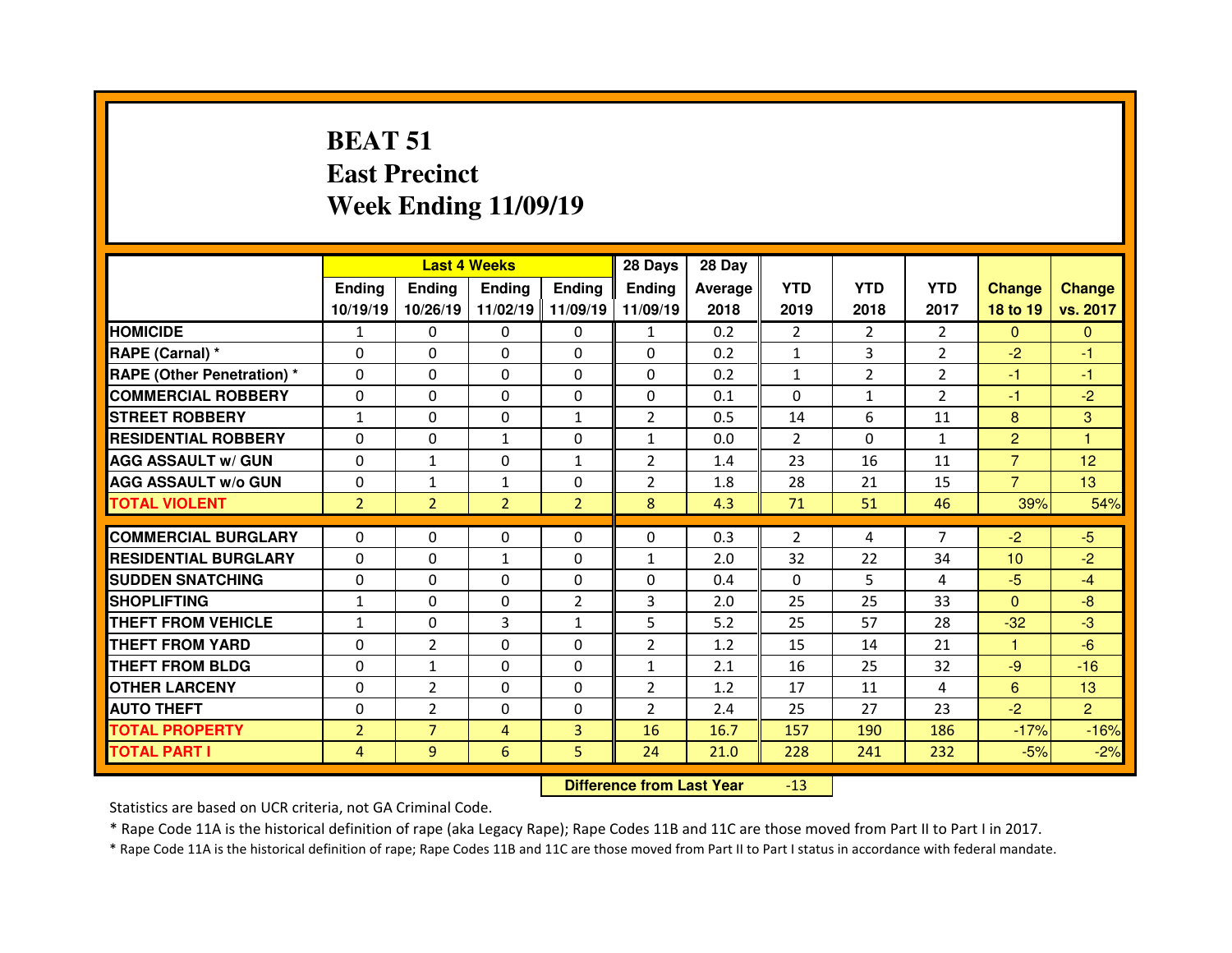# **BEAT 51 East PrecinctWeek Ending 11/09/19**

|                                   |                |                | <b>Last 4 Weeks</b> |                | 28 Days        | 28 Day  |                |                |                |                 |                |
|-----------------------------------|----------------|----------------|---------------------|----------------|----------------|---------|----------------|----------------|----------------|-----------------|----------------|
|                                   | <b>Ending</b>  | <b>Ending</b>  | Ending              | <b>Ending</b>  | Ending         | Average | <b>YTD</b>     | <b>YTD</b>     | <b>YTD</b>     | <b>Change</b>   | <b>Change</b>  |
|                                   | 10/19/19       | 10/26/19       | 11/02/19 11/09/19   |                | 11/09/19       | 2018    | 2019           | 2018           | 2017           | 18 to 19        | vs. 2017       |
| <b>HOMICIDE</b>                   | $\mathbf{1}$   | 0              | 0                   | 0              | $\mathbf{1}$   | 0.2     | $\overline{2}$ | 2              | $\overline{2}$ | $\mathbf{0}$    | $\Omega$       |
| RAPE (Carnal) *                   | $\Omega$       | $\Omega$       | $\Omega$            | $\Omega$       | $\Omega$       | 0.2     | $\mathbf{1}$   | 3              | $\overline{2}$ | $-2$            | $-1$           |
| <b>RAPE (Other Penetration) *</b> | 0              | 0              | 0                   | $\Omega$       | $\Omega$       | 0.2     | $\mathbf{1}$   | $\overline{2}$ | $\overline{2}$ | $-1$            | $-1$           |
| <b>COMMERCIAL ROBBERY</b>         | 0              | $\Omega$       | $\Omega$            | $\Omega$       | $\Omega$       | 0.1     | $\Omega$       | $\mathbf{1}$   | $\overline{2}$ | $-1$            | $-2$           |
| <b>STREET ROBBERY</b>             | $\mathbf{1}$   | 0              | 0                   | $\mathbf{1}$   | $\overline{2}$ | 0.5     | 14             | 6              | 11             | 8               | 3              |
| <b>RESIDENTIAL ROBBERY</b>        | 0              | 0              | $\mathbf{1}$        | 0              | $\mathbf{1}$   | 0.0     | $\overline{2}$ | $\Omega$       | $\mathbf{1}$   | $\overline{2}$  | $\overline{1}$ |
| <b>AGG ASSAULT w/ GUN</b>         | $\Omega$       | $\mathbf{1}$   | $\Omega$            | $\mathbf{1}$   | $\overline{2}$ | 1.4     | 23             | 16             | 11             | $\overline{7}$  | 12             |
| <b>AGG ASSAULT w/o GUN</b>        | 0              | $\mathbf{1}$   | $\mathbf{1}$        | $\Omega$       | $\overline{2}$ | 1.8     | 28             | 21             | 15             | $\overline{7}$  | 13             |
| <b>TOTAL VIOLENT</b>              | $\overline{2}$ | $\overline{2}$ | $\overline{2}$      | $\overline{2}$ | 8              | 4.3     | 71             | 51             | 46             | 39%             | 54%            |
| <b>COMMERCIAL BURGLARY</b>        | $\Omega$       | $\Omega$       |                     | $\Omega$       | $\Omega$       | 0.3     | 2              | 4              | $\overline{7}$ | $-2$            | $-5$           |
|                                   |                |                | 0                   |                |                |         |                |                |                |                 |                |
| <b>RESIDENTIAL BURGLARY</b>       | $\Omega$       | $\Omega$       | $\mathbf{1}$        | $\Omega$       | $\mathbf{1}$   | 2.0     | 32             | 22             | 34             | 10 <sup>1</sup> | $-2$           |
| <b>SUDDEN SNATCHING</b>           | $\Omega$       | $\Omega$       | $\Omega$            | $\Omega$       | $\Omega$       | 0.4     | $\Omega$       | 5.             | 4              | $-5$            | $-4$           |
| <b>SHOPLIFTING</b>                | $\mathbf{1}$   | 0              | $\Omega$            | $\overline{2}$ | 3              | 2.0     | 25             | 25             | 33             | $\mathbf{0}$    | $-8$           |
| <b>THEFT FROM VEHICLE</b>         | $\mathbf{1}$   | $\Omega$       | 3                   | $\mathbf{1}$   | 5              | 5.2     | 25             | 57             | 28             | $-32$           | $-3$           |
| <b>THEFT FROM YARD</b>            | $\Omega$       | $\overline{2}$ | $\Omega$            | $\Omega$       | $\overline{2}$ | 1.2     | 15             | 14             | 21             | 1               | $-6$           |
| <b>THEFT FROM BLDG</b>            | $\Omega$       | $\mathbf{1}$   | $\Omega$            | $\Omega$       | $\mathbf{1}$   | 2.1     | 16             | 25             | 32             | $-9$            | $-16$          |
| <b>OTHER LARCENY</b>              | 0              | $\overline{2}$ | $\Omega$            | $\Omega$       | $\overline{2}$ | 1.2     | 17             | 11             | 4              | $6\overline{6}$ | 13             |
| <b>AUTO THEFT</b>                 | $\Omega$       | $\overline{2}$ | $\Omega$            | $\Omega$       | $\overline{2}$ | 2.4     | 25             | 27             | 23             | $-2$            | $\overline{2}$ |
| <b>TOTAL PROPERTY</b>             | $\overline{2}$ | $\overline{7}$ | 4                   | $\overline{3}$ | 16             | 16.7    | 157            | 190            | 186            | $-17%$          | $-16%$         |
| <b>TOTAL PART I</b>               | $\overline{4}$ | 9              | 6                   | 5              | 24             | 21.0    | 228            | 241            | 232            | $-5%$           | $-2%$          |
|                                   |                |                |                     |                |                |         |                |                |                |                 |                |

 **Difference from Last Year**-13

Statistics are based on UCR criteria, not GA Criminal Code.

\* Rape Code 11A is the historical definition of rape (aka Legacy Rape); Rape Codes 11B and 11C are those moved from Part II to Part I in 2017.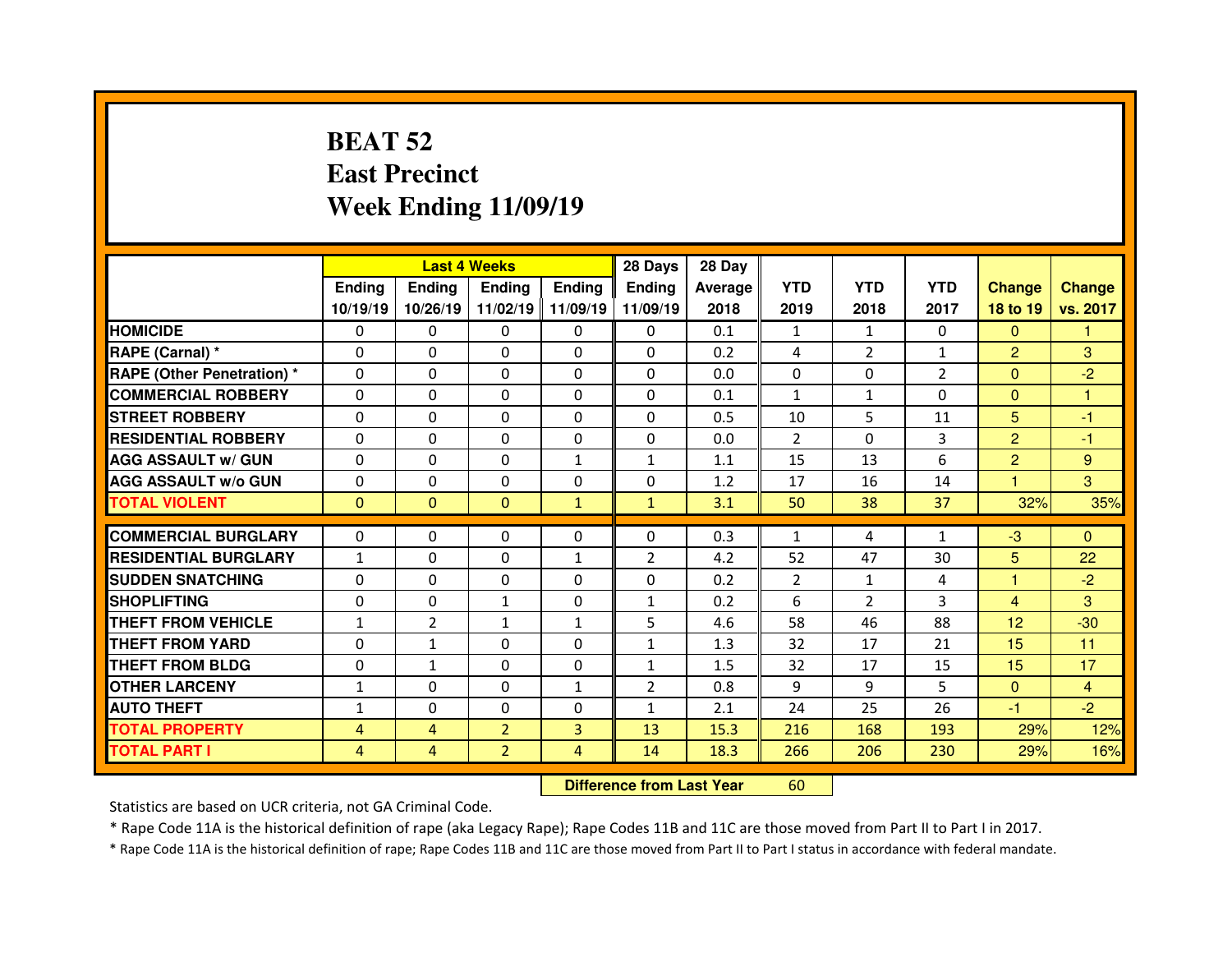# **BEAT 52 East PrecinctWeek Ending 11/09/19**

|                                  |              |                | <b>Last 4 Weeks</b> |                   | 28 Days        | 28 Day  |              |                |               |                |               |
|----------------------------------|--------------|----------------|---------------------|-------------------|----------------|---------|--------------|----------------|---------------|----------------|---------------|
|                                  | Ending       | <b>Ending</b>  | Ending              | <b>Ending</b>     | <b>Ending</b>  | Average | <b>YTD</b>   | <b>YTD</b>     | <b>YTD</b>    | <b>Change</b>  | <b>Change</b> |
|                                  | 10/19/19     | 10/26/19       |                     | 11/02/19 11/09/19 | 11/09/19       | 2018    | 2019         | 2018           | 2017          | 18 to 19       | vs. 2017      |
| <b>HOMICIDE</b>                  | $\Omega$     | 0              | 0                   | $\Omega$          | 0              | 0.1     | 1            | 1              | $\Omega$      | $\Omega$       | 1             |
| RAPE (Carnal) *                  | $\Omega$     | 0              | $\mathbf{0}$        | $\Omega$          | 0              | 0.2     | 4            | $\overline{2}$ | $\mathbf{1}$  | $\overline{2}$ | 3             |
| <b>RAPE (Other Penetration)*</b> | $\Omega$     | $\Omega$       | $\Omega$            | $\Omega$          | $\Omega$       | 0.0     | $\Omega$     | $\Omega$       | $\mathcal{P}$ | $\mathbf{0}$   | $-2$          |
| <b>COMMERCIAL ROBBERY</b>        | $\Omega$     | $\Omega$       | $\mathbf{0}$        | $\Omega$          | $\Omega$       | 0.1     | $\mathbf{1}$ | $\mathbf{1}$   | $\Omega$      | $\overline{0}$ | 1             |
| <b>STREET ROBBERY</b>            | $\Omega$     | $\Omega$       | $\Omega$            | $\Omega$          | $\Omega$       | 0.5     | 10           | 5.             | 11            | 5              | -1            |
| <b>RESIDENTIAL ROBBERY</b>       | $\Omega$     | $\Omega$       | $\mathbf{0}$        | $\Omega$          | $\Omega$       | 0.0     | 2            | $\Omega$       | 3             | $\overline{2}$ | $-1$          |
| <b>AGG ASSAULT w/ GUN</b>        | $\Omega$     | $\Omega$       | $\Omega$            | $\mathbf{1}$      | $\mathbf{1}$   | 1.1     | 15           | 13             | 6             | $\overline{2}$ | 9             |
| <b>AGG ASSAULT w/o GUN</b>       | 0            | 0              | $\Omega$            | $\Omega$          | $\Omega$       | 1.2     | 17           | 16             | 14            | 1              | 3             |
| <b>TOTAL VIOLENT</b>             | $\mathbf{0}$ | $\mathbf{0}$   | $\mathbf{0}$        | $\mathbf{1}$      | $\mathbf{1}$   | 3.1     | 50           | 38             | 37            | 32%            | 35%           |
|                                  |              |                |                     |                   |                |         |              |                |               |                |               |
|                                  |              |                |                     |                   |                |         |              |                |               |                |               |
| <b>COMMERCIAL BURGLARY</b>       | 0            | 0              | 0                   | $\Omega$          | 0              | 0.3     | $\mathbf{1}$ | 4              | $\mathbf{1}$  | $-3$           | $\mathbf{0}$  |
| <b>RESIDENTIAL BURGLARY</b>      | $\mathbf{1}$ | $\Omega$       | 0                   | 1                 | $\overline{2}$ | 4.2     | 52           | 47             | 30            | 5              | 22            |
| <b>SUDDEN SNATCHING</b>          | 0            | 0              | 0                   | $\Omega$          | 0              | 0.2     | 2            | $\mathbf{1}$   | 4             | 1              | $-2$          |
| <b>SHOPLIFTING</b>               | 0            | $\Omega$       | $\mathbf{1}$        | $\Omega$          | $\mathbf{1}$   | 0.2     | 6            | $\overline{2}$ | 3             | $\overline{4}$ | 3             |
| <b>THEFT FROM VEHICLE</b>        | $\mathbf{1}$ | $\overline{2}$ | $\mathbf{1}$        | $\mathbf{1}$      | 5              | 4.6     | 58           | 46             | 88            | 12             | $-30$         |
| <b>THEFT FROM YARD</b>           | 0            | $\mathbf{1}$   | $\Omega$            | $\Omega$          | $\mathbf{1}$   | 1.3     | 32           | 17             | 21            | 15             | 11            |
| <b>THEFT FROM BLDG</b>           | $\mathbf{0}$ | $\mathbf{1}$   | $\mathbf{0}$        | $\Omega$          | $\mathbf{1}$   | 1.5     | 32           | 17             | 15            | 15             | 17            |
| <b>OTHER LARCENY</b>             | $\mathbf{1}$ | $\Omega$       | $\Omega$            | $\mathbf{1}$      | $\overline{2}$ | 0.8     | 9            | 9              | 5             | $\overline{0}$ | 4             |
| <b>AUTO THEFT</b>                | $\mathbf{1}$ | 0              | 0                   | $\Omega$          | $\mathbf{1}$   | 2.1     | 24           | 25             | 26            | -1             | $-2$          |
| <b>TOTAL PROPERTY</b>            | 4            | $\overline{4}$ | $\overline{2}$      | $\overline{3}$    | 13             | 15.3    | 216          | 168            | 193           | 29%            | 12%           |
| <b>TOTAL PART I</b>              | 4            | $\overline{4}$ | $\overline{2}$      | $\overline{4}$    | 14             | 18.3    | 266          | 206            | 230           | 29%            | 16%           |

 **Difference from Last Year**<sup>60</sup>

Statistics are based on UCR criteria, not GA Criminal Code.

\* Rape Code 11A is the historical definition of rape (aka Legacy Rape); Rape Codes 11B and 11C are those moved from Part II to Part I in 2017.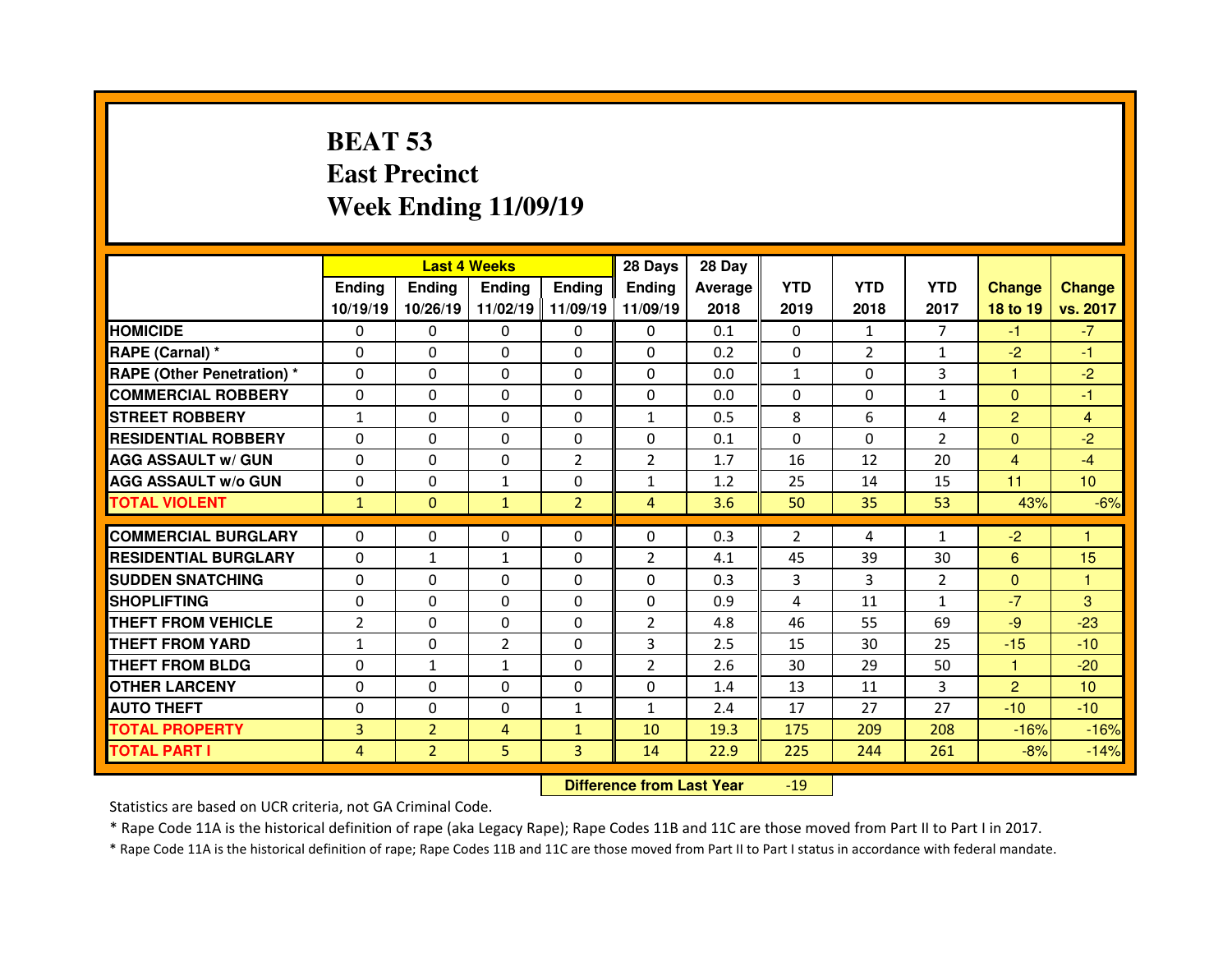# **BEAT 53 East PrecinctWeek Ending 11/09/19**

|                                  |                | <b>Last 4 Weeks</b> |                |                   | 28 Days        | 28 Day  |                |                |                |                |                 |
|----------------------------------|----------------|---------------------|----------------|-------------------|----------------|---------|----------------|----------------|----------------|----------------|-----------------|
|                                  | Ending         | <b>Endina</b>       | <b>Ending</b>  | <b>Ending</b>     | <b>Ending</b>  | Average | <b>YTD</b>     | <b>YTD</b>     | <b>YTD</b>     | <b>Change</b>  | <b>Change</b>   |
|                                  | 10/19/19       | 10/26/19            |                | 11/02/19 11/09/19 | 11/09/19       | 2018    | 2019           | 2018           | 2017           | 18 to 19       | vs. 2017        |
| <b>HOMICIDE</b>                  | $\Omega$       | $\Omega$            | $\Omega$       | $\Omega$          | 0              | 0.1     | $\Omega$       | $\mathbf{1}$   | $\overline{7}$ | $-1$           | $-7$            |
| RAPE (Carnal) *                  | $\Omega$       | 0                   | 0              | $\Omega$          | $\Omega$       | 0.2     | $\mathbf{0}$   | $\overline{2}$ | $\mathbf{1}$   | $-2$           | $-1$            |
| <b>RAPE (Other Penetration)*</b> | $\Omega$       | 0                   | 0              | $\Omega$          | $\Omega$       | 0.0     | $\mathbf{1}$   | $\Omega$       | 3              | 1              | $-2$            |
| <b>COMMERCIAL ROBBERY</b>        | $\Omega$       | 0                   | $\Omega$       | $\Omega$          | $\Omega$       | 0.0     | $\Omega$       | $\Omega$       | $\mathbf{1}$   | $\mathbf{0}$   | -1              |
| <b>STREET ROBBERY</b>            | $\mathbf{1}$   | 0                   | $\Omega$       | $\Omega$          | $\mathbf{1}$   | 0.5     | 8              | 6              | 4              | $\overline{2}$ | $\overline{4}$  |
| <b>RESIDENTIAL ROBBERY</b>       | $\Omega$       | 0                   | 0              | $\Omega$          | $\Omega$       | 0.1     | $\Omega$       | $\Omega$       | $\mathcal{P}$  | $\mathbf{0}$   | $-2$            |
| <b>AGG ASSAULT w/ GUN</b>        | $\Omega$       | 0                   | 0              | 2                 | $\overline{2}$ | 1.7     | 16             | 12             | 20             | $\overline{4}$ | $-4$            |
| <b>AGG ASSAULT W/o GUN</b>       | 0              | 0                   | $\mathbf{1}$   | $\mathbf{0}$      | $\mathbf{1}$   | 1.2     | 25             | 14             | 15             | 11             | 10 <sup>°</sup> |
| <b>TOTAL VIOLENT</b>             | $\mathbf{1}$   | $\mathbf{0}$        | $\mathbf{1}$   | $\overline{2}$    | $\overline{4}$ | 3.6     | 50             | 35             | 53             | 43%            | $-6%$           |
| <b>COMMERCIAL BURGLARY</b>       | $\Omega$       | 0                   | 0              | 0                 | 0              | 0.3     | $\overline{2}$ | 4              | 1              | $-2$           |                 |
|                                  |                |                     |                |                   |                |         |                |                |                |                |                 |
|                                  |                |                     |                |                   |                |         |                |                |                |                |                 |
| <b>RESIDENTIAL BURGLARY</b>      | 0              | $\mathbf{1}$        | 1              | 0                 | $\overline{2}$ | 4.1     | 45             | 39             | 30             | 6              | 15              |
| <b>SUDDEN SNATCHING</b>          | $\Omega$       | 0                   | $\Omega$       | $\mathbf{0}$      | $\Omega$       | 0.3     | 3              | 3              | $\overline{2}$ | $\Omega$       | 1               |
| <b>SHOPLIFTING</b>               | 0              | 0                   | $\Omega$       | $\mathbf{0}$      | $\Omega$       | 0.9     | 4              | 11             | $\mathbf{1}$   | $-7$           | 3               |
| THEFT FROM VEHICLE               | $\overline{2}$ | 0                   | 0              | $\mathbf{0}$      | $\overline{2}$ | 4.8     | 46             | 55             | 69             | $-9$           | $-23$           |
| <b>THEFT FROM YARD</b>           | $\mathbf{1}$   | 0                   | $\overline{2}$ | $\mathbf{0}$      | 3              | 2.5     | 15             | 30             | 25             | $-15$          | $-10$           |
| <b>THEFT FROM BLDG</b>           | 0              | $\mathbf{1}$        | $\mathbf{1}$   | $\Omega$          | $\overline{2}$ | 2.6     | 30             | 29             | 50             | 1              | $-20$           |
| <b>OTHER LARCENY</b>             | $\Omega$       | 0                   | $\Omega$       | $\Omega$          | $\Omega$       | 1.4     | 13             | 11             | 3              | $\overline{2}$ | 10 <sup>1</sup> |
| <b>AUTO THEFT</b>                | 0              | 0                   | 0              | 1                 | $\mathbf{1}$   | 2.4     | 17             | 27             | 27             | $-10$          | $-10$           |
| <b>TOTAL PROPERTY</b>            | $\overline{3}$ | $\overline{2}$      | 4              | $\mathbf{1}$      | 10             | 19.3    | 175            | 209            | 208            | $-16%$         | $-16%$          |
| <b>TOTAL PART I</b>              | 4              | $\overline{2}$      | 5              | 3                 | 14             | 22.9    | 225            | 244            | 261            | $-8%$          | $-14%$          |

 **Difference from Last Year**-19

Statistics are based on UCR criteria, not GA Criminal Code.

\* Rape Code 11A is the historical definition of rape (aka Legacy Rape); Rape Codes 11B and 11C are those moved from Part II to Part I in 2017.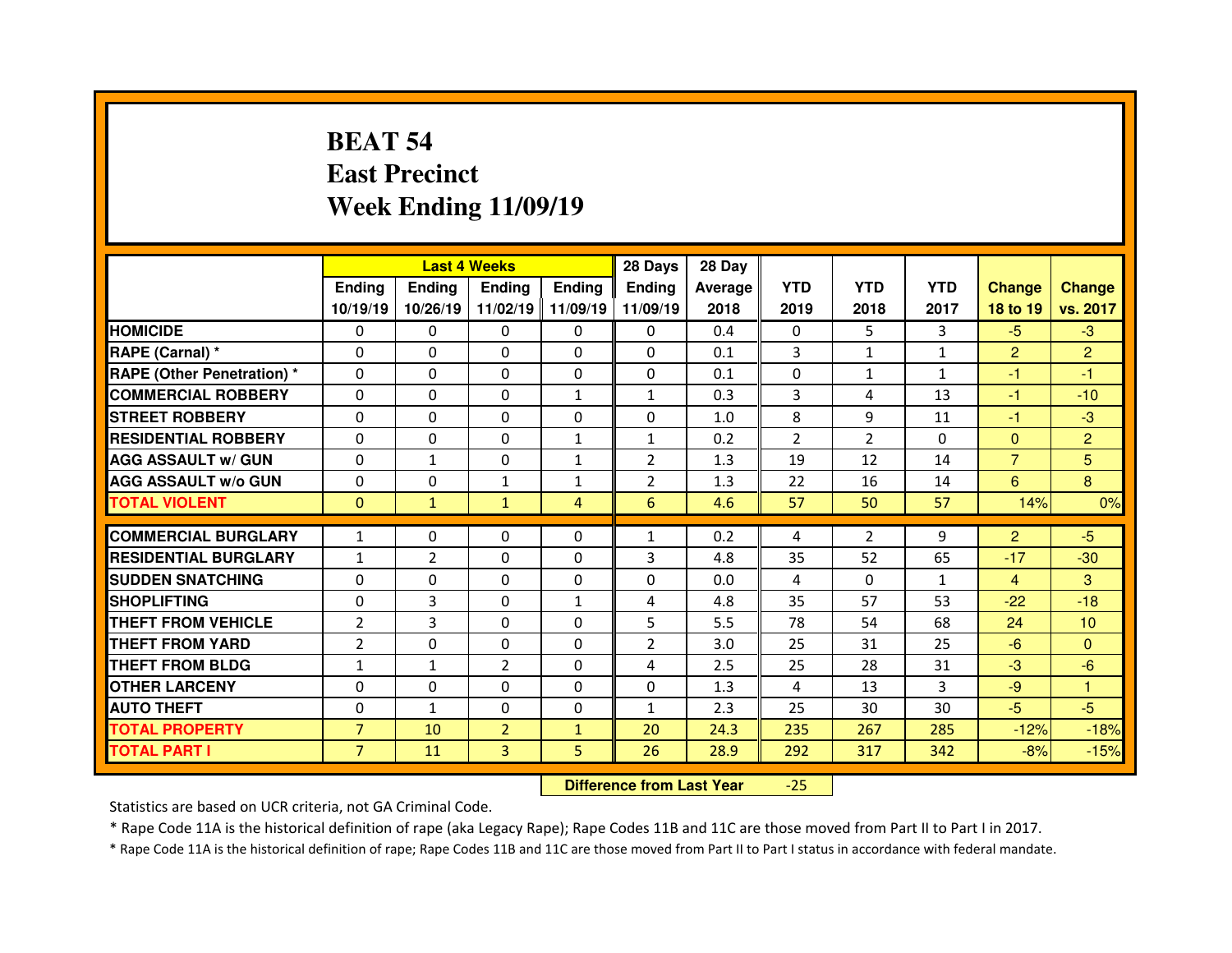# **BEAT 54 East PrecinctWeek Ending 11/09/19**

|                                  |                |               | <b>Last 4 Weeks</b> |                   | 28 Days        | 28 Day  |                |                |              |                |                 |
|----------------------------------|----------------|---------------|---------------------|-------------------|----------------|---------|----------------|----------------|--------------|----------------|-----------------|
|                                  | <b>Ending</b>  | <b>Ending</b> | <b>Ending</b>       | <b>Ending</b>     | <b>Ending</b>  | Average | <b>YTD</b>     | <b>YTD</b>     | <b>YTD</b>   | <b>Change</b>  | <b>Change</b>   |
|                                  | 10/19/19       | 10/26/19      |                     | 11/02/19 11/09/19 | 11/09/19       | 2018    | 2019           | 2018           | 2017         | 18 to 19       | vs. 2017        |
| <b>HOMICIDE</b>                  | $\Omega$       | $\Omega$      | $\Omega$            | $\Omega$          | $\Omega$       | 0.4     | $\Omega$       | 5.             | 3            | $-5$           | $-3$            |
| RAPE (Carnal) *                  | $\Omega$       | $\Omega$      | $\Omega$            | $\Omega$          | $\Omega$       | 0.1     | 3              | $\mathbf{1}$   | $\mathbf{1}$ | $\overline{2}$ | $\overline{2}$  |
| <b>RAPE (Other Penetration)*</b> | $\Omega$       | $\Omega$      | $\mathbf{0}$        | $\Omega$          | $\Omega$       | 0.1     | $\Omega$       | $\mathbf{1}$   | $\mathbf{1}$ | $-1$           | $-1$            |
| <b>COMMERCIAL ROBBERY</b>        | $\Omega$       | $\Omega$      | $\mathbf{0}$        | $\mathbf{1}$      | $\mathbf{1}$   | 0.3     | 3              | 4              | 13           | $-1$           | $-10$           |
| <b>STREET ROBBERY</b>            | $\Omega$       | $\Omega$      | $\Omega$            | $\Omega$          | $\Omega$       | 1.0     | 8              | 9              | 11           | $-1$           | $-3$            |
| <b>RESIDENTIAL ROBBERY</b>       | $\Omega$       | $\Omega$      | $\mathbf{0}$        | $\mathbf{1}$      | $\mathbf{1}$   | 0.2     | $\overline{2}$ | $\overline{2}$ | $\Omega$     | $\mathbf{0}$   | $\overline{2}$  |
| <b>AGG ASSAULT w/ GUN</b>        | $\Omega$       | $\mathbf{1}$  | $\Omega$            | $\mathbf{1}$      | $\overline{2}$ | 1.3     | 19             | 12             | 14           | $\overline{7}$ | 5               |
| <b>AGG ASSAULT w/o GUN</b>       | $\Omega$       | $\Omega$      | $\mathbf{1}$        | $\mathbf{1}$      | $\overline{2}$ | 1.3     | 22             | 16             | 14           | 6              | 8               |
| <b>TOTAL VIOLENT</b>             | $\mathbf{0}$   | $\mathbf{1}$  | $\mathbf{1}$        | $\overline{4}$    | 6              | 4.6     | 57             | 50             | 57           | 14%            | 0%              |
| <b>COMMERCIAL BURGLARY</b>       |                |               |                     |                   |                |         |                | $\overline{2}$ | 9            |                | $-5$            |
|                                  | $\mathbf{1}$   | 0             | 0                   | $\Omega$          | $\mathbf{1}$   | 0.2     | 4              |                |              | $\overline{2}$ |                 |
| <b>RESIDENTIAL BURGLARY</b>      | $\mathbf{1}$   | 2             | $\Omega$            | $\Omega$          | 3              | 4.8     | 35             | 52             | 65           | $-17$          | $-30$           |
|                                  |                |               |                     |                   |                |         |                |                |              |                |                 |
| <b>SUDDEN SNATCHING</b>          | 0              | 0             | $\Omega$            | $\mathbf{0}$      | $\Omega$       | 0.0     | 4              | $\Omega$       | $\mathbf{1}$ | $\overline{4}$ | 3               |
| <b>SHOPLIFTING</b>               | 0              | 3             | 0                   | $\mathbf{1}$      | 4              | 4.8     | 35             | 57             | 53           | $-22$          | $-18$           |
| <b>THEFT FROM VEHICLE</b>        | $\overline{2}$ | 3             | $\mathbf{0}$        | $\mathbf{0}$      | 5              | 5.5     | 78             | 54             | 68           | 24             | 10 <sup>°</sup> |
| <b>THEFT FROM YARD</b>           | $\overline{2}$ | 0             | $\Omega$            | $\Omega$          | $\overline{2}$ | 3.0     | 25             | 31             | 25           | $-6$           | $\Omega$        |
| <b>THEFT FROM BLDG</b>           | $\mathbf{1}$   | $\mathbf{1}$  | $\overline{2}$      | $\mathbf{0}$      | 4              | 2.5     | 25             | 28             | 31           | $-3$           | $-6$            |
| <b>OTHER LARCENY</b>             | 0              | 0             | $\Omega$            | $\Omega$          | 0              | 1.3     | 4              | 13             | 3            | $-9$           | 1               |
| <b>AUTO THEFT</b>                | $\mathbf{0}$   | $\mathbf{1}$  | $\mathbf{0}$        | $\mathbf{0}$      | $\mathbf{1}$   | 2.3     | 25             | 30             | 30           | $-5$           | $-5$            |
| <b>TOTAL PROPERTY</b>            | $\overline{7}$ | 10            | $\overline{2}$      | $\mathbf{1}$      | 20             | 24.3    | 235            | 267            | 285          | $-12%$         | $-18%$          |
| <b>TOTAL PART I</b>              | $\overline{7}$ | 11            | 3                   | 5                 | 26             | 28.9    | 292            | 317            | 342          | $-8%$          | $-15%$          |

 **Difference from Last Year**-25

Statistics are based on UCR criteria, not GA Criminal Code.

\* Rape Code 11A is the historical definition of rape (aka Legacy Rape); Rape Codes 11B and 11C are those moved from Part II to Part I in 2017.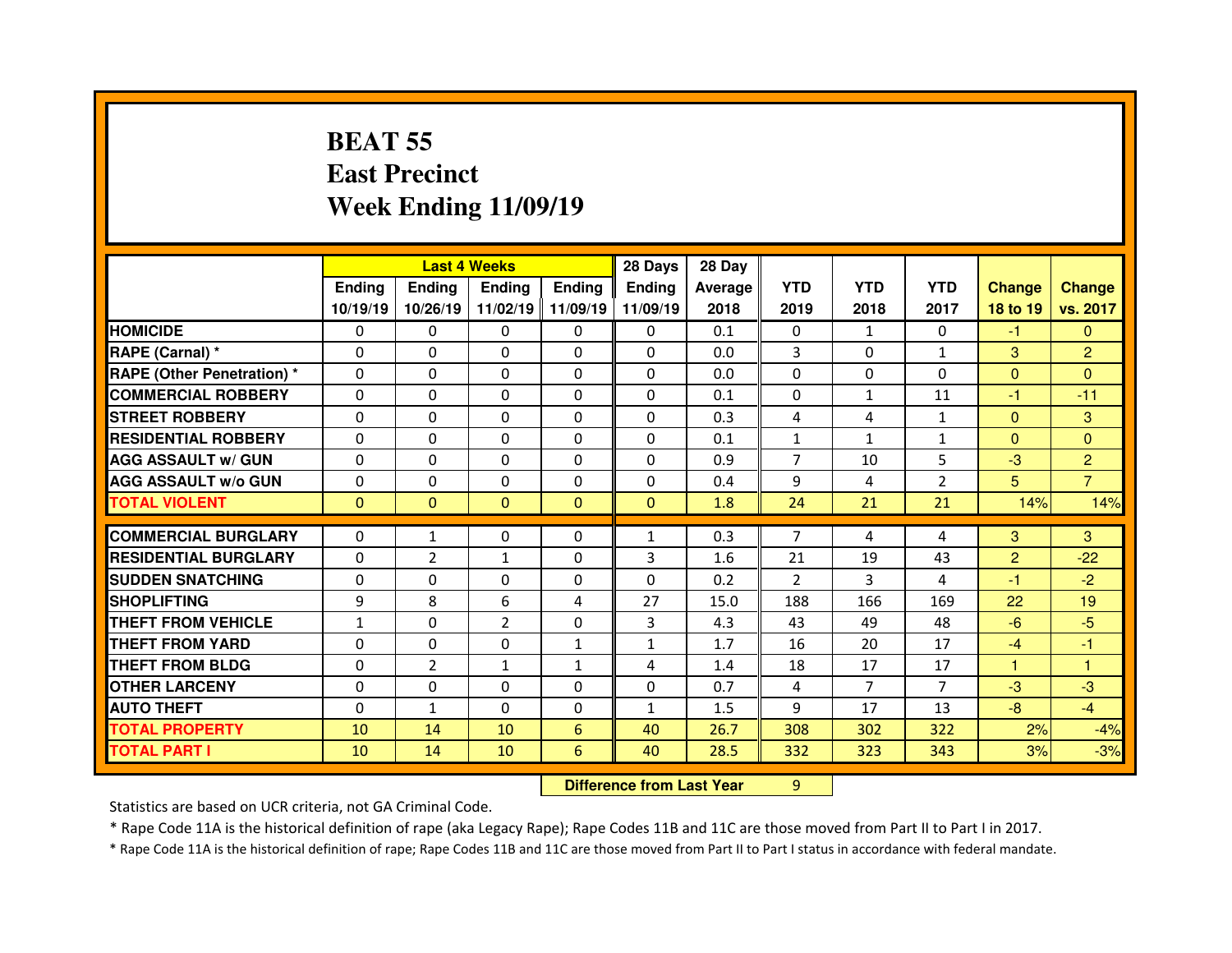# **BEAT 55 East PrecinctWeek Ending 11/09/19**

|                                   |                | <b>Last 4 Weeks</b> |                |              | 28 Days                          | 28 Day         |                |                |                |                |                |
|-----------------------------------|----------------|---------------------|----------------|--------------|----------------------------------|----------------|----------------|----------------|----------------|----------------|----------------|
|                                   | <b>Ending</b>  | <b>Ending</b>       | <b>Ending</b>  | Ending       | <b>Ending</b>                    | <b>Average</b> | <b>YTD</b>     | <b>YTD</b>     | <b>YTD</b>     | <b>Change</b>  | <b>Change</b>  |
|                                   | 10/19/19       | 10/26/19            | 11/02/19       | 11/09/19     | 11/09/19                         | 2018           | 2019           | 2018           | 2017           | 18 to 19       | vs. 2017       |
| <b>HOMICIDE</b>                   | 0              | $\Omega$            | 0              | $\mathbf{0}$ | $\Omega$                         | 0.1            | $\mathbf{0}$   | $\mathbf{1}$   | $\Omega$       | $-1$           | $\Omega$       |
| RAPE (Carnal) *                   | $\Omega$       | 0                   | 0              | $\Omega$     | $\Omega$                         | 0.0            | 3              | $\Omega$       | $\mathbf{1}$   | 3              | $\overline{2}$ |
| <b>RAPE (Other Penetration) *</b> | 0              | 0                   | 0              | $\mathbf{0}$ | $\Omega$                         | 0.0            | $\Omega$       | $\Omega$       | $\Omega$       | $\mathbf{0}$   | $\Omega$       |
| <b>COMMERCIAL ROBBERY</b>         | $\Omega$       | 0                   | 0              | $\mathbf{0}$ | $\Omega$                         | 0.1            | $\Omega$       | $\mathbf{1}$   | 11             | -1             | $-11$          |
| <b>STREET ROBBERY</b>             | $\Omega$       | 0                   | $\Omega$       | $\mathbf{0}$ | $\Omega$                         | 0.3            | $\overline{4}$ | 4              | $\mathbf{1}$   | $\mathbf{0}$   | 3              |
| <b>RESIDENTIAL ROBBERY</b>        | 0              | 0                   | 0              | $\mathbf{0}$ | $\Omega$                         | 0.1            | $\mathbf{1}$   | $\mathbf{1}$   | $\mathbf{1}$   | $\mathbf{0}$   | $\Omega$       |
| <b>AGG ASSAULT w/ GUN</b>         | $\Omega$       | 0                   | $\Omega$       | $\Omega$     | $\Omega$                         | 0.9            | $\overline{7}$ | 10             | 5              | $-3$           | $\overline{2}$ |
| <b>AGG ASSAULT w/o GUN</b>        | $\Omega$       | 0                   | $\Omega$       | $\mathbf{0}$ | $\Omega$                         | 0.4            | 9              | 4              | $\overline{2}$ | 5              | $\overline{7}$ |
| <b>TOTAL VIOLENT</b>              | $\overline{0}$ | $\mathbf{0}$        | $\mathbf{0}$   | $\mathbf{0}$ | $\mathbf{0}$                     | 1.8            | 24             | 21             | 21             | 14%            | 14%            |
| <b>COMMERCIAL BURGLARY</b>        | 0              | $\mathbf{1}$        | 0              | $\mathbf{0}$ | $\mathbf{1}$                     | 0.3            | $\overline{7}$ | 4              | 4              | 3              | 3              |
| <b>RESIDENTIAL BURGLARY</b>       | $\Omega$       | $\overline{2}$      | $\mathbf{1}$   | $\mathbf{0}$ | 3                                | 1.6            | 21             | 19             | 43             | $\overline{2}$ | $-22$          |
| <b>SUDDEN SNATCHING</b>           | $\Omega$       | 0                   | 0              | 0            | $\Omega$                         | 0.2            | 2              | 3              | 4              | -1             | $-2$           |
| <b>SHOPLIFTING</b>                | 9              | 8                   | 6              | 4            | 27                               | 15.0           | 188            | 166            | 169            | 22             | 19             |
| THEFT FROM VEHICLE                | $\mathbf{1}$   | 0                   | $\overline{2}$ | 0            | 3                                | 4.3            | 43             | 49             | 48             | $-6$           | $-5$           |
| <b>THEFT FROM YARD</b>            | 0              | 0                   | 0              | $\mathbf{1}$ | $\mathbf{1}$                     | 1.7            | 16             | 20             | 17             | $-4$           | $-1$           |
| <b>THEFT FROM BLDG</b>            | 0              | $\overline{2}$      | $\mathbf{1}$   | $\mathbf{1}$ | 4                                | 1.4            | 18             | 17             | 17             | н              |                |
| <b>OTHER LARCENY</b>              | $\Omega$       | 0                   | $\Omega$       | 0            | $\Omega$                         | 0.7            | 4              | $\overline{7}$ | $\overline{7}$ | $-3$           | $-3$           |
| <b>AUTO THEFT</b>                 | 0              | $\mathbf{1}$        | 0              | $\mathbf{0}$ | $\mathbf{1}$                     | 1.5            | 9              | 17             | 13             | $-8$           | $-4$           |
| <b>TOTAL PROPERTY</b>             | 10             | 14                  | 10             | 6            | 40                               | 26.7           | 308            | 302            | 322            | 2%             | $-4%$          |
| <b>TOTAL PART I</b>               | 10             | 14                  | 10             | 6            | 40                               | 28.5           | 332            | 323            | 343            | 3%             | $-3%$          |
|                                   |                |                     |                |              | <b>Difference from Last Year</b> |                | 9              |                |                |                |                |

 **Difference from Last Year**

Statistics are based on UCR criteria, not GA Criminal Code.

\* Rape Code 11A is the historical definition of rape (aka Legacy Rape); Rape Codes 11B and 11C are those moved from Part II to Part I in 2017.